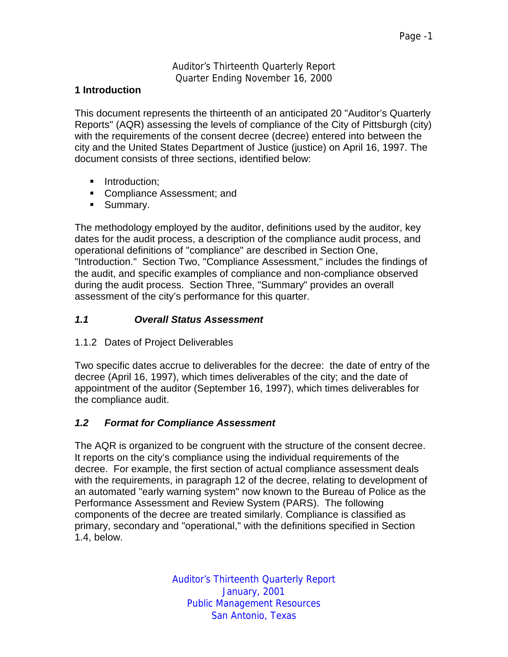Auditor's Thirteenth Quarterly Report Quarter Ending November 16, 2000

#### **1 Introduction**

This document represents the thirteenth of an anticipated 20 "Auditor's Quarterly Reports" (AQR) assessing the levels of compliance of the City of Pittsburgh (city) with the requirements of the consent decree (decree) entered into between the city and the United States Department of Justice (justice) on April 16, 1997. The document consists of three sections, identified below:

- **·** Introduction:
- **EXECOMPLE ASSESSMENT: And LETT**
- **Summary.**

The methodology employed by the auditor, definitions used by the auditor, key dates for the audit process, a description of the compliance audit process, and operational definitions of "compliance" are described in Section One, "Introduction." Section Two, "Compliance Assessment," includes the findings of the audit, and specific examples of compliance and non-compliance observed during the audit process. Section Three, "Summary" provides an overall assessment of the city's performance for this quarter.

# *1.1 Overall Status Assessment*

1.1.2 Dates of Project Deliverables

Two specific dates accrue to deliverables for the decree: the date of entry of the decree (April 16, 1997), which times deliverables of the city; and the date of appointment of the auditor (September 16, 1997), which times deliverables for the compliance audit.

# *1.2 Format for Compliance Assessment*

The AQR is organized to be congruent with the structure of the consent decree. It reports on the city's compliance using the individual requirements of the decree. For example, the first section of actual compliance assessment deals with the requirements, in paragraph 12 of the decree, relating to development of an automated "early warning system" now known to the Bureau of Police as the Performance Assessment and Review System (PARS). The following components of the decree are treated similarly. Compliance is classified as primary, secondary and "operational," with the definitions specified in Section 1.4, below.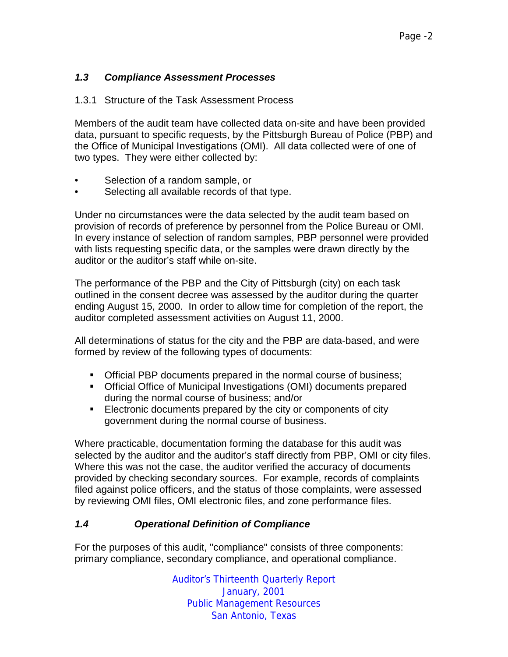# *1.3 Compliance Assessment Processes*

#### 1.3.1 Structure of the Task Assessment Process

Members of the audit team have collected data on-site and have been provided data, pursuant to specific requests, by the Pittsburgh Bureau of Police (PBP) and the Office of Municipal Investigations (OMI). All data collected were of one of two types. They were either collected by:

- Selection of a random sample, or
- Selecting all available records of that type.

Under no circumstances were the data selected by the audit team based on provision of records of preference by personnel from the Police Bureau or OMI. In every instance of selection of random samples, PBP personnel were provided with lists requesting specific data, or the samples were drawn directly by the auditor or the auditor's staff while on-site.

The performance of the PBP and the City of Pittsburgh (city) on each task outlined in the consent decree was assessed by the auditor during the quarter ending August 15, 2000. In order to allow time for completion of the report, the auditor completed assessment activities on August 11, 2000.

All determinations of status for the city and the PBP are data-based, and were formed by review of the following types of documents:

- **Official PBP documents prepared in the normal course of business;**
- !"Official Office of Municipal Investigations (OMI) documents prepared during the normal course of business; and/or
- **Electronic documents prepared by the city or components of city** government during the normal course of business.

Where practicable, documentation forming the database for this audit was selected by the auditor and the auditor's staff directly from PBP, OMI or city files. Where this was not the case, the auditor verified the accuracy of documents provided by checking secondary sources. For example, records of complaints filed against police officers, and the status of those complaints, were assessed by reviewing OMI files, OMI electronic files, and zone performance files.

# *1.4 Operational Definition of Compliance*

For the purposes of this audit, "compliance" consists of three components: primary compliance, secondary compliance, and operational compliance.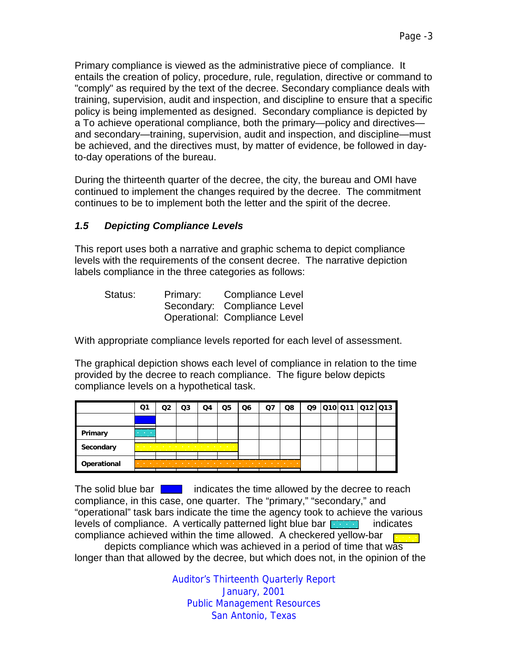Primary compliance is viewed as the administrative piece of compliance. It entails the creation of policy, procedure, rule, regulation, directive or command to "comply" as required by the text of the decree. Secondary compliance deals with training, supervision, audit and inspection, and discipline to ensure that a specific policy is being implemented as designed. Secondary compliance is depicted by a To achieve operational compliance, both the primary—policy and directives and secondary—training, supervision, audit and inspection, and discipline—must be achieved, and the directives must, by matter of evidence, be followed in dayto-day operations of the bureau.

During the thirteenth quarter of the decree, the city, the bureau and OMI have continued to implement the changes required by the decree. The commitment continues to be to implement both the letter and the spirit of the decree.

# *1.5 Depicting Compliance Levels*

This report uses both a narrative and graphic schema to depict compliance levels with the requirements of the consent decree. The narrative depiction labels compliance in the three categories as follows:

| Status: | Primary: | <b>Compliance Level</b>       |
|---------|----------|-------------------------------|
|         |          | Secondary: Compliance Level   |
|         |          | Operational: Compliance Level |

With appropriate compliance levels reported for each level of assessment.

The graphical depiction shows each level of compliance in relation to the time provided by the decree to reach compliance. The figure below depicts compliance levels on a hypothetical task.

|             | Ο1                                                     | O3                                                                                                              | O4 | Q5 | Q6 | Ω7 | Q8 | Q9 | Q10 Q11 Q12 Q13 |  |
|-------------|--------------------------------------------------------|-----------------------------------------------------------------------------------------------------------------|----|----|----|----|----|----|-----------------|--|
|             |                                                        |                                                                                                                 |    |    |    |    |    |    |                 |  |
| Primary     | <b>Contract Contract Contract</b><br><b>CONTRACTOR</b> |                                                                                                                 |    |    |    |    |    |    |                 |  |
| Secondary   |                                                        | the contract of the contract of the contract of the contract of the contract of the contract of the contract of |    |    |    |    |    |    |                 |  |
| Operational | . .                                                    | .                                                                                                               |    |    |    |    |    |    |                 |  |

The solid blue bar  $\begin{bmatrix} 1 & 1 \\ 1 & 1 \end{bmatrix}$  indicates the time allowed by the decree to reach compliance, in this case, one quarter. The "primary," "secondary," and "operational" task bars indicate the time the agency took to achieve the various levels of compliance. A vertically patterned light blue bar  $\begin{bmatrix} 1 & 1 \\ 1 & 1 \end{bmatrix}$  indicates compliance achieved within the time allowed. A checkered yellow-bar

 depicts compliance which was achieved in a period of time that was longer than that allowed by the decree, but which does not, in the opinion of the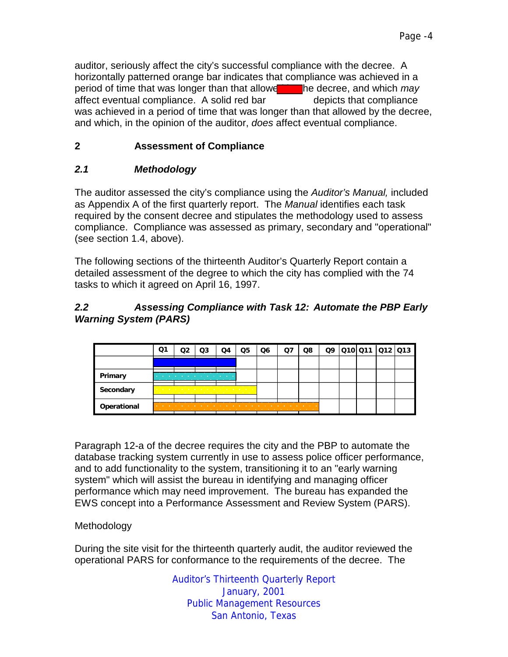auditor, seriously affect the city's successful compliance with the decree. A horizontally patterned orange bar indicates that compliance was achieved in a period of time that was longer than that allowe**th and the decree, and which** *may* affect eventual compliance. A solid red bar depicts that compliance was achieved in a period of time that was longer than that allowed by the decree, and which, in the opinion of the auditor, *does* affect eventual compliance.

# **2 Assessment of Compliance**

# *2.1 Methodology*

The auditor assessed the city's compliance using the *Auditor's Manual,* included as Appendix A of the first quarterly report. The *Manual* identifies each task required by the consent decree and stipulates the methodology used to assess compliance. Compliance was assessed as primary, secondary and "operational" (see section 1.4, above).

The following sections of the thirteenth Auditor's Quarterly Report contain a detailed assessment of the degree to which the city has complied with the 74 tasks to which it agreed on April 16, 1997.

# *2.2 Assessing Compliance with Task 12: Automate the PBP Early Warning System (PARS)*

|             | Ο1 | O3 | O4 | Q5                              | Q6 | Q8     | Q9 | 010 011 012 013 |  |
|-------------|----|----|----|---------------------------------|----|--------|----|-----------------|--|
|             |    |    |    |                                 |    |        |    |                 |  |
| Primary     |    |    |    |                                 |    |        |    |                 |  |
| Secondary   |    |    | .  | <b><i>Charles Committee</i></b> |    |        |    |                 |  |
| Operational |    |    |    |                                 | .  | .<br>. |    |                 |  |

Paragraph 12-a of the decree requires the city and the PBP to automate the database tracking system currently in use to assess police officer performance, and to add functionality to the system, transitioning it to an "early warning system" which will assist the bureau in identifying and managing officer performance which may need improvement. The bureau has expanded the EWS concept into a Performance Assessment and Review System (PARS).

# Methodology

During the site visit for the thirteenth quarterly audit, the auditor reviewed the operational PARS for conformance to the requirements of the decree. The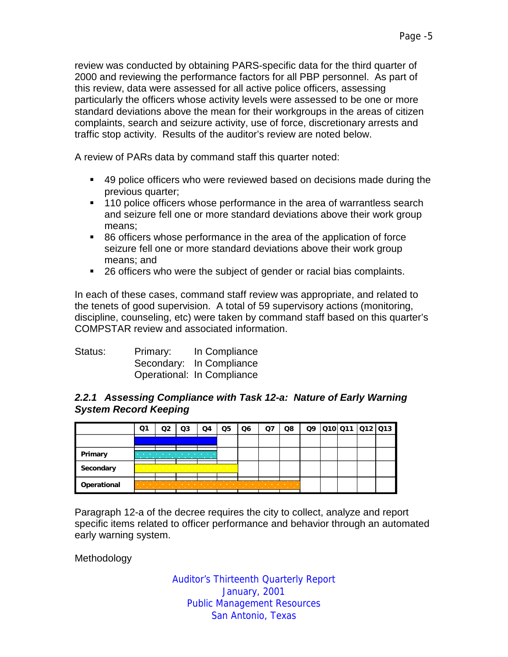review was conducted by obtaining PARS-specific data for the third quarter of 2000 and reviewing the performance factors for all PBP personnel. As part of this review, data were assessed for all active police officers, assessing particularly the officers whose activity levels were assessed to be one or more standard deviations above the mean for their workgroups in the areas of citizen complaints, search and seizure activity, use of force, discretionary arrests and traffic stop activity. Results of the auditor's review are noted below.

A review of PARs data by command staff this quarter noted:

- !"49 police officers who were reviewed based on decisions made during the previous quarter;
- **110 police officers whose performance in the area of warrantless search** and seizure fell one or more standard deviations above their work group means;
- 86 officers whose performance in the area of the application of force seizure fell one or more standard deviations above their work group means; and
- 26 officers who were the subject of gender or racial bias complaints.

In each of these cases, command staff review was appropriate, and related to the tenets of good supervision. A total of 59 supervisory actions (monitoring, discipline, counseling, etc) were taken by command staff based on this quarter's COMPSTAR review and associated information.

| Status: | Primary: | In Compliance              |
|---------|----------|----------------------------|
|         |          | Secondary: In Compliance   |
|         |          | Operational: In Compliance |

#### *2.2.1 Assessing Compliance with Task 12-a: Nature of Early Warning System Record Keeping*

|             | Q1                | O3                       | Q4                                                                                                                | Q5 | Q6 | Ο7 | Q8                                | Q9 |  | 010 011  012  013 |
|-------------|-------------------|--------------------------|-------------------------------------------------------------------------------------------------------------------|----|----|----|-----------------------------------|----|--|-------------------|
|             |                   |                          |                                                                                                                   |    |    |    |                                   |    |  |                   |
| Primary     |                   | <b>STATE OF BUILDING</b> | the company of the company<br><b>Service Controllers</b>                                                          |    |    |    |                                   |    |  |                   |
| Secondary   |                   | .                        | the company's company's company's company's company's company's company's company's company's company's company's |    |    |    |                                   |    |  |                   |
| Operational | <b>CONTRACTOR</b> |                          |                                                                                                                   |    |    | .  | <b>Contract Contract Contract</b> |    |  |                   |

Paragraph 12-a of the decree requires the city to collect, analyze and report specific items related to officer performance and behavior through an automated early warning system.

Methodology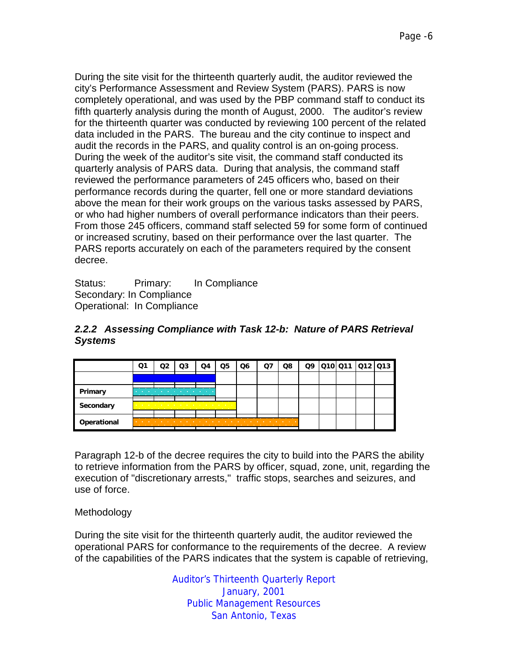During the site visit for the thirteenth quarterly audit, the auditor reviewed the city's Performance Assessment and Review System (PARS). PARS is now completely operational, and was used by the PBP command staff to conduct its fifth quarterly analysis during the month of August, 2000. The auditor's review for the thirteenth quarter was conducted by reviewing 100 percent of the related data included in the PARS. The bureau and the city continue to inspect and audit the records in the PARS, and quality control is an on-going process. During the week of the auditor's site visit, the command staff conducted its quarterly analysis of PARS data. During that analysis, the command staff reviewed the performance parameters of 245 officers who, based on their performance records during the quarter, fell one or more standard deviations above the mean for their work groups on the various tasks assessed by PARS, or who had higher numbers of overall performance indicators than their peers. From those 245 officers, command staff selected 59 for some form of continued or increased scrutiny, based on their performance over the last quarter. The PARS reports accurately on each of the parameters required by the consent decree.

Status: Primary: In Compliance Secondary: In Compliance Operational: In Compliance

|             | Q1                                                            | O3                                                                                                                                                                                                                                        | Q4                                | Q5 | Q6                     | O. | Q8                                | Q9 |  | 010 011 012 013 |
|-------------|---------------------------------------------------------------|-------------------------------------------------------------------------------------------------------------------------------------------------------------------------------------------------------------------------------------------|-----------------------------------|----|------------------------|----|-----------------------------------|----|--|-----------------|
|             |                                                               |                                                                                                                                                                                                                                           |                                   |    |                        |    |                                   |    |  |                 |
| Primary     | <b>FR</b>                                                     |                                                                                                                                                                                                                                           | <b>Contract Contract Contract</b> |    |                        |    |                                   |    |  |                 |
| Secondary   | <b>Contract Contract Contract Contract</b>                    | the company's company's company's company's company's company's company's company's company's company's company's<br>the company of the company of the company of the company of the company of the company of the company of the company |                                   |    |                        |    |                                   |    |  |                 |
| Operational | <b>Contract Contract</b><br><b>Contract Contract Contract</b> |                                                                                                                                                                                                                                           |                                   |    | <b>Service Control</b> |    | <b>Contract Contract Contract</b> |    |  |                 |

# *2.2.2 Assessing Compliance with Task 12-b: Nature of PARS Retrieval Systems*

Paragraph 12-b of the decree requires the city to build into the PARS the ability to retrieve information from the PARS by officer, squad, zone, unit, regarding the execution of "discretionary arrests," traffic stops, searches and seizures, and use of force.

# **Methodology**

During the site visit for the thirteenth quarterly audit, the auditor reviewed the operational PARS for conformance to the requirements of the decree. A review of the capabilities of the PARS indicates that the system is capable of retrieving,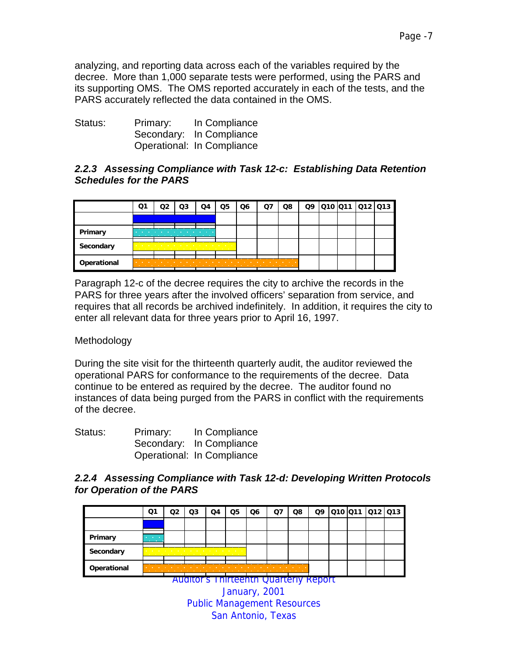analyzing, and reporting data across each of the variables required by the decree. More than 1,000 separate tests were performed, using the PARS and its supporting OMS. The OMS reported accurately in each of the tests, and the PARS accurately reflected the data contained in the OMS.

| Status: | Primary: | In Compliance              |
|---------|----------|----------------------------|
|         |          | Secondary: In Compliance   |
|         |          | Operational: In Compliance |

# *2.2.3 Assessing Compliance with Task 12-c: Establishing Data Retention Schedules for the PARS*

|             | Q1  | O3 | Q4                                                                                                              | Q5 | Q6 | Q8 | Q9 |  | Q10  Q11  Q12  Q13 |  |
|-------------|-----|----|-----------------------------------------------------------------------------------------------------------------|----|----|----|----|--|--------------------|--|
|             |     |    |                                                                                                                 |    |    |    |    |  |                    |  |
| Primary     |     |    | <b>Contract Contract Contract</b><br>the company's company's company's company's                                |    |    |    |    |  |                    |  |
| Secondary   |     |    | the contract of the contract of the contract of the contract of the contract of the contract of the contract of |    |    |    |    |  |                    |  |
| Operational | . . |    |                                                                                                                 |    | .  | .  |    |  |                    |  |

Paragraph 12-c of the decree requires the city to archive the records in the PARS for three years after the involved officers' separation from service, and requires that all records be archived indefinitely. In addition, it requires the city to enter all relevant data for three years prior to April 16, 1997.

# **Methodology**

During the site visit for the thirteenth quarterly audit, the auditor reviewed the operational PARS for conformance to the requirements of the decree. Data continue to be entered as required by the decree. The auditor found no instances of data being purged from the PARS in conflict with the requirements of the decree.

| Status: | Primary: | In Compliance              |
|---------|----------|----------------------------|
|         |          | Secondary: In Compliance   |
|         |          | Operational: In Compliance |

#### *2.2.4 Assessing Compliance with Task 12-d: Developing Written Protocols for Operation of the PARS*

|             | Q1                                            | מח | Q3                                                                                        | O4 | Q5 | Q6                                        | O7 | Q8                                | Q9 |  | 010 011 012 013 |  |
|-------------|-----------------------------------------------|----|-------------------------------------------------------------------------------------------|----|----|-------------------------------------------|----|-----------------------------------|----|--|-----------------|--|
|             |                                               |    |                                                                                           |    |    |                                           |    |                                   |    |  |                 |  |
| Primary     | <b>Contractor</b><br><b>Contract Contract</b> |    |                                                                                           |    |    |                                           |    |                                   |    |  |                 |  |
| Secondary   | <b>Contract Contract Contract Contract</b>    |    | the company of the company of the company of the company of the company of the company of |    |    |                                           |    |                                   |    |  |                 |  |
| Operational |                                               |    |                                                                                           |    |    | the company of the company of the company |    | <b>Contract Contract Contract</b> |    |  |                 |  |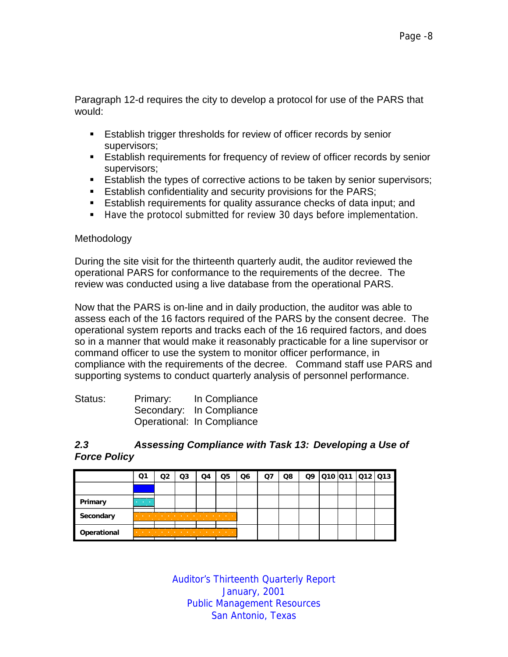Paragraph 12-d requires the city to develop a protocol for use of the PARS that would:

- **Establish trigger thresholds for review of officer records by senior** supervisors;
- **Establish requirements for frequency of review of officer records by senior** supervisors;
- **Establish the types of corrective actions to be taken by senior supervisors;**
- **Establish confidentiality and security provisions for the PARS;**
- **E** Establish requirements for quality assurance checks of data input; and
- !"Have the protocol submitted for review 30 days before implementation.

#### Methodology

During the site visit for the thirteenth quarterly audit, the auditor reviewed the operational PARS for conformance to the requirements of the decree. The review was conducted using a live database from the operational PARS.

Now that the PARS is on-line and in daily production, the auditor was able to assess each of the 16 factors required of the PARS by the consent decree. The operational system reports and tracks each of the 16 required factors, and does so in a manner that would make it reasonably practicable for a line supervisor or command officer to use the system to monitor officer performance, in compliance with the requirements of the decree. Command staff use PARS and supporting systems to conduct quarterly analysis of personnel performance.

| Status: | Primary: | In Compliance              |
|---------|----------|----------------------------|
|         |          | Secondary: In Compliance   |
|         |          | Operational: In Compliance |

#### *2.3 Assessing Compliance with Task 13: Developing a Use of Force Policy*

|             | Ο1                                            | Q3 | O4                                                                                                                                                                                                                            | Q5 | Q6 | Q7 | Q8 |  | Q9 010 011 012 013 |  |
|-------------|-----------------------------------------------|----|-------------------------------------------------------------------------------------------------------------------------------------------------------------------------------------------------------------------------------|----|----|----|----|--|--------------------|--|
|             |                                               |    |                                                                                                                                                                                                                               |    |    |    |    |  |                    |  |
| Primary     | <b>Contract Contract</b><br><b>CONTRACTOR</b> |    |                                                                                                                                                                                                                               |    |    |    |    |  |                    |  |
| Secondary   | <b>State State State</b>                      | .  | the contract of the contract of the contract of the contract of the contract of the contract of the contract of                                                                                                               |    |    |    |    |  |                    |  |
| Operational |                                               | .  | the company of the company of the company of the company of the company of the company of the company of the company of the company of the company of the company of the company of the company of the company of the company |    |    |    |    |  |                    |  |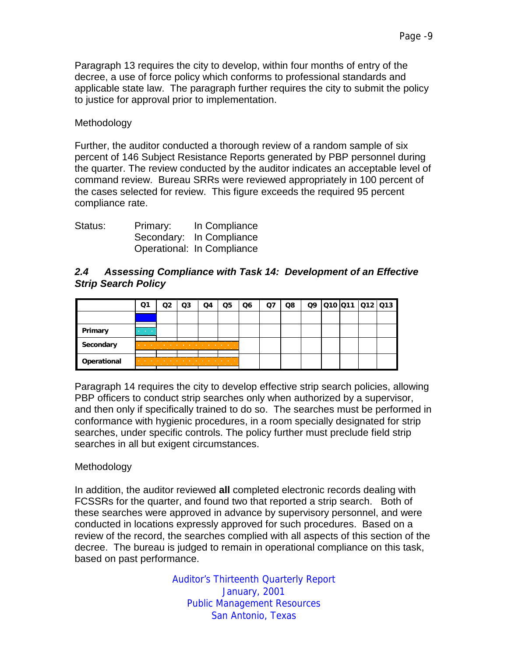Paragraph 13 requires the city to develop, within four months of entry of the decree, a use of force policy which conforms to professional standards and applicable state law. The paragraph further requires the city to submit the policy to justice for approval prior to implementation.

#### Methodology

Further, the auditor conducted a thorough review of a random sample of six percent of 146 Subject Resistance Reports generated by PBP personnel during the quarter. The review conducted by the auditor indicates an acceptable level of command review. Bureau SRRs were reviewed appropriately in 100 percent of the cases selected for review. This figure exceeds the required 95 percent compliance rate.

| Status: | Primary: | In Compliance              |
|---------|----------|----------------------------|
|         |          | Secondary: In Compliance   |
|         |          | Operational: In Compliance |

#### *2.4 Assessing Compliance with Task 14: Development of an Effective Strip Search Policy*

|             | Ο1                                            | O3 | Q4                                                                                       | Q5                             | Q6 | Ο7 | Q8 |  | 09 010 011 012 013 |  |
|-------------|-----------------------------------------------|----|------------------------------------------------------------------------------------------|--------------------------------|----|----|----|--|--------------------|--|
|             |                                               |    |                                                                                          |                                |    |    |    |  |                    |  |
| Primary     | <b>Contract Contract</b><br><b>CONTRACTOR</b> |    |                                                                                          |                                |    |    |    |  |                    |  |
| Secondary   |                                               |    | the company's company's company's company's company's company's company's company's<br>. | <b>STATE OF STATE OF STATE</b> |    |    |    |  |                    |  |
| Operational |                                               | .  | .                                                                                        |                                |    |    |    |  |                    |  |

Paragraph 14 requires the city to develop effective strip search policies, allowing PBP officers to conduct strip searches only when authorized by a supervisor, and then only if specifically trained to do so. The searches must be performed in conformance with hygienic procedures, in a room specially designated for strip searches, under specific controls. The policy further must preclude field strip searches in all but exigent circumstances.

# Methodology

In addition, the auditor reviewed **all** completed electronic records dealing with FCSSRs for the quarter, and found two that reported a strip search. Both of these searches were approved in advance by supervisory personnel, and were conducted in locations expressly approved for such procedures. Based on a review of the record, the searches complied with all aspects of this section of the decree. The bureau is judged to remain in operational compliance on this task, based on past performance.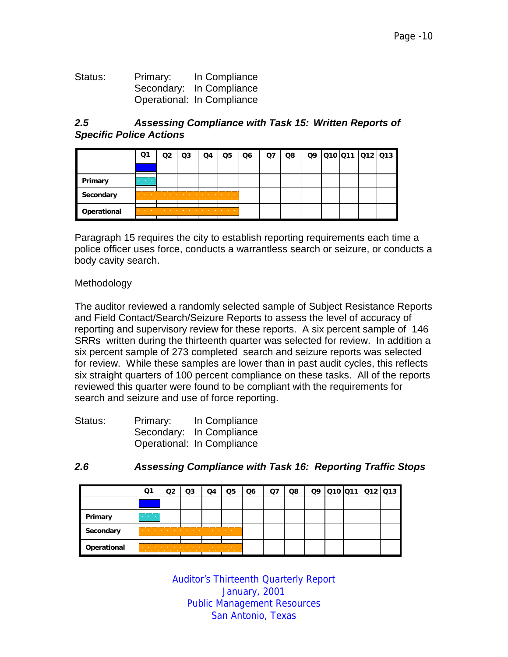| Status: | Primary: | In Compliance              |
|---------|----------|----------------------------|
|         |          | Secondary: In Compliance   |
|         |          | Operational: In Compliance |

#### *2.5 Assessing Compliance with Task 15: Written Reports of Specific Police Actions*

|             | ่ 1                                           | O3                                                                                                                | O4                                                                                                                   | Q5 | Q6 | O7 | Q8 | Q9 |  | 010 011 012 013 |
|-------------|-----------------------------------------------|-------------------------------------------------------------------------------------------------------------------|----------------------------------------------------------------------------------------------------------------------|----|----|----|----|----|--|-----------------|
|             |                                               |                                                                                                                   |                                                                                                                      |    |    |    |    |    |  |                 |
| Primary     | <b>Contract Contract</b><br><b>CONTRACTOR</b> |                                                                                                                   |                                                                                                                      |    |    |    |    |    |  |                 |
| Secondary   | <b>Contract Contract</b>                      |                                                                                                                   | the contract of the contract of the contract of the contract of the contract of the contract of the contract of<br>. |    |    |    |    |    |  |                 |
| Operational | <b>Contract Contract</b>                      | the company's company's company's company's company's company's company's company's company's company's company's |                                                                                                                      |    |    |    |    |    |  |                 |

Paragraph 15 requires the city to establish reporting requirements each time a police officer uses force, conducts a warrantless search or seizure, or conducts a body cavity search.

#### Methodology

The auditor reviewed a randomly selected sample of Subject Resistance Reports and Field Contact/Search/Seizure Reports to assess the level of accuracy of reporting and supervisory review for these reports. A six percent sample of 146 SRRs written during the thirteenth quarter was selected for review. In addition a six percent sample of 273 completed search and seizure reports was selected for review. While these samples are lower than in past audit cycles, this reflects six straight quarters of 100 percent compliance on these tasks. All of the reports reviewed this quarter were found to be compliant with the requirements for search and seizure and use of force reporting.

| Status: | Primary: | In Compliance              |
|---------|----------|----------------------------|
|         |          | Secondary: In Compliance   |
|         |          | Operational: In Compliance |

| 2.6 | <b>Assessing Compliance with Task 16: Reporting Traffic Stops</b> |  |
|-----|-------------------------------------------------------------------|--|
|-----|-------------------------------------------------------------------|--|

|             | Q1                                                | Q3 | Q4                                                                                        | Q5                                | Q <sub>6</sub> | Q7 | Q8 |  |  | Q9 010 011 012 013 |
|-------------|---------------------------------------------------|----|-------------------------------------------------------------------------------------------|-----------------------------------|----------------|----|----|--|--|--------------------|
|             |                                                   |    |                                                                                           |                                   |                |    |    |  |  |                    |
| Primary     | <b>All Contract Contract</b><br><b>CONTRACTOR</b> |    |                                                                                           |                                   |                |    |    |  |  |                    |
| Secondary   | <b>Contract</b><br>.                              | .  | the company of the company of the company of the company of the company of the company of |                                   |                |    |    |  |  |                    |
| Operational |                                                   | .  |                                                                                           | the company of the company of the |                |    |    |  |  |                    |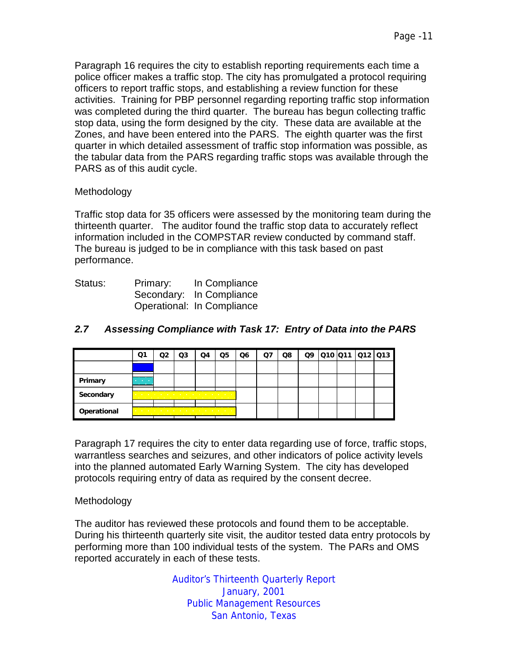Paragraph 16 requires the city to establish reporting requirements each time a police officer makes a traffic stop. The city has promulgated a protocol requiring officers to report traffic stops, and establishing a review function for these activities. Training for PBP personnel regarding reporting traffic stop information was completed during the third quarter. The bureau has begun collecting traffic stop data, using the form designed by the city. These data are available at the Zones, and have been entered into the PARS. The eighth quarter was the first quarter in which detailed assessment of traffic stop information was possible, as the tabular data from the PARS regarding traffic stops was available through the PARS as of this audit cycle.

#### Methodology

Traffic stop data for 35 officers were assessed by the monitoring team during the thirteenth quarter. The auditor found the traffic stop data to accurately reflect information included in the COMPSTAR review conducted by command staff. The bureau is judged to be in compliance with this task based on past performance.

| Status: | Primary: | In Compliance              |
|---------|----------|----------------------------|
|         |          | Secondary: In Compliance   |
|         |          | Operational: In Compliance |

|                | Q1                                            |   | Q3                                                                                                                                                                                                                            | Q4 | Q5 | Q6 | Ο7 | Q8 |  | Q9 010 011 012 013 |  |
|----------------|-----------------------------------------------|---|-------------------------------------------------------------------------------------------------------------------------------------------------------------------------------------------------------------------------------|----|----|----|----|----|--|--------------------|--|
|                |                                               |   |                                                                                                                                                                                                                               |    |    |    |    |    |  |                    |  |
| <b>Primary</b> | <b>Contract Contract</b><br><b>CONTRACTOR</b> |   |                                                                                                                                                                                                                               |    |    |    |    |    |  |                    |  |
| Secondary      |                                               |   | the contract of the contract of the contract of the contract of                                                                                                                                                               |    |    |    |    |    |  |                    |  |
| Operational    |                                               | . | the company of the company of the company of the company of the company of the company of the company of the company of the company of the company of the company of the company of the company of the company of the company |    |    |    |    |    |  |                    |  |

# *2.7 Assessing Compliance with Task 17: Entry of Data into the PARS*

Paragraph 17 requires the city to enter data regarding use of force, traffic stops, warrantless searches and seizures, and other indicators of police activity levels into the planned automated Early Warning System. The city has developed protocols requiring entry of data as required by the consent decree.

#### Methodology

The auditor has reviewed these protocols and found them to be acceptable. During his thirteenth quarterly site visit, the auditor tested data entry protocols by performing more than 100 individual tests of the system. The PARs and OMS reported accurately in each of these tests.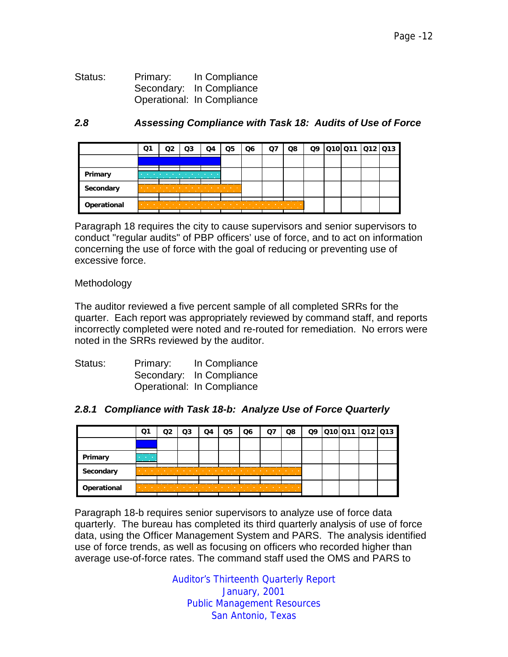Status: Primary: In Compliance Secondary: In Compliance Operational: In Compliance

#### *2.8 Assessing Compliance with Task 18: Audits of Use of Force*

|             | Q1                                                            | Q3                                         | Q4                                                                                                              | Q5 | Q6 | O7                                                                                                                                                                                                                            | Q8 |  | Q9 010 011 012 013 |  |
|-------------|---------------------------------------------------------------|--------------------------------------------|-----------------------------------------------------------------------------------------------------------------|----|----|-------------------------------------------------------------------------------------------------------------------------------------------------------------------------------------------------------------------------------|----|--|--------------------|--|
|             |                                                               |                                            |                                                                                                                 |    |    |                                                                                                                                                                                                                               |    |  |                    |  |
| Primary     | <b>Contract Contract Contract</b>                             | <b>Contract Contract Contract Contract</b> | <b>Contract Contract Contract</b>                                                                               |    |    |                                                                                                                                                                                                                               |    |  |                    |  |
| Secondary   | <b>Contract Contract</b><br><b>Contract Contract Contract</b> | .                                          | the contract of the contract of the contract of the contract of the contract of the contract of the contract of |    |    |                                                                                                                                                                                                                               |    |  |                    |  |
| Operational | <b>Contract Contract</b>                                      | the company of the company of the          |                                                                                                                 |    | .  | the company of the company of the company of the company of the company of the company of the company of the company of the company of the company of the company of the company of the company of the company of the company | .  |  |                    |  |

Paragraph 18 requires the city to cause supervisors and senior supervisors to conduct "regular audits" of PBP officers' use of force, and to act on information concerning the use of force with the goal of reducing or preventing use of excessive force.

Methodology

The auditor reviewed a five percent sample of all completed SRRs for the quarter. Each report was appropriately reviewed by command staff, and reports incorrectly completed were noted and re-routed for remediation. No errors were noted in the SRRs reviewed by the auditor.

| Status: | Primary: | In Compliance              |
|---------|----------|----------------------------|
|         |          | Secondary: In Compliance   |
|         |          | Operational: In Compliance |

#### *2.8.1 Compliance with Task 18-b: Analyze Use of Force Quarterly*

|             | Ο1                | Ο3 | $\Omega$ | Q5 | Q6 | Q8                                | Q9 |  | 010 011 012 013 |
|-------------|-------------------|----|----------|----|----|-----------------------------------|----|--|-----------------|
|             |                   |    |          |    |    |                                   |    |  |                 |
| Primary     | <b>CONTRACTOR</b> |    |          |    |    |                                   |    |  |                 |
| Secondary   | . .               |    |          |    |    | .                                 |    |  |                 |
| Operational |                   |    |          |    | .  | <b>Contract Contract Contract</b> |    |  |                 |

Paragraph 18-b requires senior supervisors to analyze use of force data quarterly. The bureau has completed its third quarterly analysis of use of force data, using the Officer Management System and PARS. The analysis identified use of force trends, as well as focusing on officers who recorded higher than average use-of-force rates. The command staff used the OMS and PARS to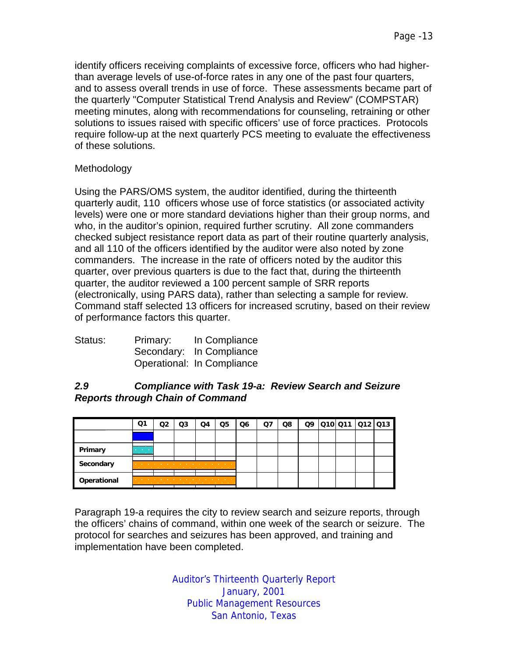identify officers receiving complaints of excessive force, officers who had higherthan average levels of use-of-force rates in any one of the past four quarters, and to assess overall trends in use of force. These assessments became part of the quarterly "Computer Statistical Trend Analysis and Review" (COMPSTAR) meeting minutes, along with recommendations for counseling, retraining or other solutions to issues raised with specific officers' use of force practices. Protocols require follow-up at the next quarterly PCS meeting to evaluate the effectiveness of these solutions.

#### **Methodology**

Using the PARS/OMS system, the auditor identified, during the thirteenth quarterly audit, 110 officers whose use of force statistics (or associated activity levels) were one or more standard deviations higher than their group norms, and who, in the auditor's opinion, required further scrutiny. All zone commanders checked subject resistance report data as part of their routine quarterly analysis, and all 110 of the officers identified by the auditor were also noted by zone commanders. The increase in the rate of officers noted by the auditor this quarter, over previous quarters is due to the fact that, during the thirteenth quarter, the auditor reviewed a 100 percent sample of SRR reports (electronically, using PARS data), rather than selecting a sample for review. Command staff selected 13 officers for increased scrutiny, based on their review of performance factors this quarter.

| Status: | Primary: | In Compliance              |
|---------|----------|----------------------------|
|         |          | Secondary: In Compliance   |
|         |          | Operational: In Compliance |

#### *2.9 Compliance with Task 19-a: Review Search and Seizure Reports through Chain of Command*

|             | Q1                                            | Q3 | Q4                                    | Q5                         | Q6 | Q8 |  |  | Q9 010 011 012 013 |
|-------------|-----------------------------------------------|----|---------------------------------------|----------------------------|----|----|--|--|--------------------|
|             |                                               |    |                                       |                            |    |    |  |  |                    |
| Primary     | <b>Contract Contract</b><br><b>CONTRACTOR</b> |    |                                       |                            |    |    |  |  |                    |
| Secondary   |                                               | .  | the company's company's company's and |                            |    |    |  |  |                    |
| Operational |                                               | .  |                                       | the company of the company |    |    |  |  |                    |

Paragraph 19-a requires the city to review search and seizure reports, through the officers' chains of command, within one week of the search or seizure. The protocol for searches and seizures has been approved, and training and implementation have been completed.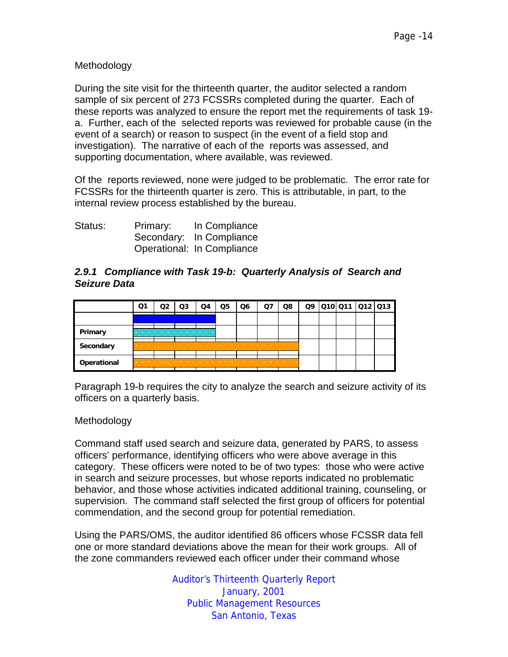Methodology

During the site visit for the thirteenth quarter, the auditor selected a random sample of six percent of 273 FCSSRs completed during the quarter. Each of these reports was analyzed to ensure the report met the requirements of task 19 a. Further, each of the selected reports was reviewed for probable cause (in the event of a search) or reason to suspect (in the event of a field stop and investigation). The narrative of each of the reports was assessed, and supporting documentation, where available, was reviewed.

Of the reports reviewed, none were judged to be problematic. The error rate for FCSSRs for the thirteenth quarter is zero. This is attributable, in part, to the internal review process established by the bureau.

| Status: | Primary: | In Compliance              |
|---------|----------|----------------------------|
|         |          | Secondary: In Compliance   |
|         |          | Operational: In Compliance |

# *2.9.1 Compliance with Task 19-b: Quarterly Analysis of Search and Seizure Data*

|             | Ο1                | O3 | Ω4                                                               | Q5 | Q6 | O7 | Q8                                         | Q9 | 010 011 012 013 |  |
|-------------|-------------------|----|------------------------------------------------------------------|----|----|----|--------------------------------------------|----|-----------------|--|
|             |                   |    |                                                                  |    |    |    |                                            |    |                 |  |
| Primary     |                   |    | the state of the control of<br>the company's company's company's |    |    |    |                                            |    |                 |  |
| Secondary   | . .               |    |                                                                  |    | .  | .  |                                            |    |                 |  |
| Operational | <b>CONTRACTOR</b> |    |                                                                  |    | .  |    | <b>Contract Contract Contract Contract</b> |    |                 |  |

Paragraph 19-b requires the city to analyze the search and seizure activity of its officers on a quarterly basis.

# Methodology

Command staff used search and seizure data, generated by PARS, to assess officers' performance, identifying officers who were above average in this category. These officers were noted to be of two types: those who were active in search and seizure processes, but whose reports indicated no problematic behavior, and those whose activities indicated additional training, counseling, or supervision. The command staff selected the first group of officers for potential commendation, and the second group for potential remediation.

Using the PARS/OMS, the auditor identified 86 officers whose FCSSR data fell one or more standard deviations above the mean for their work groups. All of the zone commanders reviewed each officer under their command whose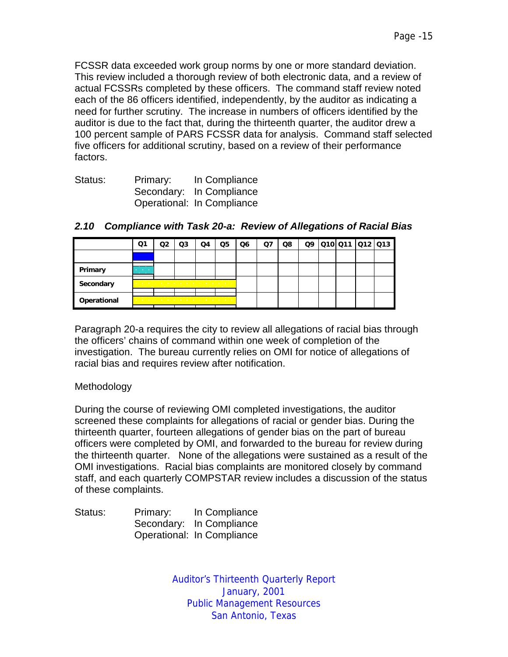FCSSR data exceeded work group norms by one or more standard deviation. This review included a thorough review of both electronic data, and a review of actual FCSSRs completed by these officers. The command staff review noted each of the 86 officers identified, independently, by the auditor as indicating a need for further scrutiny. The increase in numbers of officers identified by the auditor is due to the fact that, during the thirteenth quarter, the auditor drew a 100 percent sample of PARS FCSSR data for analysis. Command staff selected five officers for additional scrutiny, based on a review of their performance factors.

| Status: | Primary: | In Compliance              |
|---------|----------|----------------------------|
|         |          | Secondary: In Compliance   |
|         |          | Operational: In Compliance |

|             | Q1                                        | Q3                                                                                                                                                                                                                                                                                                                                                                                                                                                             | Q4 | Q5 | Q6 | Q8 | Q9 | 010 011 012 013 |  |
|-------------|-------------------------------------------|----------------------------------------------------------------------------------------------------------------------------------------------------------------------------------------------------------------------------------------------------------------------------------------------------------------------------------------------------------------------------------------------------------------------------------------------------------------|----|----|----|----|----|-----------------|--|
|             |                                           |                                                                                                                                                                                                                                                                                                                                                                                                                                                                |    |    |    |    |    |                 |  |
| Primary     | <b>Service Control</b><br><b>Contract</b> |                                                                                                                                                                                                                                                                                                                                                                                                                                                                |    |    |    |    |    |                 |  |
| Secondary   |                                           | the company of the company of the company of the company of the company of the company of the company of the company of the company of the company of the company of the company of the company of the company of the company<br>the company of the company of the company of the company of the company of the company of the company of the company of the company of the company of the company of the company of the company of the company of the company |    |    |    |    |    |                 |  |
| Operational |                                           | .<br>.                                                                                                                                                                                                                                                                                                                                                                                                                                                         |    |    |    |    |    |                 |  |

# *2.10 Compliance with Task 20-a: Review of Allegations of Racial Bias*

Paragraph 20-a requires the city to review all allegations of racial bias through the officers' chains of command within one week of completion of the investigation. The bureau currently relies on OMI for notice of allegations of racial bias and requires review after notification.

# Methodology

During the course of reviewing OMI completed investigations, the auditor screened these complaints for allegations of racial or gender bias. During the thirteenth quarter, fourteen allegations of gender bias on the part of bureau officers were completed by OMI, and forwarded to the bureau for review during the thirteenth quarter. None of the allegations were sustained as a result of the OMI investigations. Racial bias complaints are monitored closely by command staff, and each quarterly COMPSTAR review includes a discussion of the status of these complaints.

| Status: | Primary: | In Compliance              |
|---------|----------|----------------------------|
|         |          | Secondary: In Compliance   |
|         |          | Operational: In Compliance |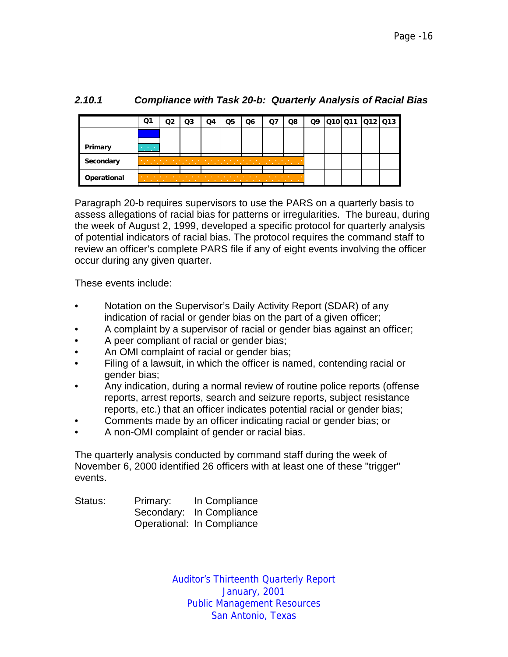|             | Q1                                                     | Q3 | Q4 | Q5 | Q6                                                                                                                                                                                                                            | O7 | Q8                                         | Q9 |  | 010 011  012  013 |
|-------------|--------------------------------------------------------|----|----|----|-------------------------------------------------------------------------------------------------------------------------------------------------------------------------------------------------------------------------------|----|--------------------------------------------|----|--|-------------------|
|             |                                                        |    |    |    |                                                                                                                                                                                                                               |    |                                            |    |  |                   |
| Primary     | <b>Contract Contract Contract</b><br><b>CONTRACTOR</b> |    |    |    |                                                                                                                                                                                                                               |    |                                            |    |  |                   |
| Secondary   | <b>STATE OF BUILDING</b>                               |    |    |    |                                                                                                                                                                                                                               |    | <b>Contract Contract Contract Contract</b> |    |  |                   |
| Operational | the company of the company                             |    |    |    | the company of the company of the company of the company of the company of the company of the company of the company of the company of the company of the company of the company of the company of the company of the company |    | <b><i>Contract Contract Contract</i></b>   |    |  |                   |

# *2.10.1 Compliance with Task 20-b: Quarterly Analysis of Racial Bias*

Paragraph 20-b requires supervisors to use the PARS on a quarterly basis to assess allegations of racial bias for patterns or irregularities. The bureau, during the week of August 2, 1999, developed a specific protocol for quarterly analysis of potential indicators of racial bias. The protocol requires the command staff to review an officer's complete PARS file if any of eight events involving the officer occur during any given quarter.

These events include:

- Notation on the Supervisor's Daily Activity Report (SDAR) of any indication of racial or gender bias on the part of a given officer;
- A complaint by a supervisor of racial or gender bias against an officer;
- A peer compliant of racial or gender bias;
- An OMI complaint of racial or gender bias;
- Filing of a lawsuit, in which the officer is named, contending racial or gender bias;
- Any indication, during a normal review of routine police reports (offense reports, arrest reports, search and seizure reports, subject resistance reports, etc.) that an officer indicates potential racial or gender bias;
- Comments made by an officer indicating racial or gender bias; or
- A non-OMI complaint of gender or racial bias.

The quarterly analysis conducted by command staff during the week of November 6, 2000 identified 26 officers with at least one of these "trigger" events.

| Status: | Primary: | In Compliance              |
|---------|----------|----------------------------|
|         |          | Secondary: In Compliance   |
|         |          | Operational: In Compliance |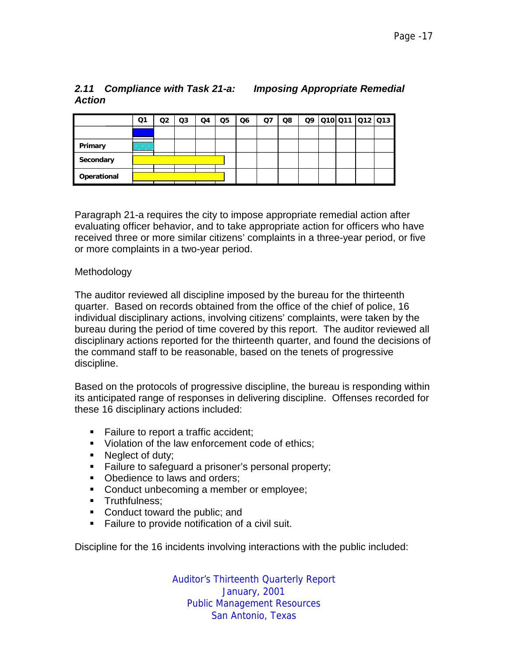# *Action*

| Q <sub>1</sub>           | Q2 | Q3 | Q4 | Q5 | Q6                                 | Q7 | Q8 | Q9 |  |                |
|--------------------------|----|----|----|----|------------------------------------|----|----|----|--|----------------|
|                          |    |    |    |    |                                    |    |    |    |  |                |
| <b>Contract Contract</b> |    |    |    |    |                                    |    |    |    |  |                |
|                          |    |    |    |    |                                    |    |    |    |  |                |
|                          |    |    |    |    | the company of the company of<br>. |    |    |    |  | Q10Q11 Q12 Q13 |

Paragraph 21-a requires the city to impose appropriate remedial action after evaluating officer behavior, and to take appropriate action for officers who have received three or more similar citizens' complaints in a three-year period, or five or more complaints in a two-year period.

#### Methodology

**Operational** 

The auditor reviewed all discipline imposed by the bureau for the thirteenth quarter. Based on records obtained from the office of the chief of police, 16 individual disciplinary actions, involving citizens' complaints, were taken by the bureau during the period of time covered by this report. The auditor reviewed all disciplinary actions reported for the thirteenth quarter, and found the decisions of the command staff to be reasonable, based on the tenets of progressive discipline.

Based on the protocols of progressive discipline, the bureau is responding within its anticipated range of responses in delivering discipline. Offenses recorded for these 16 disciplinary actions included:

- !"Failure to report a traffic accident;
- !"Violation of the law enforcement code of ethics;
- **Neglect of duty;**
- **EXECT** Failure to safeguard a prisoner's personal property;
- Obedience to laws and orders;
- **EXECOMOUTE:** Conduct unbecoming a member or employee;
- **Truthfulness:**
- Conduct toward the public; and
- !"Failure to provide notification of a civil suit.

Discipline for the 16 incidents involving interactions with the public included:

Auditor's Thirteenth Quarterly Report January, 2001 Public Management Resources San Antonio, Texas

# *2.11 Compliance with Task 21-a: Imposing Appropriate Remedial*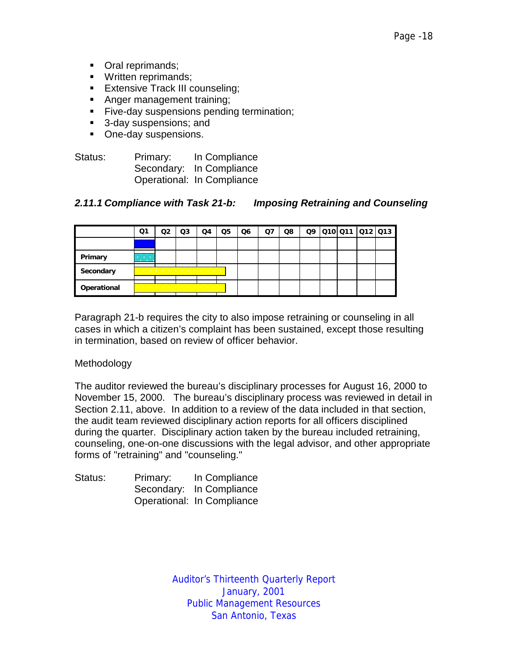- Oral reprimands;
- **"** Written reprimands;
- **Extensive Track III counseling;**
- **EXECUTE:** Anger management training;
- **Example 2** Five-day suspensions pending termination;
- 3-day suspensions; and
- **Dide-day suspensions.**

| Status: | Primary: | In Compliance              |
|---------|----------|----------------------------|
|         |          | Secondary: In Compliance   |
|         |          | Operational: In Compliance |

#### *2.11.1 Compliance with Task 21-b: Imposing Retraining and Counseling*

|             | Ο1                                            | Q3                                                                                                                                                                                                                                                                                                   | Q4 | Q5 | Q6 | Ο7 | Q8 | Q9 | 010 011 012 013 |  |
|-------------|-----------------------------------------------|------------------------------------------------------------------------------------------------------------------------------------------------------------------------------------------------------------------------------------------------------------------------------------------------------|----|----|----|----|----|----|-----------------|--|
|             |                                               |                                                                                                                                                                                                                                                                                                      |    |    |    |    |    |    |                 |  |
| Primary     | <b>Contract Contract</b><br><b>CONTRACTOR</b> |                                                                                                                                                                                                                                                                                                      |    |    |    |    |    |    |                 |  |
| Secondary   |                                               | a construction of the construction of the construction of the construction of the construction of the construction of the construction of the construction of the construction of the construction of the construction of the<br>the contract of the contract of the contract of the contract of     |    |    |    |    |    |    |                 |  |
| Operational |                                               | a construction of the construction of the construction of the construction of the construction of the construction of the construction of the construction of the construction of the construction of the construction of the<br>the contract of the contract of the contract of the contract of the |    |    |    |    |    |    |                 |  |

Paragraph 21-b requires the city to also impose retraining or counseling in all cases in which a citizen's complaint has been sustained, except those resulting in termination, based on review of officer behavior.

#### Methodology

The auditor reviewed the bureau's disciplinary processes for August 16, 2000 to November 15, 2000. The bureau's disciplinary process was reviewed in detail in Section 2.11, above. In addition to a review of the data included in that section, the audit team reviewed disciplinary action reports for all officers disciplined during the quarter. Disciplinary action taken by the bureau included retraining, counseling, one-on-one discussions with the legal advisor, and other appropriate forms of "retraining" and "counseling."

| Status: | Primary: | In Compliance              |
|---------|----------|----------------------------|
|         |          | Secondary: In Compliance   |
|         |          | Operational: In Compliance |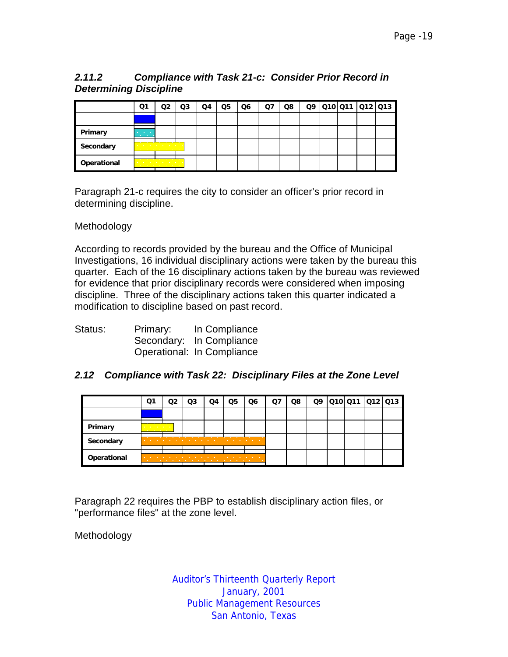# *2.11.2 Compliance with Task 21-c: Consider Prior Record in Determining Discipline*

|             | Ο1                                     |                                                                               | Q3 | Q4 | Q5 | Q6 | Ο7 | Q8 | Q9 |  | 010 011 012 013 |
|-------------|----------------------------------------|-------------------------------------------------------------------------------|----|----|----|----|----|----|----|--|-----------------|
|             |                                        |                                                                               |    |    |    |    |    |    |    |  |                 |
| Primary     | <b>Contractor</b><br><b>CONTRACTOR</b> |                                                                               |    |    |    |    |    |    |    |  |                 |
| Secondary   |                                        | the company's company's company's<br>the company of the company of the com-   |    |    |    |    |    |    |    |  |                 |
| Operational |                                        | the contract of the contract of the con-<br>the company of the company of the |    |    |    |    |    |    |    |  |                 |

Paragraph 21-c requires the city to consider an officer's prior record in determining discipline.

#### Methodology

According to records provided by the bureau and the Office of Municipal Investigations, 16 individual disciplinary actions were taken by the bureau this quarter. Each of the 16 disciplinary actions taken by the bureau was reviewed for evidence that prior disciplinary records were considered when imposing discipline. Three of the disciplinary actions taken this quarter indicated a modification to discipline based on past record.

| Status: | Primary: | In Compliance              |
|---------|----------|----------------------------|
|         |          | Secondary: In Compliance   |
|         |          | Operational: In Compliance |

# *2.12 Compliance with Task 22: Disciplinary Files at the Zone Level*

|             | Q1                                                                  |                   | Q3 | O4 | Q5 | Q6                                | Ο7 | Q8 |  | Q9 010 011 012 013 |  |
|-------------|---------------------------------------------------------------------|-------------------|----|----|----|-----------------------------------|----|----|--|--------------------|--|
|             |                                                                     |                   |    |    |    |                                   |    |    |  |                    |  |
| Primary     | and the company of the company<br><b>Contract Contract Contract</b> |                   |    |    |    |                                   |    |    |  |                    |  |
| Secondary   |                                                                     |                   |    |    | .  | .                                 |    |    |  |                    |  |
| Operational |                                                                     | <b>CONTRACTOR</b> | .  |    |    | <b>Contract Contract Contract</b> |    |    |  |                    |  |

Paragraph 22 requires the PBP to establish disciplinary action files, or "performance files" at the zone level.

Methodology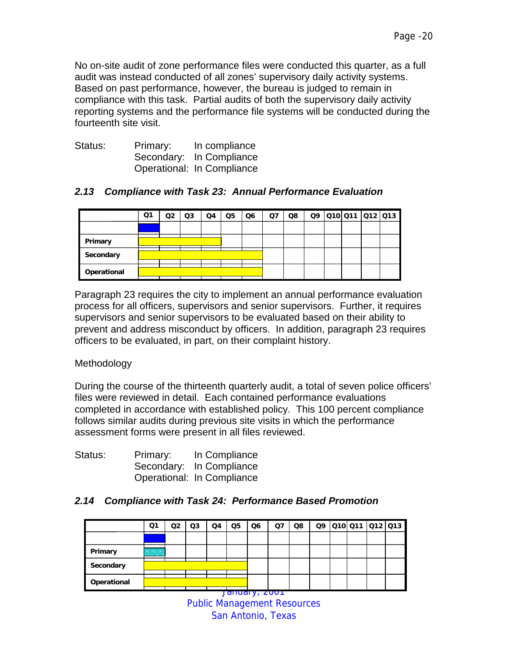No on-site audit of zone performance files were conducted this quarter, as a full audit was instead conducted of all zones' supervisory daily activity systems. Based on past performance, however, the bureau is judged to remain in compliance with this task. Partial audits of both the supervisory daily activity reporting systems and the performance file systems will be conducted during the fourteenth site visit.

| Status: | Primary: | In compliance              |
|---------|----------|----------------------------|
|         |          | Secondary: In Compliance   |
|         |          | Operational: In Compliance |

# *2.13 Compliance with Task 23: Annual Performance Evaluation*

|             | Ο1 | Q3                                                                                                                                                                                                                                                                                                                                   | O4 | 25 | Q6 | O7 | Q8 |  | Q9 010 011 012 013 |  |
|-------------|----|--------------------------------------------------------------------------------------------------------------------------------------------------------------------------------------------------------------------------------------------------------------------------------------------------------------------------------------|----|----|----|----|----|--|--------------------|--|
|             |    |                                                                                                                                                                                                                                                                                                                                      |    |    |    |    |    |  |                    |  |
| Primary     |    | the contract of the contract of the contract of the contract of the contract of the contract of the contract of                                                                                                                                                                                                                      |    |    |    |    |    |  |                    |  |
| Secondary   |    | the company of the company of the company of the company of the company of the company of the company of the company of the company of the company of the company of the company of the company of the company of the company<br>the contract of the contract of the contract of the contract of the contract of the contract of the |    |    |    |    |    |  |                    |  |
| Operational |    | the contract of the contract of the contract of the contract of the contract of the contract of the contract of                                                                                                                                                                                                                      |    |    |    |    |    |  |                    |  |

Paragraph 23 requires the city to implement an annual performance evaluation process for all officers, supervisors and senior supervisors. Further, it requires supervisors and senior supervisors to be evaluated based on their ability to prevent and address misconduct by officers. In addition, paragraph 23 requires officers to be evaluated, in part, on their complaint history.

# Methodology

During the course of the thirteenth quarterly audit, a total of seven police officers' files were reviewed in detail. Each contained performance evaluations completed in accordance with established policy. This 100 percent compliance follows similar audits during previous site visits in which the performance assessment forms were present in all files reviewed.

| Status: | Primary: | In Compliance              |
|---------|----------|----------------------------|
|         |          | Secondary: In Compliance   |
|         |          | Operational: In Compliance |

# *2.14 Compliance with Task 24: Performance Based Promotion*

|             | Q1                                                | מח | Q3                                                                                                                                                                                                                                                                                                                                               | Q4 | Q5 | Q6                       | Q7 | Q8 |  | Q9 010 011 012 013 |  |
|-------------|---------------------------------------------------|----|--------------------------------------------------------------------------------------------------------------------------------------------------------------------------------------------------------------------------------------------------------------------------------------------------------------------------------------------------|----|----|--------------------------|----|----|--|--------------------|--|
|             |                                                   |    |                                                                                                                                                                                                                                                                                                                                                  |    |    |                          |    |    |  |                    |  |
| Primary     | <b>All Contract Contract</b><br><b>CONTRACTOR</b> |    |                                                                                                                                                                                                                                                                                                                                                  |    |    |                          |    |    |  |                    |  |
| Secondary   |                                                   |    | a construction of the construction of the construction of the construction of the construction of the construction of the construction of the construction of the construction of the construction of the construction of the<br>the contract of the contract of the contract of the contract of the contract of the contract of the contract of |    |    |                          |    |    |  |                    |  |
| Operational |                                                   |    | the contract of the contract of the contract of the contract of the contract of the contract of the contract of<br>the company of the company of the company of the company of the company of the company of the company of the company of the company of the company of the company of the company of the company of the company of the company |    |    |                          |    |    |  |                    |  |
|             |                                                   |    |                                                                                                                                                                                                                                                                                                                                                  |    |    | <del>Jahuary, 2001</del> |    |    |  |                    |  |

Public Management Resources San Antonio, Texas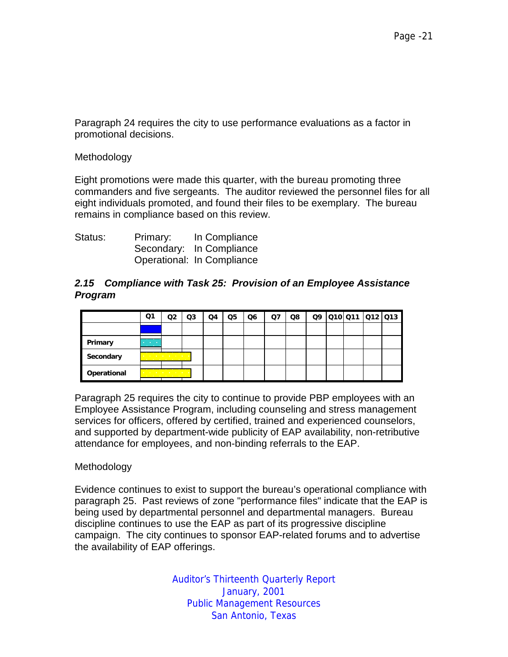Paragraph 24 requires the city to use performance evaluations as a factor in promotional decisions.

**Methodology** 

Eight promotions were made this quarter, with the bureau promoting three commanders and five sergeants. The auditor reviewed the personnel files for all eight individuals promoted, and found their files to be exemplary. The bureau remains in compliance based on this review.

| Status: | Primary: | In Compliance              |
|---------|----------|----------------------------|
|         |          | Secondary: In Compliance   |
|         |          | Operational: In Compliance |

#### *2.15 Compliance with Task 25: Provision of an Employee Assistance Program*

|             | Q1                                     | Q2                                                                           | Q3 | Q4 | Q5 | Q6 | Q7 | Q8 |  | Q9 010 011 012 013 |  |
|-------------|----------------------------------------|------------------------------------------------------------------------------|----|----|----|----|----|----|--|--------------------|--|
|             |                                        |                                                                              |    |    |    |    |    |    |  |                    |  |
| Primary     | <b>Contractor</b><br><b>CONTRACTOR</b> |                                                                              |    |    |    |    |    |    |  |                    |  |
| Secondary   |                                        | a contract and a contract of<br>the company of the company of                |    |    |    |    |    |    |  |                    |  |
| Operational |                                        | and the control of the control of the<br>the contract of the contract of the |    |    |    |    |    |    |  |                    |  |

Paragraph 25 requires the city to continue to provide PBP employees with an Employee Assistance Program, including counseling and stress management services for officers, offered by certified, trained and experienced counselors, and supported by department-wide publicity of EAP availability, non-retributive attendance for employees, and non-binding referrals to the EAP.

#### Methodology

Evidence continues to exist to support the bureau's operational compliance with paragraph 25. Past reviews of zone "performance files" indicate that the EAP is being used by departmental personnel and departmental managers. Bureau discipline continues to use the EAP as part of its progressive discipline campaign. The city continues to sponsor EAP-related forums and to advertise the availability of EAP offerings.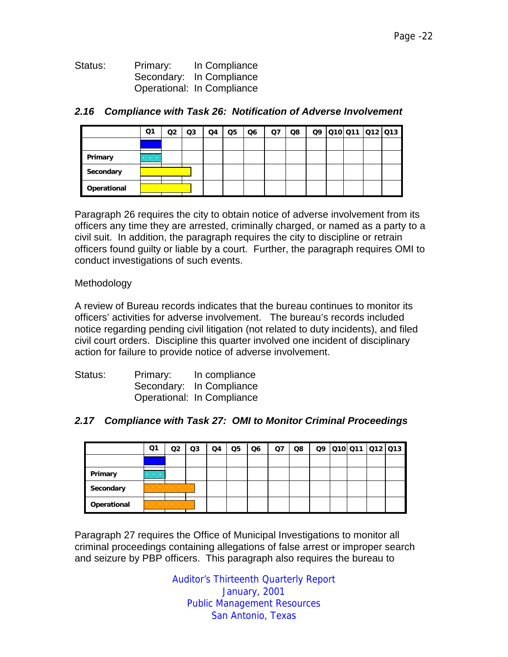| Status: | Primary: | In Compliance              |
|---------|----------|----------------------------|
|         |          | Secondary: In Compliance   |
|         |          | Operational: In Compliance |

|             | Q1                                                     | Q2                                                                                       | Q3 | Q4 | Q5 | Q6 | Q7 | Q8 |  | Q9 010 011 012 013 |  |
|-------------|--------------------------------------------------------|------------------------------------------------------------------------------------------|----|----|----|----|----|----|--|--------------------|--|
|             |                                                        |                                                                                          |    |    |    |    |    |    |  |                    |  |
| Primary     | <b>Contractor</b><br><b>Contract Contract Contract</b> |                                                                                          |    |    |    |    |    |    |  |                    |  |
| Secondary   |                                                        | the company's company's company's company's<br>the company of the company of the company |    |    |    |    |    |    |  |                    |  |
| Operational |                                                        | a construction of the construction of<br>the contract of the contract of the             |    |    |    |    |    |    |  |                    |  |

#### *2.16 Compliance with Task 26: Notification of Adverse Involvement*

Paragraph 26 requires the city to obtain notice of adverse involvement from its officers any time they are arrested, criminally charged, or named as a party to a civil suit. In addition, the paragraph requires the city to discipline or retrain officers found guilty or liable by a court. Further, the paragraph requires OMI to conduct investigations of such events.

Methodology

A review of Bureau records indicates that the bureau continues to monitor its officers' activities for adverse involvement. The bureau's records included notice regarding pending civil litigation (not related to duty incidents), and filed civil court orders. Discipline this quarter involved one incident of disciplinary action for failure to provide notice of adverse involvement.

| Status: | Primary: | In compliance              |
|---------|----------|----------------------------|
|         |          | Secondary: In Compliance   |
|         |          | Operational: In Compliance |

# *2.17 Compliance with Task 27: OMI to Monitor Criminal Proceedings*

|             | Q1                                   | Q2                                                                     | Q3 | Q4 | Q5 | Q6 | Q7 | Q8 |  | Q9 010 011 012 013 |  |
|-------------|--------------------------------------|------------------------------------------------------------------------|----|----|----|----|----|----|--|--------------------|--|
|             |                                      |                                                                        |    |    |    |    |    |    |  |                    |  |
| Primary     | and the company<br><b>CONTRACTOR</b> |                                                                        |    |    |    |    |    |    |  |                    |  |
| Secondary   |                                      | the company's company's com-<br>.                                      |    |    |    |    |    |    |  |                    |  |
| Operational |                                      | <b>Contract Contract</b><br><b>Contract Contract Contract Contract</b> |    |    |    |    |    |    |  |                    |  |

Paragraph 27 requires the Office of Municipal Investigations to monitor all criminal proceedings containing allegations of false arrest or improper search and seizure by PBP officers. This paragraph also requires the bureau to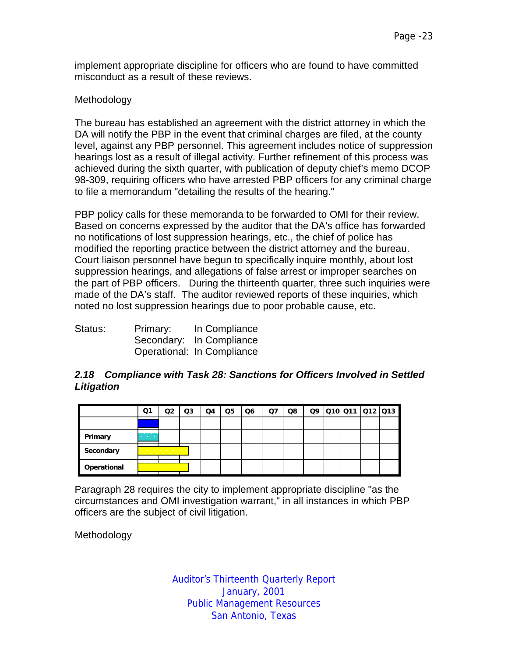implement appropriate discipline for officers who are found to have committed misconduct as a result of these reviews.

#### Methodology

The bureau has established an agreement with the district attorney in which the DA will notify the PBP in the event that criminal charges are filed, at the county level, against any PBP personnel. This agreement includes notice of suppression hearings lost as a result of illegal activity. Further refinement of this process was achieved during the sixth quarter, with publication of deputy chief's memo DCOP 98-309, requiring officers who have arrested PBP officers for any criminal charge to file a memorandum "detailing the results of the hearing."

PBP policy calls for these memoranda to be forwarded to OMI for their review. Based on concerns expressed by the auditor that the DA's office has forwarded no notifications of lost suppression hearings, etc., the chief of police has modified the reporting practice between the district attorney and the bureau. Court liaison personnel have begun to specifically inquire monthly, about lost suppression hearings, and allegations of false arrest or improper searches on the part of PBP officers. During the thirteenth quarter, three such inquiries were made of the DA's staff. The auditor reviewed reports of these inquiries, which noted no lost suppression hearings due to poor probable cause, etc.

| Status: | Primary: | In Compliance              |
|---------|----------|----------------------------|
|         |          | Secondary: In Compliance   |
|         |          | Operational: In Compliance |

# *2.18 Compliance with Task 28: Sanctions for Officers Involved in Settled Litigation*

|             | Q1                                     | Q2                                                                                 | Q3 | Q4 | Q5 | Q6 | Q7 | Q8 |  | 09 010 011 012 013 |  |
|-------------|----------------------------------------|------------------------------------------------------------------------------------|----|----|----|----|----|----|--|--------------------|--|
|             |                                        |                                                                                    |    |    |    |    |    |    |  |                    |  |
| Primary     | <b>Contractor</b><br><b>CONTRACTOR</b> |                                                                                    |    |    |    |    |    |    |  |                    |  |
| Secondary   |                                        | and a straightful control of the state of<br><b>State of the State State State</b> |    |    |    |    |    |    |  |                    |  |
| Operational |                                        | and the contract of the contract of the<br>the control of the control of the con-  |    |    |    |    |    |    |  |                    |  |

Paragraph 28 requires the city to implement appropriate discipline "as the circumstances and OMI investigation warrant," in all instances in which PBP officers are the subject of civil litigation.

Methodology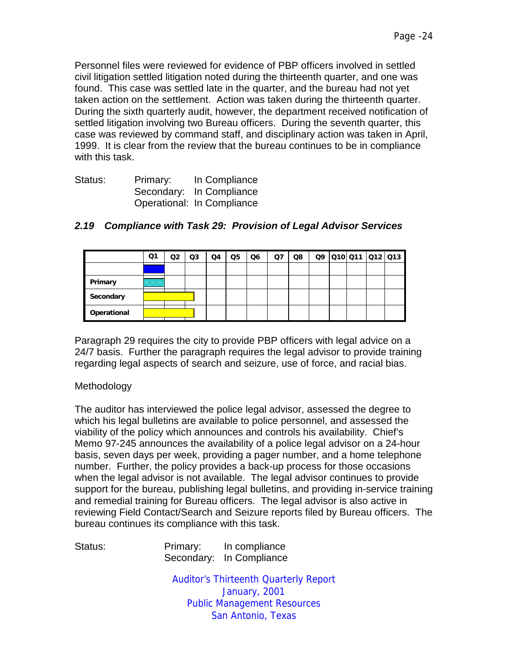Personnel files were reviewed for evidence of PBP officers involved in settled civil litigation settled litigation noted during the thirteenth quarter, and one was found. This case was settled late in the quarter, and the bureau had not yet taken action on the settlement. Action was taken during the thirteenth quarter. During the sixth quarterly audit, however, the department received notification of settled litigation involving two Bureau officers. During the seventh quarter, this case was reviewed by command staff, and disciplinary action was taken in April, 1999. It is clear from the review that the bureau continues to be in compliance with this task.

| Status: | Primary: | In Compliance              |
|---------|----------|----------------------------|
|         |          | Secondary: In Compliance   |
|         |          | Operational: In Compliance |

|             | Q1                                            | Q2                                                                            | Q3 | Q4 | Q5 | Q <sub>6</sub> | Q7 | Q8 |  | Q9 010 011 012 013 |  |
|-------------|-----------------------------------------------|-------------------------------------------------------------------------------|----|----|----|----------------|----|----|--|--------------------|--|
|             |                                               |                                                                               |    |    |    |                |    |    |  |                    |  |
| Primary     | <b>Contract Contract</b><br><b>CONTRACTOR</b> |                                                                               |    |    |    |                |    |    |  |                    |  |
| Secondary   |                                               | the contract of the contract of the con-<br>the company's company's company's |    |    |    |                |    |    |  |                    |  |
| Operational |                                               | the contract of the contract of the<br>the contract of the contract of the    |    |    |    |                |    |    |  |                    |  |

# *2.19 Compliance with Task 29: Provision of Legal Advisor Services*

Paragraph 29 requires the city to provide PBP officers with legal advice on a 24/7 basis. Further the paragraph requires the legal advisor to provide training regarding legal aspects of search and seizure, use of force, and racial bias.

# Methodology

The auditor has interviewed the police legal advisor, assessed the degree to which his legal bulletins are available to police personnel, and assessed the viability of the policy which announces and controls his availability. Chief's Memo 97-245 announces the availability of a police legal advisor on a 24-hour basis, seven days per week, providing a pager number, and a home telephone number. Further, the policy provides a back-up process for those occasions when the legal advisor is not available. The legal advisor continues to provide support for the bureau, publishing legal bulletins, and providing in-service training and remedial training for Bureau officers. The legal advisor is also active in reviewing Field Contact/Search and Seizure reports filed by Bureau officers. The bureau continues its compliance with this task.

Status: Primary: In compliance Secondary: In Compliance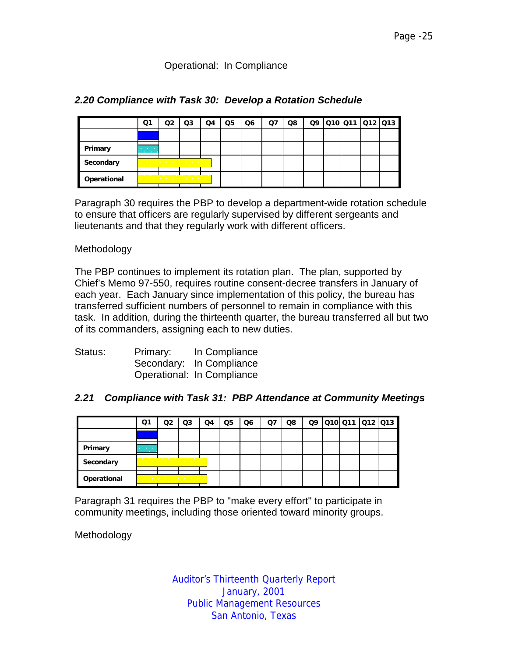#### Operational: In Compliance

|             | O.                                            | Q2 | Q3                                                                                                                                                                                                                                                                                                                                                      | Q4 | Q5 | Q6 | Q7 | Q8 |  | 09 010 011 012 013 |  |
|-------------|-----------------------------------------------|----|---------------------------------------------------------------------------------------------------------------------------------------------------------------------------------------------------------------------------------------------------------------------------------------------------------------------------------------------------------|----|----|----|----|----|--|--------------------|--|
|             |                                               |    |                                                                                                                                                                                                                                                                                                                                                         |    |    |    |    |    |  |                    |  |
| Primary     | <b>Contractor</b><br><b>Contract Contract</b> |    |                                                                                                                                                                                                                                                                                                                                                         |    |    |    |    |    |  |                    |  |
| Secondary   |                                               |    | the contract of the contract of the contract of the contract of the contract of the contract of the contract of<br><u>in the company's company's company's company's company's company's company's company's company's company's company's company's company's company's company's company's company's company's company's company's company's comp</u> |    |    |    |    |    |  |                    |  |
| Operational |                                               |    | the contract of the contract of the con-<br>.                                                                                                                                                                                                                                                                                                           |    |    |    |    |    |  |                    |  |

#### *2.20 Compliance with Task 30: Develop a Rotation Schedule*

Paragraph 30 requires the PBP to develop a department-wide rotation schedule to ensure that officers are regularly supervised by different sergeants and lieutenants and that they regularly work with different officers.

#### Methodology

The PBP continues to implement its rotation plan. The plan, supported by Chief's Memo 97-550, requires routine consent-decree transfers in January of each year. Each January since implementation of this policy, the bureau has transferred sufficient numbers of personnel to remain in compliance with this task. In addition, during the thirteenth quarter, the bureau transferred all but two of its commanders, assigning each to new duties.

| Status: | Primary: | In Compliance              |
|---------|----------|----------------------------|
|         |          | Secondary: In Compliance   |
|         |          | Operational: In Compliance |

# *2.21 Compliance with Task 31: PBP Attendance at Community Meetings*

|             | Q1                                     | Q2 | Q3                                                                         | Q4 | Q5 | Q6 | Q7 | Q8 |  |  | 09 010 011 012 013 |
|-------------|----------------------------------------|----|----------------------------------------------------------------------------|----|----|----|----|----|--|--|--------------------|
|             |                                        |    |                                                                            |    |    |    |    |    |  |  |                    |
| Primary     | <b>Contractor</b><br><b>CONTRACTOR</b> |    |                                                                            |    |    |    |    |    |  |  |                    |
| Secondary   |                                        |    | the company's company's company's company's<br>.                           |    |    |    |    |    |  |  |                    |
| Operational |                                        |    | . <del>.</del><br>the contract of the contract of the contract of the con- |    |    |    |    |    |  |  |                    |

Paragraph 31 requires the PBP to "make every effort" to participate in community meetings, including those oriented toward minority groups.

Methodology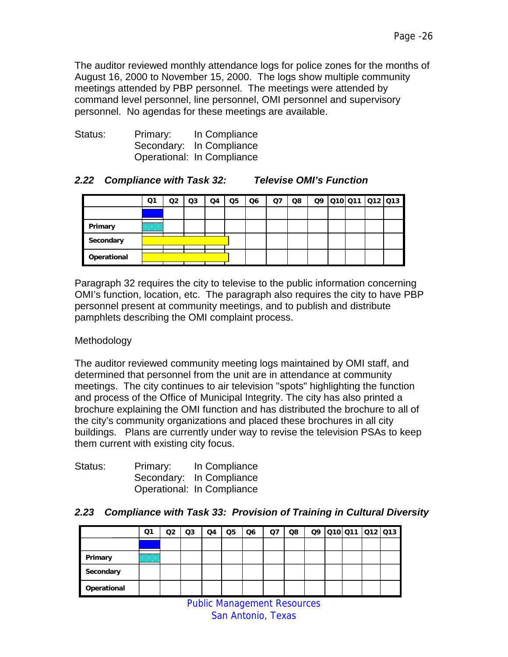The auditor reviewed monthly attendance logs for police zones for the months of August 16, 2000 to November 15, 2000. The logs show multiple community meetings attended by PBP personnel. The meetings were attended by command level personnel, line personnel, OMI personnel and supervisory personnel. No agendas for these meetings are available.

| Status: | Primary: | In Compliance              |
|---------|----------|----------------------------|
|         |          | Secondary: In Compliance   |
|         |          | Operational: In Compliance |

# *2.22 Compliance with Task 32: Televise OMI's Function*

|             | Q1                                                   | Q2 | Q3                                                                                                                                                                                                                                                                                                                                               | Q4 | Q5 | Q6 | O7 | Q8 |  | Q9 010 011 012 013 |  |
|-------------|------------------------------------------------------|----|--------------------------------------------------------------------------------------------------------------------------------------------------------------------------------------------------------------------------------------------------------------------------------------------------------------------------------------------------|----|----|----|----|----|--|--------------------|--|
|             |                                                      |    |                                                                                                                                                                                                                                                                                                                                                  |    |    |    |    |    |  |                    |  |
| Primary     | <b>Contract Contract</b><br><b>Contract Contract</b> |    |                                                                                                                                                                                                                                                                                                                                                  |    |    |    |    |    |  |                    |  |
| Secondary   |                                                      |    | the contract of the contract of the contract of the contract of the contract of the contract of the contract of<br>the company of the company of the company of the company of the company of the company of the company of the company of the company of the company of the company of the company of the company of the company of the company |    |    |    |    |    |  |                    |  |
| Operational |                                                      |    | the contract of the contract of the contract of the contract of the contract of the contract of the contract of                                                                                                                                                                                                                                  |    |    |    |    |    |  |                    |  |

Paragraph 32 requires the city to televise to the public information concerning OMI's function, location, etc. The paragraph also requires the city to have PBP personnel present at community meetings, and to publish and distribute pamphlets describing the OMI complaint process.

# Methodology

The auditor reviewed community meeting logs maintained by OMI staff, and determined that personnel from the unit are in attendance at community meetings. The city continues to air television "spots" highlighting the function and process of the Office of Municipal Integrity. The city has also printed a brochure explaining the OMI function and has distributed the brochure to all of the city's community organizations and placed these brochures in all city buildings. Plans are currently under way to revise the television PSAs to keep them current with existing city focus.

| Status: | Primary: | In Compliance              |
|---------|----------|----------------------------|
|         |          | Secondary: In Compliance   |
|         |          | Operational: In Compliance |

# *2.23 Compliance with Task 33: Provision of Training in Cultural Diversity*

|             | Q1                                          | Q2 | Q3 | Q4 | Q5 | Q6 | Q7 | Q8 |  | Q9 010 011 012 013 |  |
|-------------|---------------------------------------------|----|----|----|----|----|----|----|--|--------------------|--|
|             |                                             |    |    |    |    |    |    |    |  |                    |  |
| Primary     | and the company<br><b>Contract Contract</b> |    |    |    |    |    |    |    |  |                    |  |
| Secondary   |                                             |    |    |    |    |    |    |    |  |                    |  |
| Operational |                                             |    |    |    |    |    |    |    |  |                    |  |

Public Management Resources San Antonio, Texas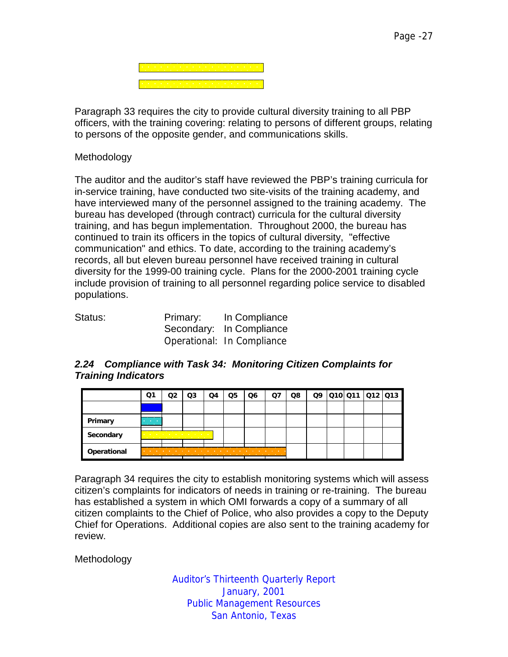Paragraph 33 requires the city to provide cultural diversity training to all PBP officers, with the training covering: relating to persons of different groups, relating to persons of the opposite gender, and communications skills.

#### Methodology

The auditor and the auditor's staff have reviewed the PBP's training curricula for in-service training, have conducted two site-visits of the training academy, and have interviewed many of the personnel assigned to the training academy. The bureau has developed (through contract) curricula for the cultural diversity training, and has begun implementation. Throughout 2000, the bureau has continued to train its officers in the topics of cultural diversity, "effective communication" and ethics. To date, according to the training academy's records, all but eleven bureau personnel have received training in cultural diversity for the 1999-00 training cycle. Plans for the 2000-2001 training cycle include provision of training to all personnel regarding police service to disabled populations.

| Status: | Primary: | In Compliance<br>Secondary: In Compliance |
|---------|----------|-------------------------------------------|
|         |          | Operational: In Compliance                |

#### *2.24 Compliance with Task 34: Monitoring Citizen Complaints for Training Indicators*

|             | Q1                                                                                                                                         |   | Q3                                                  | Q4 | Q5                | Q6 | Q7                       | Q8 |  | 09 010 011 012 013 |  |
|-------------|--------------------------------------------------------------------------------------------------------------------------------------------|---|-----------------------------------------------------|----|-------------------|----|--------------------------|----|--|--------------------|--|
|             |                                                                                                                                            |   |                                                     |    |                   |    |                          |    |  |                    |  |
| Primary     | An and the second state of the second state of the second state of the second state of the second state of the<br><b>Contract Contract</b> |   |                                                     |    |                   |    |                          |    |  |                    |  |
| Secondary   |                                                                                                                                            |   | the company of the company of the<br>. <del>.</del> |    |                   |    |                          |    |  |                    |  |
| Operational |                                                                                                                                            | . |                                                     |    | <b>CONTRACTOR</b> | .  | <b>Contract Contract</b> |    |  |                    |  |

Paragraph 34 requires the city to establish monitoring systems which will assess citizen's complaints for indicators of needs in training or re-training. The bureau has established a system in which OMI forwards a copy of a summary of all citizen complaints to the Chief of Police, who also provides a copy to the Deputy Chief for Operations. Additional copies are also sent to the training academy for review.

Methodology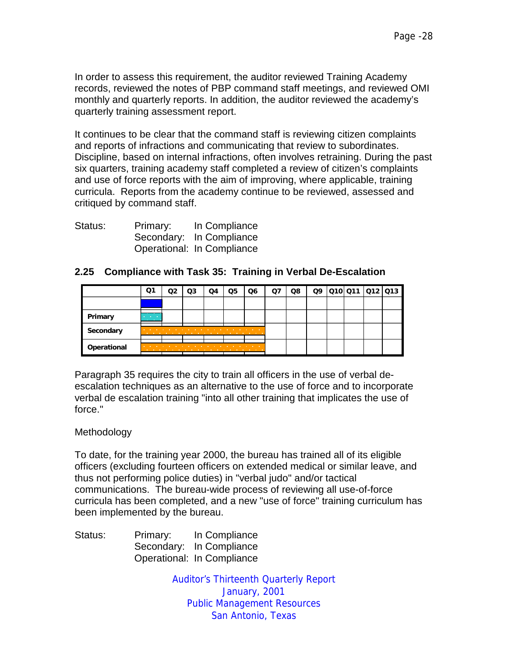In order to assess this requirement, the auditor reviewed Training Academy records, reviewed the notes of PBP command staff meetings, and reviewed OMI monthly and quarterly reports. In addition, the auditor reviewed the academy's quarterly training assessment report.

It continues to be clear that the command staff is reviewing citizen complaints and reports of infractions and communicating that review to subordinates. Discipline, based on internal infractions, often involves retraining. During the past six quarters, training academy staff completed a review of citizen's complaints and use of force reports with the aim of improving, where applicable, training curricula. Reports from the academy continue to be reviewed, assessed and critiqued by command staff.

| Status: | Primary: | In Compliance              |
|---------|----------|----------------------------|
|         |          | Secondary: In Compliance   |
|         |          | Operational: In Compliance |

|             | Ο1                                            | റാ | Q3 | Q4                                                               | Q5                          | Q6                                | O7 | Q8 | Q9 | 010 011 012 013 |  |
|-------------|-----------------------------------------------|----|----|------------------------------------------------------------------|-----------------------------|-----------------------------------|----|----|----|-----------------|--|
|             |                                               |    |    |                                                                  |                             |                                   |    |    |    |                 |  |
| Primary     | <b>Contract Contract</b><br><b>CONTRACTOR</b> |    |    |                                                                  |                             |                                   |    |    |    |                 |  |
| Secondary   | and the contract of the con-                  |    |    |                                                                  | <b>Service Control</b><br>. | the company's company's company's |    |    |    |                 |  |
| Operational | <b>Contract Contract</b>                      |    |    | <b>Contract</b><br><b>CONTRACTOR</b><br><b>STATE OF BUILDING</b> |                             | <b>Contract Contract</b>          |    |    |    |                 |  |

#### **2.25 Compliance with Task 35: Training in Verbal De-Escalation**

Paragraph 35 requires the city to train all officers in the use of verbal deescalation techniques as an alternative to the use of force and to incorporate verbal de escalation training "into all other training that implicates the use of force."

#### Methodology

To date, for the training year 2000, the bureau has trained all of its eligible officers (excluding fourteen officers on extended medical or similar leave, and thus not performing police duties) in "verbal judo" and/or tactical communications. The bureau-wide process of reviewing all use-of-force curricula has been completed, and a new "use of force" training curriculum has been implemented by the bureau.

Status: Primary: In Compliance Secondary: In Compliance Operational: In Compliance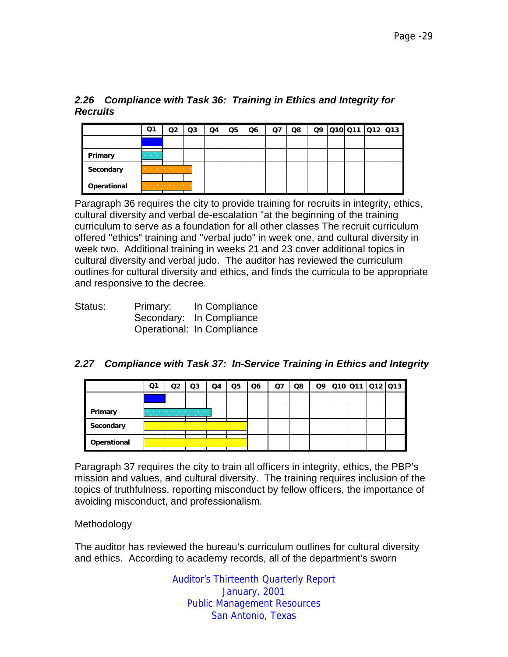# *2.26 Compliance with Task 36: Training in Ethics and Integrity for Recruits*

|             | Q1                                   | O2                                     | Q3 | Q4 | Q5 | Q6 | Q7 | Q8 |  |  | 09 010 011 012 013 |
|-------------|--------------------------------------|----------------------------------------|----|----|----|----|----|----|--|--|--------------------|
|             |                                      |                                        |    |    |    |    |    |    |  |  |                    |
| Primary     | and the control<br><b>CONTRACTOR</b> |                                        |    |    |    |    |    |    |  |  |                    |
| Secondary   | <b>COLLECTION</b><br>.               | <b>Contract Contract Contract</b><br>. |    |    |    |    |    |    |  |  |                    |
| Operational |                                      | <b>Contract Contract Contract</b><br>. |    |    |    |    |    |    |  |  |                    |

Paragraph 36 requires the city to provide training for recruits in integrity, ethics, cultural diversity and verbal de-escalation "at the beginning of the training curriculum to serve as a foundation for all other classes The recruit curriculum offered "ethics" training and "verbal judo" in week one, and cultural diversity in week two. Additional training in weeks 21 and 23 cover additional topics in cultural diversity and verbal judo. The auditor has reviewed the curriculum outlines for cultural diversity and ethics, and finds the curricula to be appropriate and responsive to the decree.

| Status: | Primary: | In Compliance              |
|---------|----------|----------------------------|
|         |          | Secondary: In Compliance   |
|         |          | Operational: In Compliance |

# *2.27 Compliance with Task 37: In-Service Training in Ethics and Integrity*

|             | Q1 | O3                                                                                                                                                                                                                                  | Q4 | Q5 | Q <sub>6</sub> | Ο7 | Q8 |  | Q9 010 011 012 013 |  |
|-------------|----|-------------------------------------------------------------------------------------------------------------------------------------------------------------------------------------------------------------------------------------|----|----|----------------|----|----|--|--------------------|--|
|             |    |                                                                                                                                                                                                                                     |    |    |                |    |    |  |                    |  |
| Primary     |    | <b>Contract Contract</b><br><b>Contract Contract Contract</b>                                                                                                                                                                       |    |    |                |    |    |  |                    |  |
| Secondary   |    | the contract of the contract of the contract of the contract of the contract of the contract of the contract of the contract of the contract of the contract of the contract of the contract of the contract of the contract o<br>. |    |    |                |    |    |  |                    |  |
| Operational |    | the contract of the contract of the contract of the contract of the contract of the contract of                                                                                                                                     |    |    |                |    |    |  |                    |  |

Paragraph 37 requires the city to train all officers in integrity, ethics, the PBP's mission and values, and cultural diversity. The training requires inclusion of the topics of truthfulness, reporting misconduct by fellow officers, the importance of avoiding misconduct, and professionalism.

#### Methodology

The auditor has reviewed the bureau's curriculum outlines for cultural diversity and ethics. According to academy records, all of the department's sworn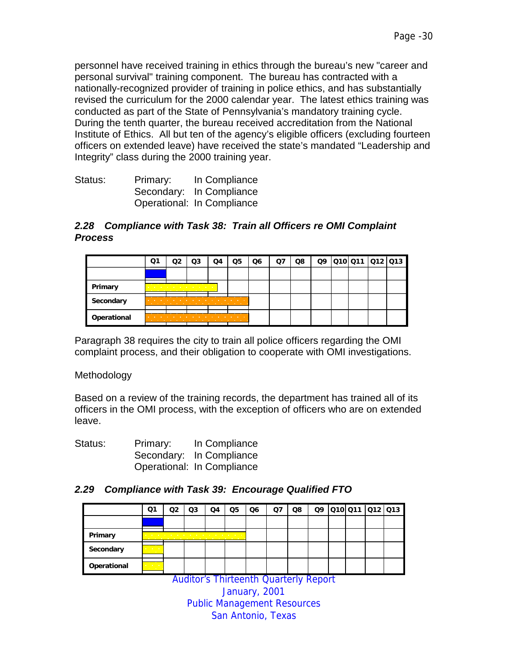personnel have received training in ethics through the bureau's new "career and personal survival" training component. The bureau has contracted with a nationally-recognized provider of training in police ethics, and has substantially revised the curriculum for the 2000 calendar year. The latest ethics training was conducted as part of the State of Pennsylvania's mandatory training cycle. During the tenth quarter, the bureau received accreditation from the National Institute of Ethics. All but ten of the agency's eligible officers (excluding fourteen officers on extended leave) have received the state's mandated "Leadership and Integrity" class during the 2000 training year.

| Status: | Primary: | In Compliance              |
|---------|----------|----------------------------|
|         |          | Secondary: In Compliance   |
|         |          | Operational: In Compliance |

#### *2.28 Compliance with Task 38: Train all Officers re OMI Complaint Process*

|             | Ο1                       | O3             | Q4                                                                                                              | Q5                       | Q6 | Ο7 | Q8 |  | Q9 010 011 012 013 |  |
|-------------|--------------------------|----------------|-----------------------------------------------------------------------------------------------------------------|--------------------------|----|----|----|--|--------------------|--|
|             |                          |                |                                                                                                                 |                          |    |    |    |  |                    |  |
| Primary     |                          | . <del>.</del> |                                                                                                                 |                          |    |    |    |  |                    |  |
| Secondary   | <b>STATE OF BUILDING</b> |                | the contract of the contract of the contract of the contract of the contract of the contract of the contract of |                          |    |    |    |  |                    |  |
| Operational |                          |                |                                                                                                                 | <b>Contract Contract</b> |    |    |    |  |                    |  |

Paragraph 38 requires the city to train all police officers regarding the OMI complaint process, and their obligation to cooperate with OMI investigations.

#### **Methodology**

Based on a review of the training records, the department has trained all of its officers in the OMI process, with the exception of officers who are on extended leave.

| Status: | Primary: | In Compliance              |
|---------|----------|----------------------------|
|         |          | Secondary: In Compliance   |
|         |          | Operational: In Compliance |

# *2.29 Compliance with Task 39: Encourage Qualified FTO*

|             | Q1                                       | O2 | Q3                                                                                                                                                                                                                                   | Q4                                                                                                              | Q5 | Q <sub>6</sub> | Q7 | Q8 |  | 09 010 011 012 013 |  |
|-------------|------------------------------------------|----|--------------------------------------------------------------------------------------------------------------------------------------------------------------------------------------------------------------------------------------|-----------------------------------------------------------------------------------------------------------------|----|----------------|----|----|--|--------------------|--|
|             |                                          |    |                                                                                                                                                                                                                                      |                                                                                                                 |    |                |    |    |  |                    |  |
| Primary     |                                          |    | <u>in the company's property and the company's property of the company's property of the company's property of the company's property of the company's property of the company's property of the company's property of the compa</u> | the contract of the contract of the contract of the contract of the contract of the contract of the contract of |    |                |    |    |  |                    |  |
| Secondary   | urun                                     |    |                                                                                                                                                                                                                                      |                                                                                                                 |    |                |    |    |  |                    |  |
| Operational | <b>All Carolina</b><br><b>CONTRACTOR</b> |    |                                                                                                                                                                                                                                      |                                                                                                                 |    |                |    |    |  |                    |  |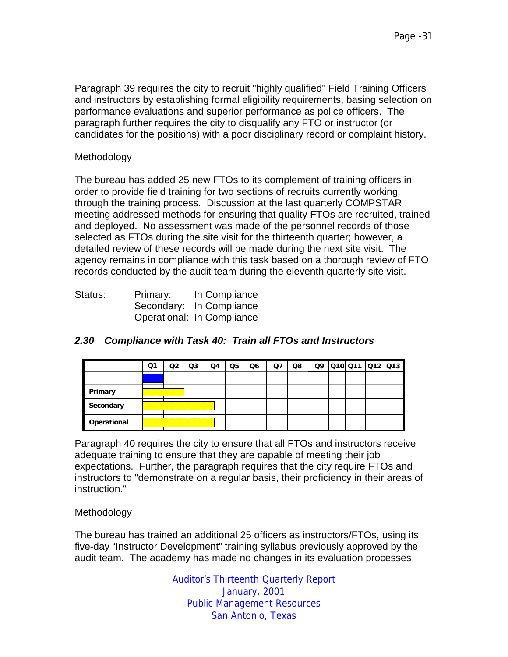Paragraph 39 requires the city to recruit "highly qualified" Field Training Officers and instructors by establishing formal eligibility requirements, basing selection on performance evaluations and superior performance as police officers. The paragraph further requires the city to disqualify any FTO or instructor (or candidates for the positions) with a poor disciplinary record or complaint history.

#### Methodology

The bureau has added 25 new FTOs to its complement of training officers in order to provide field training for two sections of recruits currently working through the training process. Discussion at the last quarterly COMPSTAR meeting addressed methods for ensuring that quality FTOs are recruited, trained and deployed. No assessment was made of the personnel records of those selected as FTOs during the site visit for the thirteenth quarter; however, a detailed review of these records will be made during the next site visit. The agency remains in compliance with this task based on a thorough review of FTO records conducted by the audit team during the eleventh quarterly site visit.

| Status: | Primary: | In Compliance              |
|---------|----------|----------------------------|
|         |          | Secondary: In Compliance   |
|         |          | Operational: In Compliance |

|             | Ο1                                  | O2                                                                                                                                                                 | Q3 | Q4 | Q5 | Q6 | Q7 | Q8 | Q9 | 010 011 012 013 |  |
|-------------|-------------------------------------|--------------------------------------------------------------------------------------------------------------------------------------------------------------------|----|----|----|----|----|----|----|-----------------|--|
|             |                                     |                                                                                                                                                                    |    |    |    |    |    |    |    |                 |  |
| Primary     | the contract of the contract of the |                                                                                                                                                                    |    |    |    |    |    |    |    |                 |  |
| Secondary   |                                     | the contract of the contract of the contract of the con-<br>the contract of the contract of the contract of                                                        |    |    |    |    |    |    |    |                 |  |
| Operational |                                     | the contract of the contract of the contract of the contract of the contract of the contract of the contract of<br>the contract of the contract of the contract of |    |    |    |    |    |    |    |                 |  |

# *2.30 Compliance with Task 40: Train all FTOs and Instructors*

Paragraph 40 requires the city to ensure that all FTOs and instructors receive adequate training to ensure that they are capable of meeting their job expectations. Further, the paragraph requires that the city require FTOs and instructors to "demonstrate on a regular basis, their proficiency in their areas of instruction."

#### **Methodology**

The bureau has trained an additional 25 officers as instructors/FTOs, using its five-day "Instructor Development" training syllabus previously approved by the audit team. The academy has made no changes in its evaluation processes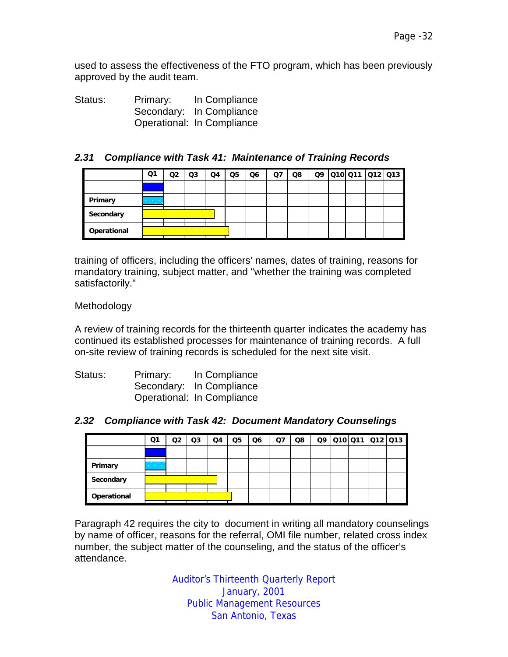used to assess the effectiveness of the FTO program, which has been previously approved by the audit team.

Status: Primary: In Compliance Secondary: In Compliance Operational: In Compliance

#### *2.31 Compliance with Task 41: Maintenance of Training Records*

|             | Q1                                            | O2 | Q3                                                                                                                             | Q4 | Q5 | Q6 | Ω7 | Q8 |  |  | 09 010 011 012 013 |
|-------------|-----------------------------------------------|----|--------------------------------------------------------------------------------------------------------------------------------|----|----|----|----|----|--|--|--------------------|
|             |                                               |    |                                                                                                                                |    |    |    |    |    |  |  |                    |
| Primary     | <b>Contract Contract</b><br><b>CONTRACTOR</b> |    |                                                                                                                                |    |    |    |    |    |  |  |                    |
| Secondary   |                                               |    | the company's company's company's<br>the company of the company of the company of the company of the company of the company of |    |    |    |    |    |  |  |                    |
| Operational | .                                             |    | the company's company's company's company's company's company's company's company's company's company's company's<br>.         |    |    |    |    |    |  |  |                    |

training of officers, including the officers' names, dates of training, reasons for mandatory training, subject matter, and "whether the training was completed satisfactorily."

#### Methodology

A review of training records for the thirteenth quarter indicates the academy has continued its established processes for maintenance of training records. A full on-site review of training records is scheduled for the next site visit.

| Status: | Primary: | In Compliance              |
|---------|----------|----------------------------|
|         |          | Secondary: In Compliance   |
|         |          | Operational: In Compliance |

#### *2.32 Compliance with Task 42: Document Mandatory Counselings*

|             | Q1                                            | Q3                                                                                                                                                                                                                                  | Q4 | Q5 | Q <sub>6</sub> | Q7 | Q8 |  | Q9 010 011 012 013 |  |
|-------------|-----------------------------------------------|-------------------------------------------------------------------------------------------------------------------------------------------------------------------------------------------------------------------------------------|----|----|----------------|----|----|--|--------------------|--|
|             |                                               |                                                                                                                                                                                                                                     |    |    |                |    |    |  |                    |  |
| Primary     | <b>Contract Contract</b><br><b>CONTRACTOR</b> |                                                                                                                                                                                                                                     |    |    |                |    |    |  |                    |  |
| Secondary   |                                               | and a series of the control of the con-<br>the company's company's company's company's                                                                                                                                              |    |    |                |    |    |  |                    |  |
| Operational |                                               | the contract of the contract of the contract of the contract of the contract of the contract of the contract of the contract of the contract of the contract of the contract of the contract of the contract of the contract o<br>. |    |    |                |    |    |  |                    |  |

Paragraph 42 requires the city to document in writing all mandatory counselings by name of officer, reasons for the referral, OMI file number, related cross index number, the subject matter of the counseling, and the status of the officer's attendance.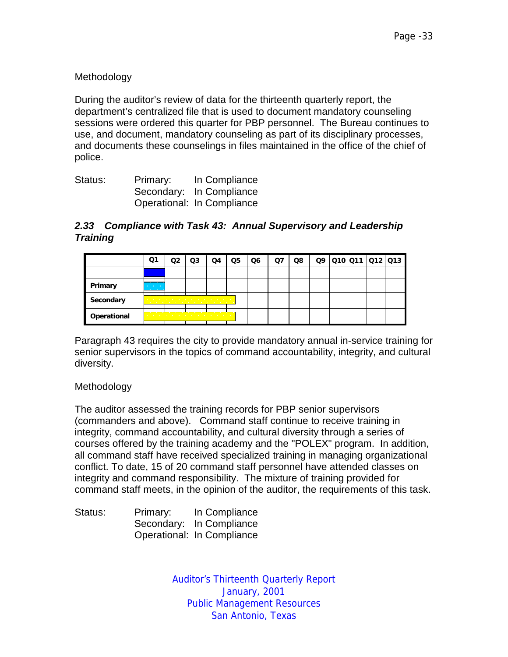# Methodology

During the auditor's review of data for the thirteenth quarterly report, the department's centralized file that is used to document mandatory counseling sessions were ordered this quarter for PBP personnel. The Bureau continues to use, and document, mandatory counseling as part of its disciplinary processes, and documents these counselings in files maintained in the office of the chief of police.

| Status: | Primary: | In Compliance              |
|---------|----------|----------------------------|
|         |          | Secondary: In Compliance   |
|         |          | Operational: In Compliance |

#### *2.33 Compliance with Task 43: Annual Supervisory and Leadership Training*

|             | Q1                                            | Q3                                                | Q4                         | Q5 | Q6 | Q7 | Q8 |  |  | Q9 010 011 012 013 |
|-------------|-----------------------------------------------|---------------------------------------------------|----------------------------|----|----|----|----|--|--|--------------------|
|             |                                               |                                                   |                            |    |    |    |    |  |  |                    |
| Primary     | <b>Contract Contract</b><br><b>CONTRACTOR</b> |                                                   |                            |    |    |    |    |  |  |                    |
| Secondary   |                                               | the company of the company of the company of<br>. |                            |    |    |    |    |  |  |                    |
| Operational |                                               | <b>Contract Contract</b><br>.                     | the company of the company |    |    |    |    |  |  |                    |

Paragraph 43 requires the city to provide mandatory annual in-service training for senior supervisors in the topics of command accountability, integrity, and cultural diversity.

#### Methodology

The auditor assessed the training records for PBP senior supervisors (commanders and above). Command staff continue to receive training in integrity, command accountability, and cultural diversity through a series of courses offered by the training academy and the "POLEX" program. In addition, all command staff have received specialized training in managing organizational conflict. To date, 15 of 20 command staff personnel have attended classes on integrity and command responsibility. The mixture of training provided for command staff meets, in the opinion of the auditor, the requirements of this task.

| Status: | Primary: | In Compliance              |
|---------|----------|----------------------------|
|         |          | Secondary: In Compliance   |
|         |          | Operational: In Compliance |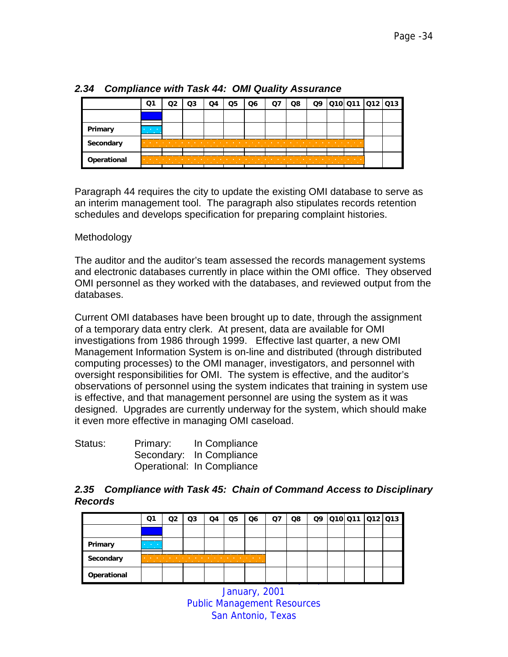|             | Q1                                                   | Q3 | Q5 | Q6 |   | Q8 | Q9 | 010 011  012  013        |  |
|-------------|------------------------------------------------------|----|----|----|---|----|----|--------------------------|--|
|             |                                                      |    |    |    |   |    |    |                          |  |
| Primary     | <b>Contract Contract</b><br><b>THE REAL PROPERTY</b> |    |    |    |   |    |    |                          |  |
| Secondary   |                                                      |    |    |    | . |    |    | .                        |  |
| Operational | .                                                    |    |    |    |   |    |    | <b>STATE OF BUILDING</b> |  |

# *2.34 Compliance with Task 44: OMI Quality Assurance*

Paragraph 44 requires the city to update the existing OMI database to serve as an interim management tool. The paragraph also stipulates records retention schedules and develops specification for preparing complaint histories.

#### Methodology

The auditor and the auditor's team assessed the records management systems and electronic databases currently in place within the OMI office. They observed OMI personnel as they worked with the databases, and reviewed output from the databases.

Current OMI databases have been brought up to date, through the assignment of a temporary data entry clerk. At present, data are available for OMI investigations from 1986 through 1999. Effective last quarter, a new OMI Management Information System is on-line and distributed (through distributed computing processes) to the OMI manager, investigators, and personnel with oversight responsibilities for OMI. The system is effective, and the auditor's observations of personnel using the system indicates that training in system use is effective, and that management personnel are using the system as it was designed. Upgrades are currently underway for the system, which should make it even more effective in managing OMI caseload.

| Status: | Primary: | In Compliance              |
|---------|----------|----------------------------|
|         |          | Secondary: In Compliance   |
|         |          | Operational: In Compliance |

#### *2.35 Compliance with Task 45: Chain of Command Access to Disciplinary Records*

|             | Ο1                                                  | O2 | Q3                                                                                                  | Q4 | Q5 | Q <sub>6</sub> | Ο7 | Q8 |  | Q9 010 011 012 013 |  |
|-------------|-----------------------------------------------------|----|-----------------------------------------------------------------------------------------------------|----|----|----------------|----|----|--|--------------------|--|
|             |                                                     |    |                                                                                                     |    |    |                |    |    |  |                    |  |
| Primary     | <b>Contract Contract Contract</b><br><b>SELLING</b> |    |                                                                                                     |    |    |                |    |    |  |                    |  |
| Secondary   |                                                     |    | the contract of the contract of the contract of the contract of the contract of the contract of the |    |    |                |    |    |  |                    |  |
| Operational |                                                     |    |                                                                                                     |    |    |                |    |    |  |                    |  |

January, 2001 Public Management Resources San Antonio, Texas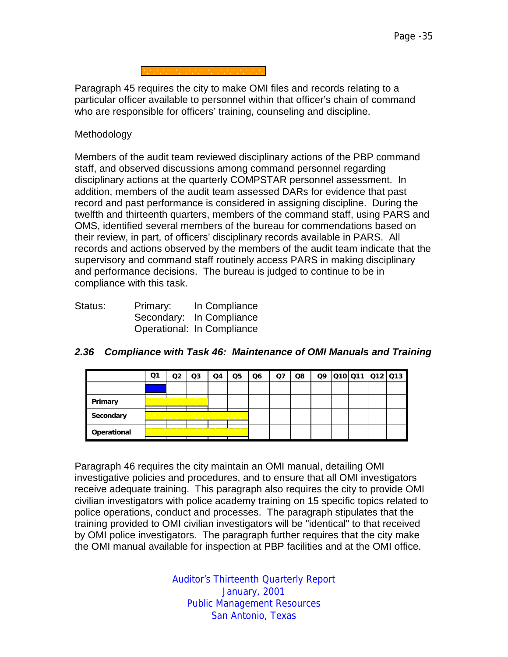Paragraph 45 requires the city to make OMI files and records relating to a particular officer available to personnel within that officer's chain of command who are responsible for officers' training, counseling and discipline.

#### **Methodology**

Members of the audit team reviewed disciplinary actions of the PBP command staff, and observed discussions among command personnel regarding disciplinary actions at the quarterly COMPSTAR personnel assessment. In addition, members of the audit team assessed DARs for evidence that past record and past performance is considered in assigning discipline. During the twelfth and thirteenth quarters, members of the command staff, using PARS and OMS, identified several members of the bureau for commendations based on their review, in part, of officers' disciplinary records available in PARS. All records and actions observed by the members of the audit team indicate that the supervisory and command staff routinely access PARS in making disciplinary and performance decisions. The bureau is judged to continue to be in compliance with this task.

| Status: | Primary: | In Compliance              |
|---------|----------|----------------------------|
|         |          | Secondary: In Compliance   |
|         |          | Operational: In Compliance |

|             | Ο1 | O2 | Q3                                                                                                                                                                                                                                                                                                                                                 | Q4 | Q5 | Q6 | Q7 | Q8 | Q9 | 010 011 012 013 |  |
|-------------|----|----|----------------------------------------------------------------------------------------------------------------------------------------------------------------------------------------------------------------------------------------------------------------------------------------------------------------------------------------------------|----|----|----|----|----|----|-----------------|--|
|             |    |    |                                                                                                                                                                                                                                                                                                                                                    |    |    |    |    |    |    |                 |  |
| Primary     |    | .  | the company's company's company's com-                                                                                                                                                                                                                                                                                                             |    |    |    |    |    |    |                 |  |
| Secondary   |    |    | the contract of the contract of the contract of the contract of the contract of the contract of the contract of<br>.                                                                                                                                                                                                                               |    |    |    |    |    |    |                 |  |
| Operational |    |    | the company's company's company's company's company's company's company's company's company's company's company's<br>the company of the company of the company of the company of the company of the company of the company of the company of the company of the company of the company of the company of the company of the company of the company |    |    |    |    |    |    |                 |  |

#### *2.36 Compliance with Task 46: Maintenance of OMI Manuals and Training*

Paragraph 46 requires the city maintain an OMI manual, detailing OMI investigative policies and procedures, and to ensure that all OMI investigators receive adequate training. This paragraph also requires the city to provide OMI civilian investigators with police academy training on 15 specific topics related to police operations, conduct and processes. The paragraph stipulates that the training provided to OMI civilian investigators will be "identical" to that received by OMI police investigators. The paragraph further requires that the city make the OMI manual available for inspection at PBP facilities and at the OMI office.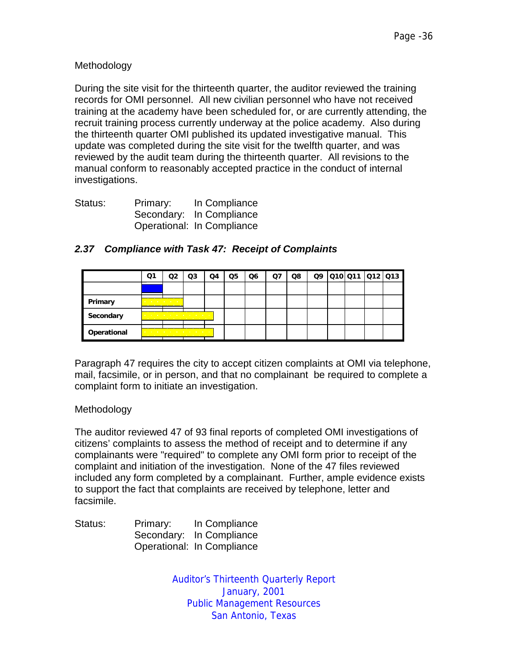#### Methodology

During the site visit for the thirteenth quarter, the auditor reviewed the training records for OMI personnel. All new civilian personnel who have not received training at the academy have been scheduled for, or are currently attending, the recruit training process currently underway at the police academy. Also during the thirteenth quarter OMI published its updated investigative manual. This update was completed during the site visit for the twelfth quarter, and was reviewed by the audit team during the thirteenth quarter. All revisions to the manual conform to reasonably accepted practice in the conduct of internal investigations.

| Status: | Primary: | In Compliance              |
|---------|----------|----------------------------|
|         |          | Secondary: In Compliance   |
|         |          | Operational: In Compliance |

|             | Ο1                                     | റാ | Q3                                                                                                                                                                                                                                                                                                                                                | O4 | Q5 | Q6 | Q7 | Q8 |  |  | 09 010 011 012 013 |
|-------------|----------------------------------------|----|---------------------------------------------------------------------------------------------------------------------------------------------------------------------------------------------------------------------------------------------------------------------------------------------------------------------------------------------------|----|----|----|----|----|--|--|--------------------|
|             |                                        |    |                                                                                                                                                                                                                                                                                                                                                   |    |    |    |    |    |  |  |                    |
| Primary     | <b>Service Control Control Control</b> | .  |                                                                                                                                                                                                                                                                                                                                                   |    |    |    |    |    |  |  |                    |
| Secondary   |                                        |    | and a series of the control of the con-<br>the contract of the contract of the contract of the contract of the contract of the contract of the contract of                                                                                                                                                                                        |    |    |    |    |    |  |  |                    |
| Operational |                                        |    | and a series of the control of the control of the control of the control of the control of the control of the control of the control of the control of the control of the control of the control of the control of the control<br>the contract of the contract of the contract of the contract of the contract of the contract of the contract of |    |    |    |    |    |  |  |                    |

#### *2.37 Compliance with Task 47: Receipt of Complaints*

Paragraph 47 requires the city to accept citizen complaints at OMI via telephone, mail, facsimile, or in person, and that no complainant be required to complete a complaint form to initiate an investigation.

#### **Methodology**

The auditor reviewed 47 of 93 final reports of completed OMI investigations of citizens' complaints to assess the method of receipt and to determine if any complainants were "required" to complete any OMI form prior to receipt of the complaint and initiation of the investigation. None of the 47 files reviewed included any form completed by a complainant. Further, ample evidence exists to support the fact that complaints are received by telephone, letter and facsimile.

| Status: | Primary: | In Compliance              |
|---------|----------|----------------------------|
|         |          | Secondary: In Compliance   |
|         |          | Operational: In Compliance |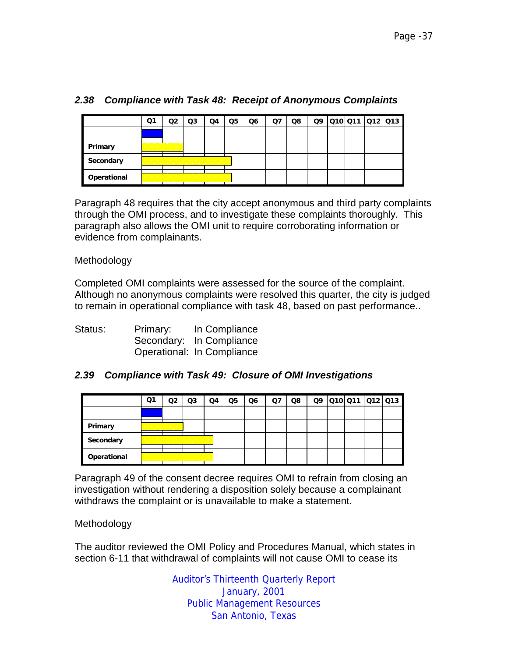|             | Q1                                |   | Q3                                                                                                                                                                                                                                                                                                          | O4 | Q5 | Q6 | Q7 | Q8 |  |  | Q9 010 011 012 013 |
|-------------|-----------------------------------|---|-------------------------------------------------------------------------------------------------------------------------------------------------------------------------------------------------------------------------------------------------------------------------------------------------------------|----|----|----|----|----|--|--|--------------------|
|             |                                   |   |                                                                                                                                                                                                                                                                                                             |    |    |    |    |    |  |  |                    |
| Primary     | and the company of the company of | . |                                                                                                                                                                                                                                                                                                             |    |    |    |    |    |  |  |                    |
| Secondary   |                                   |   | the contract of the contract of the contract of the con-<br>. <del>.</del> .                                                                                                                                                                                                                                |    |    |    |    |    |  |  |                    |
| Operational |                                   |   | the company of the company of the company of the company of the company of the company of the company of the company of the company of the company of the company of the company of the company of the company of the company<br>the company of the company of the company of the company of the company of |    |    |    |    |    |  |  |                    |

# *2.38 Compliance with Task 48: Receipt of Anonymous Complaints*

Paragraph 48 requires that the city accept anonymous and third party complaints through the OMI process, and to investigate these complaints thoroughly. This paragraph also allows the OMI unit to require corroborating information or evidence from complainants.

#### Methodology

Completed OMI complaints were assessed for the source of the complaint. Although no anonymous complaints were resolved this quarter, the city is judged to remain in operational compliance with task 48, based on past performance..

| Status: | Primary: | In Compliance              |
|---------|----------|----------------------------|
|         |          | Secondary: In Compliance   |
|         |          | Operational: In Compliance |

#### *2.39 Compliance with Task 49: Closure of OMI Investigations*

|             | Q1                                | าว:                                                                                                                                                                             | Q3 | Q4 | Q5 | Q6 | Q7 | Q8 |  | Q9 010 011 012 013 |  |
|-------------|-----------------------------------|---------------------------------------------------------------------------------------------------------------------------------------------------------------------------------|----|----|----|----|----|----|--|--------------------|--|
|             |                                   |                                                                                                                                                                                 |    |    |    |    |    |    |  |                    |  |
| Primary     | the company's company's company's | the company of the company of the                                                                                                                                               |    |    |    |    |    |    |  |                    |  |
| Secondary   |                                   | and the company of the company of the company of the company of the company of the company of the company of the<br>the company of the company of the company of the company of |    |    |    |    |    |    |  |                    |  |
| Operational |                                   | the contract of the contract of the contract of the contract of the contract of the contract of the contract of<br>.                                                            |    |    |    |    |    |    |  |                    |  |

Paragraph 49 of the consent decree requires OMI to refrain from closing an investigation without rendering a disposition solely because a complainant withdraws the complaint or is unavailable to make a statement.

#### Methodology

The auditor reviewed the OMI Policy and Procedures Manual, which states in section 6-11 that withdrawal of complaints will not cause OMI to cease its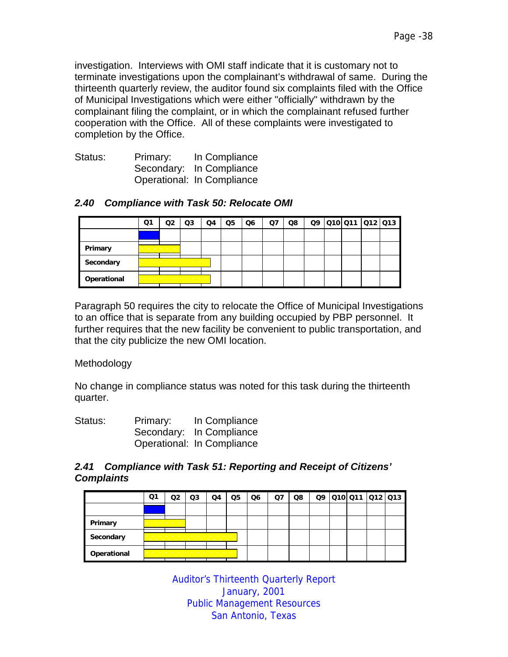investigation. Interviews with OMI staff indicate that it is customary not to terminate investigations upon the complainant's withdrawal of same. During the thirteenth quarterly review, the auditor found six complaints filed with the Office of Municipal Investigations which were either "officially" withdrawn by the complainant filing the complaint, or in which the complainant refused further cooperation with the Office. All of these complaints were investigated to completion by the Office.

| Status: | Primary: | In Compliance              |
|---------|----------|----------------------------|
|         |          | Secondary: In Compliance   |
|         |          | Operational: In Compliance |

#### *2.40 Compliance with Task 50: Relocate OMI*

|             | Q1                                     | מח                                           | Q3                                                                                                                                                                                                                                 | Q4 | Q5 | Q6 | Ω7 | Q8 |  | Q9 010 011 012 013 |  |
|-------------|----------------------------------------|----------------------------------------------|------------------------------------------------------------------------------------------------------------------------------------------------------------------------------------------------------------------------------------|----|----|----|----|----|--|--------------------|--|
|             |                                        |                                              |                                                                                                                                                                                                                                    |    |    |    |    |    |  |                    |  |
| Primary     | the company's company's company's com- | the company of the company of the company of |                                                                                                                                                                                                                                    |    |    |    |    |    |  |                    |  |
| Secondary   |                                        |                                              | the company of the company of the company of the company of the company of the company of the company of the company of the company of the company of the company of the company of the company of the company of the company<br>. |    |    |    |    |    |  |                    |  |
| Operational |                                        |                                              | and the company of the company of the company of the company of the company of the company of the company of the<br>the contract of the contract of the contract of the con-                                                       |    |    |    |    |    |  |                    |  |

Paragraph 50 requires the city to relocate the Office of Municipal Investigations to an office that is separate from any building occupied by PBP personnel. It further requires that the new facility be convenient to public transportation, and that the city publicize the new OMI location.

Methodology

No change in compliance status was noted for this task during the thirteenth quarter.

| Status: | Primary: | In Compliance              |
|---------|----------|----------------------------|
|         |          | Secondary: In Compliance   |
|         |          | Operational: In Compliance |

#### *2.41 Compliance with Task 51: Reporting and Receipt of Citizens' Complaints*

|             | Q1                              | าว                            | Q3                                                                                                              | Q4 | Q5 | Q6 | Ο7 | Q8 |  | Q9 010 011 012 013 |  |
|-------------|---------------------------------|-------------------------------|-----------------------------------------------------------------------------------------------------------------|----|----|----|----|----|--|--------------------|--|
|             |                                 |                               |                                                                                                                 |    |    |    |    |    |  |                    |  |
| Primary     | and the company's company's and | the company of the company of |                                                                                                                 |    |    |    |    |    |  |                    |  |
| Secondary   |                                 |                               | the contract of the contract of the contract of the con-<br>. <del>. .</del>                                    |    |    |    |    |    |  |                    |  |
| Operational |                                 |                               | the contract of the contract of the contract of the contract of the contract of the contract of the contract of |    |    |    |    |    |  |                    |  |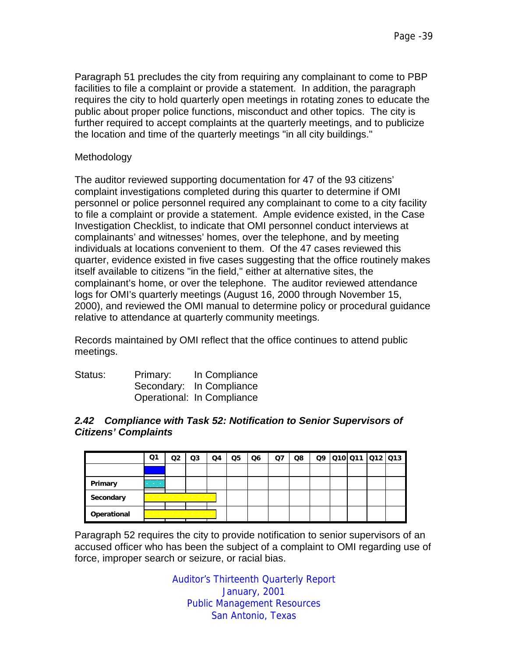Paragraph 51 precludes the city from requiring any complainant to come to PBP facilities to file a complaint or provide a statement. In addition, the paragraph requires the city to hold quarterly open meetings in rotating zones to educate the public about proper police functions, misconduct and other topics. The city is further required to accept complaints at the quarterly meetings, and to publicize the location and time of the quarterly meetings "in all city buildings."

#### Methodology

The auditor reviewed supporting documentation for 47 of the 93 citizens' complaint investigations completed during this quarter to determine if OMI personnel or police personnel required any complainant to come to a city facility to file a complaint or provide a statement. Ample evidence existed, in the Case Investigation Checklist, to indicate that OMI personnel conduct interviews at complainants' and witnesses' homes, over the telephone, and by meeting individuals at locations convenient to them. Of the 47 cases reviewed this quarter, evidence existed in five cases suggesting that the office routinely makes itself available to citizens "in the field," either at alternative sites, the complainant's home, or over the telephone. The auditor reviewed attendance logs for OMI's quarterly meetings (August 16, 2000 through November 15, 2000), and reviewed the OMI manual to determine policy or procedural guidance relative to attendance at quarterly community meetings.

Records maintained by OMI reflect that the office continues to attend public meetings.

| Status: | Primary: | In Compliance              |
|---------|----------|----------------------------|
|         |          | Secondary: In Compliance   |
|         |          | Operational: In Compliance |

#### *2.42 Compliance with Task 52: Notification to Senior Supervisors of Citizens' Complaints*

|             | Q1                                            | O2 | Q3                                                                                                                                                                                                                                                                                         | Q4 | Q5 | Q6 | Ο7 | Q8 | Q9 | Q10 Q11 Q12 Q13 |  |
|-------------|-----------------------------------------------|----|--------------------------------------------------------------------------------------------------------------------------------------------------------------------------------------------------------------------------------------------------------------------------------------------|----|----|----|----|----|----|-----------------|--|
|             |                                               |    |                                                                                                                                                                                                                                                                                            |    |    |    |    |    |    |                 |  |
| Primary     | <b>Contract Contract</b><br><b>CONTRACTOR</b> |    |                                                                                                                                                                                                                                                                                            |    |    |    |    |    |    |                 |  |
| Secondary   |                                               |    | and the contract of the contract of the contract of the contract of the contract of the contract of the contract of the contract of the contract of the contract of the contract of the contract of the contract of the contra<br>the contract of the contract of the contract of the con- |    |    |    |    |    |    |                 |  |
| Operational |                                               |    | the contract of the contract of the contract of the<br>the contract of the contract of the contract of                                                                                                                                                                                     |    |    |    |    |    |    |                 |  |

Paragraph 52 requires the city to provide notification to senior supervisors of an accused officer who has been the subject of a complaint to OMI regarding use of force, improper search or seizure, or racial bias.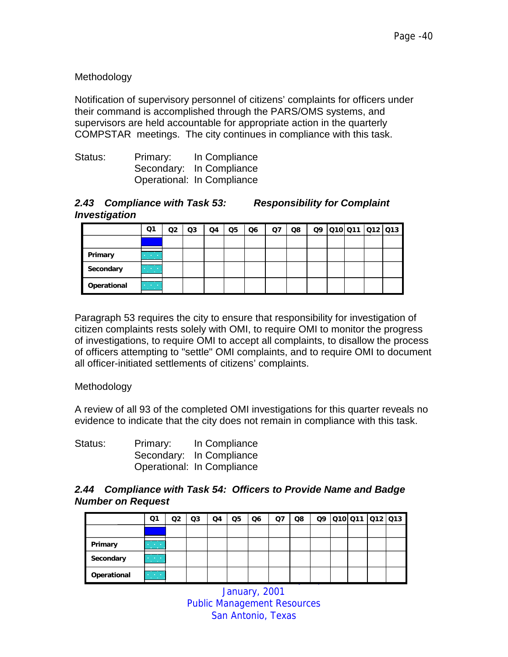# Methodology

Notification of supervisory personnel of citizens' complaints for officers under their command is accomplished through the PARS/OMS systems, and supervisors are held accountable for appropriate action in the quarterly COMPSTAR meetings. The city continues in compliance with this task.

| Status: | Primary: | In Compliance              |
|---------|----------|----------------------------|
|         |          | Secondary: In Compliance   |
|         |          | Operational: In Compliance |

#### *2.43 Compliance with Task 53: Responsibility for Complaint Investigation*

|             | Q1                                            | O2 | Q3 | Q4 | Q5 | Q6 | Q7 | Q8 | Q9 | Q10 Q11 Q12 Q13 |  |
|-------------|-----------------------------------------------|----|----|----|----|----|----|----|----|-----------------|--|
|             |                                               |    |    |    |    |    |    |    |    |                 |  |
| Primary     | <b>Contract Contract</b><br><b>CONTRACTOR</b> |    |    |    |    |    |    |    |    |                 |  |
| Secondary   | <b>All Activity</b><br>-m                     |    |    |    |    |    |    |    |    |                 |  |
| Operational | <b>Contract Contract</b><br><b>Carl Corp.</b> |    |    |    |    |    |    |    |    |                 |  |

Paragraph 53 requires the city to ensure that responsibility for investigation of citizen complaints rests solely with OMI, to require OMI to monitor the progress of investigations, to require OMI to accept all complaints, to disallow the process of officers attempting to "settle" OMI complaints, and to require OMI to document all officer-initiated settlements of citizens' complaints.

Methodology

A review of all 93 of the completed OMI investigations for this quarter reveals no evidence to indicate that the city does not remain in compliance with this task.

| Status: | Primary: | In Compliance              |
|---------|----------|----------------------------|
|         |          | Secondary: In Compliance   |
|         |          | Operational: In Compliance |

#### *2.44 Compliance with Task 54: Officers to Provide Name and Badge Number on Request*

|             | Q1                                        | Q2 | Q3 | Q4 | Q5 | Q6 | Q7 | Q8 | Q9 | 010 011 012 013 |  |
|-------------|-------------------------------------------|----|----|----|----|----|----|----|----|-----------------|--|
|             |                                           |    |    |    |    |    |    |    |    |                 |  |
| Primary     | <b>All Contracts</b><br><b>CONTRACTOR</b> |    |    |    |    |    |    |    |    |                 |  |
| Secondary   | <b>All Card Card</b><br><b>CONTRACTOR</b> |    |    |    |    |    |    |    |    |                 |  |
| Operational | $\sim 100$                                |    |    |    |    |    |    |    |    |                 |  |

January, 2001 Public Management Resources San Antonio, Texas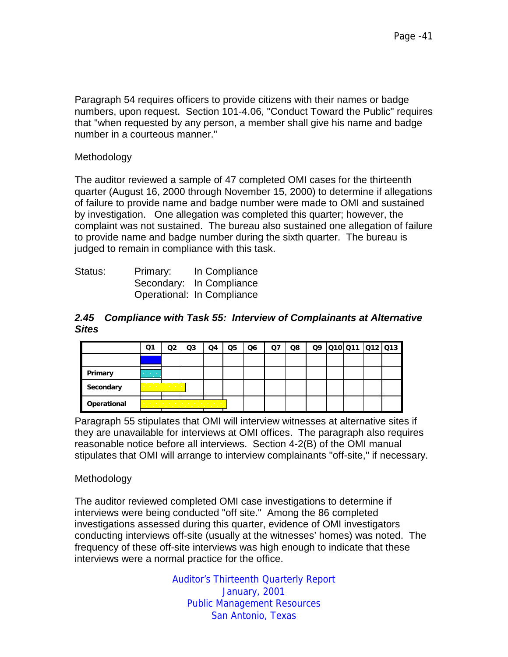Paragraph 54 requires officers to provide citizens with their names or badge numbers, upon request. Section 101-4.06, "Conduct Toward the Public" requires that "when requested by any person, a member shall give his name and badge number in a courteous manner."

#### **Methodology**

The auditor reviewed a sample of 47 completed OMI cases for the thirteenth quarter (August 16, 2000 through November 15, 2000) to determine if allegations of failure to provide name and badge number were made to OMI and sustained by investigation. One allegation was completed this quarter; however, the complaint was not sustained. The bureau also sustained one allegation of failure to provide name and badge number during the sixth quarter. The bureau is judged to remain in compliance with this task.

| Status: | Primary: | In Compliance              |
|---------|----------|----------------------------|
|         |          | Secondary: In Compliance   |
|         |          | Operational: In Compliance |

#### *2.45 Compliance with Task 55: Interview of Complainants at Alternative Sites*

|             | Q1                                                       | O2                                                                                                                   | Q3 | Q4 | Q5 | Q6 | Q7 | Q8 |  | Q9 010 011 012 013 |  |
|-------------|----------------------------------------------------------|----------------------------------------------------------------------------------------------------------------------|----|----|----|----|----|----|--|--------------------|--|
|             |                                                          |                                                                                                                      |    |    |    |    |    |    |  |                    |  |
| Primary     | <b>All Contract Contract</b><br><b>Contract Contract</b> |                                                                                                                      |    |    |    |    |    |    |  |                    |  |
| Secondary   |                                                          | the control of the control of the con-<br>the company's company's company's company's                                |    |    |    |    |    |    |  |                    |  |
| Operational |                                                          | the contract of the contract of the contract of the contract of the contract of the contract of the contract of<br>. |    |    |    |    |    |    |  |                    |  |

Paragraph 55 stipulates that OMI will interview witnesses at alternative sites if they are unavailable for interviews at OMI offices. The paragraph also requires reasonable notice before all interviews. Section 4-2(B) of the OMI manual stipulates that OMI will arrange to interview complainants "off-site," if necessary.

# Methodology

The auditor reviewed completed OMI case investigations to determine if interviews were being conducted "off site." Among the 86 completed investigations assessed during this quarter, evidence of OMI investigators conducting interviews off-site (usually at the witnesses' homes) was noted. The frequency of these off-site interviews was high enough to indicate that these interviews were a normal practice for the office.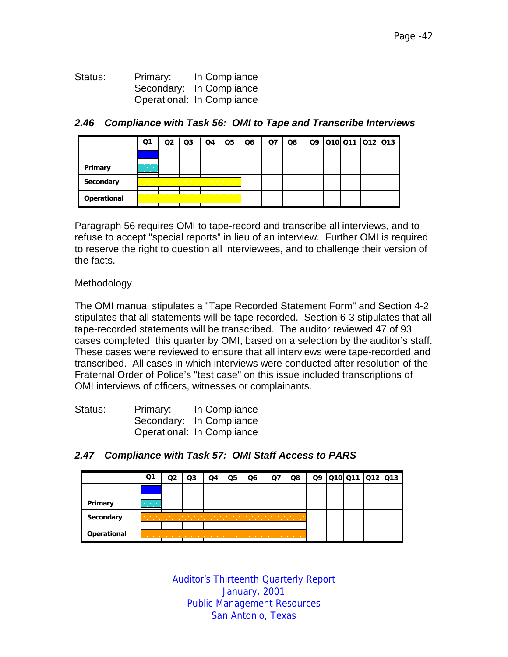Status: Primary: In Compliance Secondary: In Compliance Operational: In Compliance

|             | Q1                                            | Q3                                                                                                                                                                                                                                                                                                                               | Q4 | $\Omega$ | Q6 | Q7 | Q8 |  | Q9 010 011 012 013 |  |
|-------------|-----------------------------------------------|----------------------------------------------------------------------------------------------------------------------------------------------------------------------------------------------------------------------------------------------------------------------------------------------------------------------------------|----|----------|----|----|----|--|--------------------|--|
|             |                                               |                                                                                                                                                                                                                                                                                                                                  |    |          |    |    |    |  |                    |  |
| Primary     | <b>Contract Contract</b><br><b>CONTRACTOR</b> |                                                                                                                                                                                                                                                                                                                                  |    |          |    |    |    |  |                    |  |
| Secondary   |                                               | the contract of the contract of the contract of the contract of the contract of the contract of<br>the company of the company of the company of the company of the company of the company of the company of the company of the company of the company of the company of the company of the company of the company of the company |    |          |    |    |    |  |                    |  |
| Operational |                                               | .<br>.                                                                                                                                                                                                                                                                                                                           |    |          |    |    |    |  |                    |  |

#### *2.46 Compliance with Task 56: OMI to Tape and Transcribe Interviews*

Paragraph 56 requires OMI to tape-record and transcribe all interviews, and to refuse to accept "special reports" in lieu of an interview. Further OMI is required to reserve the right to question all interviewees, and to challenge their version of the facts.

#### Methodology

The OMI manual stipulates a "Tape Recorded Statement Form" and Section 4-2 stipulates that all statements will be tape recorded. Section 6-3 stipulates that all tape-recorded statements will be transcribed. The auditor reviewed 47 of 93 cases completed this quarter by OMI, based on a selection by the auditor's staff. These cases were reviewed to ensure that all interviews were tape-recorded and transcribed. All cases in which interviews were conducted after resolution of the Fraternal Order of Police's "test case" on this issue included transcriptions of OMI interviews of officers, witnesses or complainants.

| Status: | Primary: | In Compliance              |
|---------|----------|----------------------------|
|         |          | Secondary: In Compliance   |
|         |          | Operational: In Compliance |

|             | Q1                                            | Q2 | Q3                | Q4                                   | Q5                                | Q6                                                                                                                   | Ο7 | Q8 | Q9 | 010 011 012 013 |  |
|-------------|-----------------------------------------------|----|-------------------|--------------------------------------|-----------------------------------|----------------------------------------------------------------------------------------------------------------------|----|----|----|-----------------|--|
|             |                                               |    |                   |                                      |                                   |                                                                                                                      |    |    |    |                 |  |
| Primary     | <b>Contract Contract</b><br><b>CONTRACTOR</b> |    |                   |                                      |                                   |                                                                                                                      |    |    |    |                 |  |
| Secondary   | <b>College</b>                                |    | <b>CONTRACTOR</b> | <b>CONTRACTOR</b><br><b>Contract</b> | <b>Contract Contract Contract</b> | the contract of the contract of the contract of the contract of the contract of the contract of the contract of<br>. |    |    |    |                 |  |
| Operational |                                               |    |                   |                                      |                                   |                                                                                                                      |    | .  |    |                 |  |

# *2.47 Compliance with Task 57: OMI Staff Access to PARS*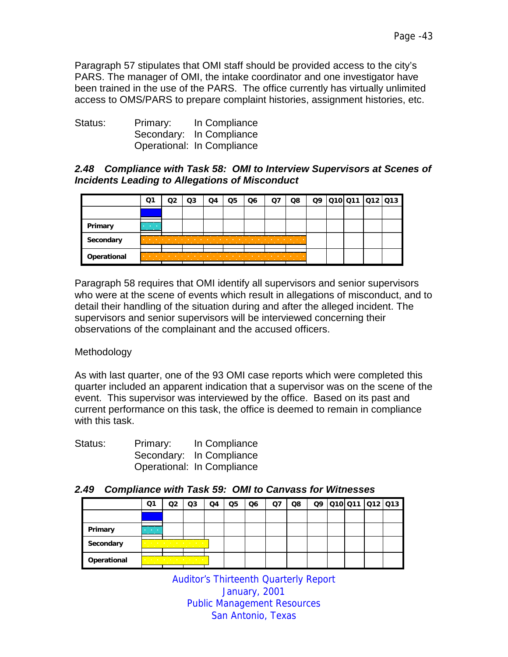Paragraph 57 stipulates that OMI staff should be provided access to the city's PARS. The manager of OMI, the intake coordinator and one investigator have been trained in the use of the PARS. The office currently has virtually unlimited access to OMS/PARS to prepare complaint histories, assignment histories, etc.

| Status: | Primary: | In Compliance              |
|---------|----------|----------------------------|
|         |          | Secondary: In Compliance   |
|         |          | Operational: In Compliance |

# *2.48 Compliance with Task 58: OMI to Interview Supervisors at Scenes of Incidents Leading to Allegations of Misconduct*

|             | Q1                                            | Q3 | Q4 | Q5 | Q6 | Ο7 | Q8                                |  | Q9 010 011 012 013 |  |
|-------------|-----------------------------------------------|----|----|----|----|----|-----------------------------------|--|--------------------|--|
|             |                                               |    |    |    |    |    |                                   |  |                    |  |
| Primary     | <b>Contract Contract</b><br><b>CONTRACTOR</b> |    |    |    |    |    |                                   |  |                    |  |
| Secondary   |                                               |    |    |    | .  |    | <b>Contract Contract Contract</b> |  |                    |  |
| Operational |                                               |    |    |    | .  |    | .                                 |  |                    |  |

Paragraph 58 requires that OMI identify all supervisors and senior supervisors who were at the scene of events which result in allegations of misconduct, and to detail their handling of the situation during and after the alleged incident. The supervisors and senior supervisors will be interviewed concerning their observations of the complainant and the accused officers.

# Methodology

As with last quarter, one of the 93 OMI case reports which were completed this quarter included an apparent indication that a supervisor was on the scene of the event. This supervisor was interviewed by the office. Based on its past and current performance on this task, the office is deemed to remain in compliance with this task.

| Status: | Primary: | In Compliance              |
|---------|----------|----------------------------|
|         |          | Secondary: In Compliance   |
|         |          | Operational: In Compliance |

#### *2.49 Compliance with Task 59: OMI to Canvass for Witnesses*

|             | Q1                                            | O2 | Q3                                                                                   | Q4 | Q5 | Q6 | Q7 | Q8 |  | Q9 010 011 012 013 |  |
|-------------|-----------------------------------------------|----|--------------------------------------------------------------------------------------|----|----|----|----|----|--|--------------------|--|
|             |                                               |    |                                                                                      |    |    |    |    |    |  |                    |  |
| Primary     | <b>Contract Contract</b><br><b>CONTRACTOR</b> |    |                                                                                      |    |    |    |    |    |  |                    |  |
| Secondary   |                                               |    | the contract of the contract of the con-<br>the contract of the contract of the con- |    |    |    |    |    |  |                    |  |
| Operational |                                               |    | the company's company's company's company's<br>.                                     |    |    |    |    |    |  |                    |  |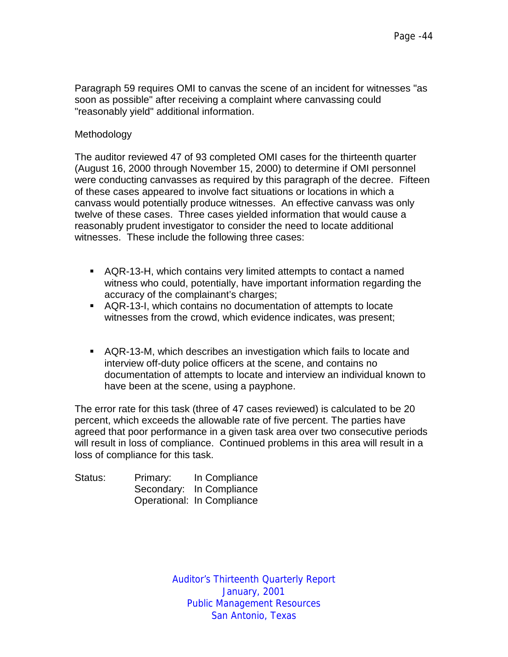Paragraph 59 requires OMI to canvas the scene of an incident for witnesses "as soon as possible" after receiving a complaint where canvassing could "reasonably yield" additional information.

#### Methodology

The auditor reviewed 47 of 93 completed OMI cases for the thirteenth quarter (August 16, 2000 through November 15, 2000) to determine if OMI personnel were conducting canvasses as required by this paragraph of the decree. Fifteen of these cases appeared to involve fact situations or locations in which a canvass would potentially produce witnesses. An effective canvass was only twelve of these cases. Three cases yielded information that would cause a reasonably prudent investigator to consider the need to locate additional witnesses. These include the following three cases:

- **EXTER-13-H, which contains very limited attempts to contact a named** witness who could, potentially, have important information regarding the accuracy of the complainant's charges;
- !"AQR-13-I, which contains no documentation of attempts to locate witnesses from the crowd, which evidence indicates, was present;
- !"AQR-13-M, which describes an investigation which fails to locate and interview off-duty police officers at the scene, and contains no documentation of attempts to locate and interview an individual known to have been at the scene, using a payphone.

The error rate for this task (three of 47 cases reviewed) is calculated to be 20 percent, which exceeds the allowable rate of five percent. The parties have agreed that poor performance in a given task area over two consecutive periods will result in loss of compliance. Continued problems in this area will result in a loss of compliance for this task.

| Status: | Primary: | In Compliance              |
|---------|----------|----------------------------|
|         |          | Secondary: In Compliance   |
|         |          | Operational: In Compliance |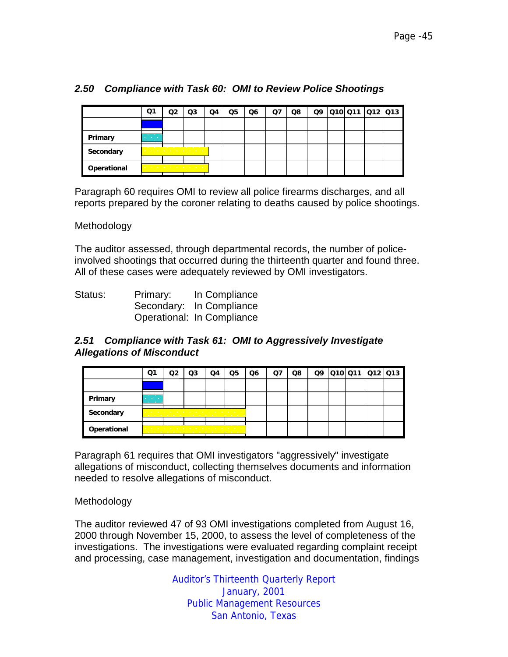|  |  | 2.50 Compliance with Task 60: OMI to Review Police Shootings |
|--|--|--------------------------------------------------------------|
|--|--|--------------------------------------------------------------|

|             | Q1                                            | מח | Q3                                                                                                                                                                                                                                                                            | Q4 | Q5 | Q6 | O7 | Q8 |  | Q9 010 011 012 013 |  |
|-------------|-----------------------------------------------|----|-------------------------------------------------------------------------------------------------------------------------------------------------------------------------------------------------------------------------------------------------------------------------------|----|----|----|----|----|--|--------------------|--|
|             |                                               |    |                                                                                                                                                                                                                                                                               |    |    |    |    |    |  |                    |  |
| Primary     | <b>STATISTICS</b><br><b>Contract Contract</b> |    |                                                                                                                                                                                                                                                                               |    |    |    |    |    |  |                    |  |
| Secondary   |                                               |    | the company of the company of the company of the company of the company of the company of the company of the company of the company of the company of the company of the company of the company of the company of the company<br>the company of the company of the company of |    |    |    |    |    |  |                    |  |
| Operational |                                               |    | the contract of the contract of the contract of the<br>the contract of the contract of the contract of                                                                                                                                                                        |    |    |    |    |    |  |                    |  |

Paragraph 60 requires OMI to review all police firearms discharges, and all reports prepared by the coroner relating to deaths caused by police shootings.

Methodology

The auditor assessed, through departmental records, the number of policeinvolved shootings that occurred during the thirteenth quarter and found three. All of these cases were adequately reviewed by OMI investigators.

| Status: | Primary: | In Compliance              |
|---------|----------|----------------------------|
|         |          | Secondary: In Compliance   |
|         |          | Operational: In Compliance |

#### *2.51 Compliance with Task 61: OMI to Aggressively Investigate Allegations of Misconduct*

|             | Q1                                            | מר | Q3                                                                                                                                                                                                                                                                                                                                               | Q4 | Q5 | Q6 | Q. | Q8 | Q9 |  | 010 011 012 013 |
|-------------|-----------------------------------------------|----|--------------------------------------------------------------------------------------------------------------------------------------------------------------------------------------------------------------------------------------------------------------------------------------------------------------------------------------------------|----|----|----|----|----|----|--|-----------------|
|             |                                               |    |                                                                                                                                                                                                                                                                                                                                                  |    |    |    |    |    |    |  |                 |
| Primary     | <b>Contract Contract</b><br><b>CONTRACTOR</b> |    |                                                                                                                                                                                                                                                                                                                                                  |    |    |    |    |    |    |  |                 |
| Secondary   | <b>Contract Contract</b><br><b>CONTRACTOR</b> |    | the contract of the contract of the contract of the contract of the contract of the contract of the contract of<br>the company of the company of the company of the company of the company of the company of the company of the company of the company of the company of the company of the company of the company of the company of the company |    |    |    |    |    |    |  |                 |
| Operational | the company of the company                    |    | .<br>. <del>.</del>                                                                                                                                                                                                                                                                                                                              |    |    |    |    |    |    |  |                 |

Paragraph 61 requires that OMI investigators "aggressively" investigate allegations of misconduct, collecting themselves documents and information needed to resolve allegations of misconduct.

Methodology

The auditor reviewed 47 of 93 OMI investigations completed from August 16, 2000 through November 15, 2000, to assess the level of completeness of the investigations. The investigations were evaluated regarding complaint receipt and processing, case management, investigation and documentation, findings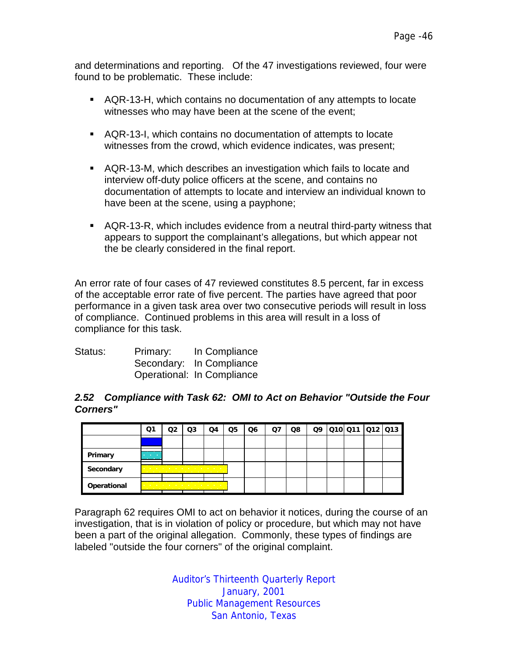and determinations and reporting. Of the 47 investigations reviewed, four were found to be problematic. These include:

- !"AQR-13-H, which contains no documentation of any attempts to locate witnesses who may have been at the scene of the event;
- !"AQR-13-I, which contains no documentation of attempts to locate witnesses from the crowd, which evidence indicates, was present;
- **EXTER-13-M, which describes an investigation which fails to locate and** interview off-duty police officers at the scene, and contains no documentation of attempts to locate and interview an individual known to have been at the scene, using a payphone;
- **.** AQR-13-R, which includes evidence from a neutral third-party witness that appears to support the complainant's allegations, but which appear not the be clearly considered in the final report.

An error rate of four cases of 47 reviewed constitutes 8.5 percent, far in excess of the acceptable error rate of five percent. The parties have agreed that poor performance in a given task area over two consecutive periods will result in loss of compliance. Continued problems in this area will result in a loss of compliance for this task.

| Status: | Primary: | In Compliance              |
|---------|----------|----------------------------|
|         |          | Secondary: In Compliance   |
|         |          | Operational: In Compliance |

#### *2.52 Compliance with Task 62: OMI to Act on Behavior "Outside the Four Corners"*

|             | Q1                                     | Q3                                                                                                                                                                                                                                 | Q4                                | Q5 | Q6 | Q7 | Q8 | Q9 |  | 010 011 012 013 |
|-------------|----------------------------------------|------------------------------------------------------------------------------------------------------------------------------------------------------------------------------------------------------------------------------------|-----------------------------------|----|----|----|----|----|--|-----------------|
|             |                                        |                                                                                                                                                                                                                                    |                                   |    |    |    |    |    |  |                 |
| Primary     | <b>Contractor</b><br><b>CONTRACTOR</b> |                                                                                                                                                                                                                                    |                                   |    |    |    |    |    |  |                 |
| Secondary   |                                        | the company of the company of the company of the company of the company of the company of the company of the company of the company of the company of the company of the company of the company of the company of the company<br>. |                                   |    |    |    |    |    |  |                 |
| Operational |                                        | the contract of the contract of the contract of the con-                                                                                                                                                                           | the company's company's company's |    |    |    |    |    |  |                 |

Paragraph 62 requires OMI to act on behavior it notices, during the course of an investigation, that is in violation of policy or procedure, but which may not have been a part of the original allegation. Commonly, these types of findings are labeled "outside the four corners" of the original complaint.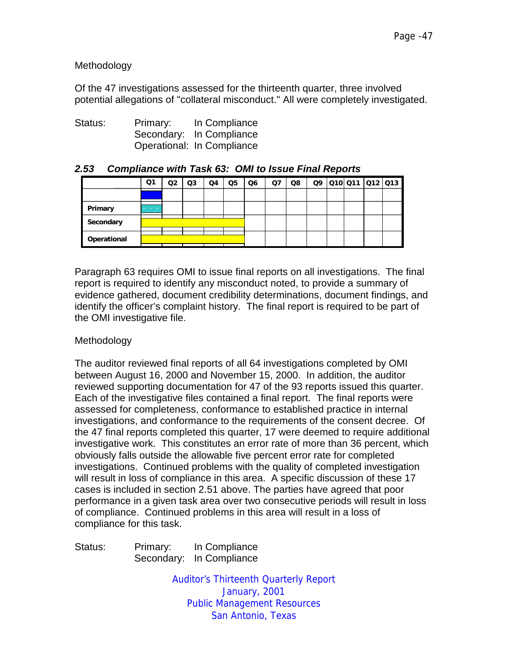Methodology

Of the 47 investigations assessed for the thirteenth quarter, three involved potential allegations of "collateral misconduct." All were completely investigated.

| Status: | Primary: | In Compliance              |
|---------|----------|----------------------------|
|         |          | Secondary: In Compliance   |
|         |          | Operational: In Compliance |

|             | Q1                                                   | Q2 | Q3 | Q4                                                                                                              | Q5 | Q6 | Q7 | Q8 |  |  | Q9 010 011 012 013 |
|-------------|------------------------------------------------------|----|----|-----------------------------------------------------------------------------------------------------------------|----|----|----|----|--|--|--------------------|
|             |                                                      |    |    |                                                                                                                 |    |    |    |    |  |  |                    |
| Primary     | <b>Contract Contract</b><br><b>Contract Contract</b> |    |    |                                                                                                                 |    |    |    |    |  |  |                    |
| Secondary   |                                                      |    |    |                                                                                                                 |    |    |    |    |  |  |                    |
| Operational |                                                      |    | .  | the contract of the contract of the contract of the contract of the contract of the contract of the contract of |    |    |    |    |  |  |                    |

#### *2.53 Compliance with Task 63: OMI to Issue Final Reports*

Paragraph 63 requires OMI to issue final reports on all investigations. The final report is required to identify any misconduct noted, to provide a summary of evidence gathered, document credibility determinations, document findings, and identify the officer's complaint history. The final report is required to be part of the OMI investigative file.

# Methodology

The auditor reviewed final reports of all 64 investigations completed by OMI between August 16, 2000 and November 15, 2000. In addition, the auditor reviewed supporting documentation for 47 of the 93 reports issued this quarter. Each of the investigative files contained a final report. The final reports were assessed for completeness, conformance to established practice in internal investigations, and conformance to the requirements of the consent decree. Of the 47 final reports completed this quarter, 17 were deemed to require additional investigative work. This constitutes an error rate of more than 36 percent, which obviously falls outside the allowable five percent error rate for completed investigations. Continued problems with the quality of completed investigation will result in loss of compliance in this area. A specific discussion of these 17 cases is included in section 2.51 above. The parties have agreed that poor performance in a given task area over two consecutive periods will result in loss of compliance. Continued problems in this area will result in a loss of compliance for this task.

Status: Primary: In Compliance Secondary: In Compliance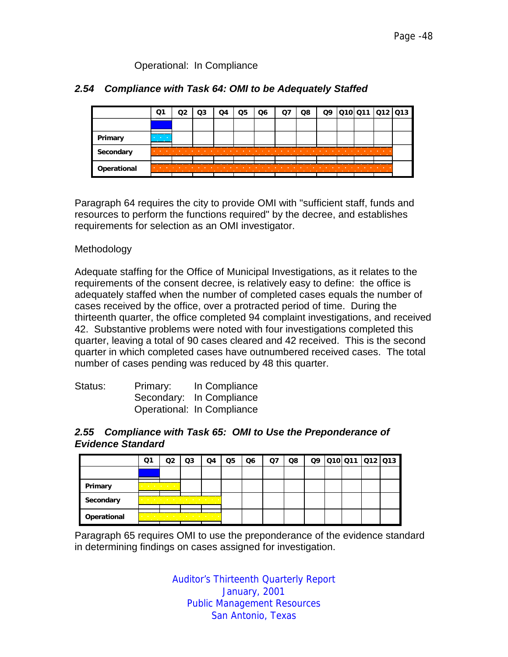#### Operational: In Compliance

#### *2.54 Compliance with Task 64: OMI to be Adequately Staffed*

|             | Q1                | Q3 | O4 | Q5 | Q6 | Q8 | Q9 | 010 011 012 013 |   |  |
|-------------|-------------------|----|----|----|----|----|----|-----------------|---|--|
|             |                   |    |    |    |    |    |    |                 |   |  |
| Primary     | <b>CONTRACTOR</b> |    |    |    |    |    |    |                 |   |  |
| Secondary   |                   |    |    |    |    |    |    |                 |   |  |
| Operational |                   |    |    |    |    |    |    |                 | . |  |

Paragraph 64 requires the city to provide OMI with "sufficient staff, funds and resources to perform the functions required" by the decree, and establishes requirements for selection as an OMI investigator.

#### Methodology

Adequate staffing for the Office of Municipal Investigations, as it relates to the requirements of the consent decree, is relatively easy to define: the office is adequately staffed when the number of completed cases equals the number of cases received by the office, over a protracted period of time. During the thirteenth quarter, the office completed 94 complaint investigations, and received 42. Substantive problems were noted with four investigations completed this quarter, leaving a total of 90 cases cleared and 42 received. This is the second quarter in which completed cases have outnumbered received cases. The total number of cases pending was reduced by 48 this quarter.

| Status: | Primary: | In Compliance              |
|---------|----------|----------------------------|
|         |          | Secondary: In Compliance   |
|         |          | Operational: In Compliance |

#### *2.55 Compliance with Task 65: OMI to Use the Preponderance of Evidence Standard*

|             | Q1                                | Q2                                                                                                                                                                                                                                                                                       | Q3 | Q4 | Q5 | Q <sub>6</sub> | Q7 | Q8 |  | Q9 010 011 012 013 |  |
|-------------|-----------------------------------|------------------------------------------------------------------------------------------------------------------------------------------------------------------------------------------------------------------------------------------------------------------------------------------|----|----|----|----------------|----|----|--|--------------------|--|
|             |                                   |                                                                                                                                                                                                                                                                                          |    |    |    |                |    |    |  |                    |  |
| Primary     | and the company of the company of | <b>Contract Contract Contract Contract Contract</b>                                                                                                                                                                                                                                      |    |    |    |                |    |    |  |                    |  |
| Secondary   |                                   | and a series of the control of the control of the con-<br>the contract of the contract of the contract of the contract of the contract of the contract of the contract of the contract of the contract of the contract of the contract of the contract of the contract of the contract o |    |    |    |                |    |    |  |                    |  |
| Operational |                                   | the company of the company of the company of the company of the company of the company of the company of the company of the company of the company of the company of the company of the company of the company of the company                                                            |    |    |    |                |    |    |  |                    |  |

Paragraph 65 requires OMI to use the preponderance of the evidence standard in determining findings on cases assigned for investigation.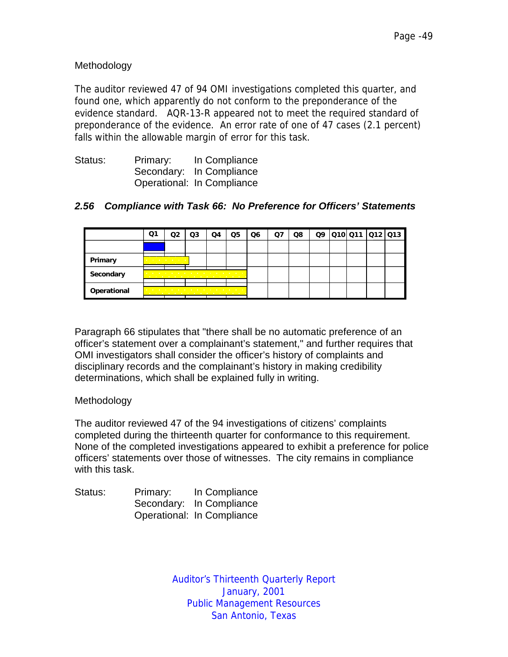# Methodology

The auditor reviewed 47 of 94 OMI investigations completed this quarter, and found one, which apparently do not conform to the preponderance of the evidence standard. AQR-13-R appeared not to meet the required standard of preponderance of the evidence. An error rate of one of 47 cases (2.1 percent) falls within the allowable margin of error for this task.

| Status: | Primary: | In Compliance              |
|---------|----------|----------------------------|
|         |          | Secondary: In Compliance   |
|         |          | Operational: In Compliance |

#### *2.56 Compliance with Task 66: No Preference for Officers' Statements*

|             | Q1 |                                                                                                                                | Q3                                                                                                                                                                                                                            | Q4 | Q5 | Q6 | Ο7 | Q8 |  | Q9  Q10 Q11  Q12 Q13 |  |
|-------------|----|--------------------------------------------------------------------------------------------------------------------------------|-------------------------------------------------------------------------------------------------------------------------------------------------------------------------------------------------------------------------------|----|----|----|----|----|--|----------------------|--|
|             |    |                                                                                                                                |                                                                                                                                                                                                                               |    |    |    |    |    |  |                      |  |
| Primary     |    | the company's company's company's<br>the company of the company of the company of the company of the company of the company of |                                                                                                                                                                                                                               |    |    |    |    |    |  |                      |  |
| Secondary   |    | <u>.</u>                                                                                                                       | the company of the company of the company of the company of the company of the company of the company of the company of the company of the company of the company of the company of the company of the company of the company |    |    |    |    |    |  |                      |  |
| Operational |    |                                                                                                                                | the contract of the contract of the contract of the contract of the contract of the contract of the contract of                                                                                                               |    |    |    |    |    |  |                      |  |

Paragraph 66 stipulates that "there shall be no automatic preference of an officer's statement over a complainant's statement," and further requires that OMI investigators shall consider the officer's history of complaints and disciplinary records and the complainant's history in making credibility determinations, which shall be explained fully in writing.

#### Methodology

The auditor reviewed 47 of the 94 investigations of citizens' complaints completed during the thirteenth quarter for conformance to this requirement. None of the completed investigations appeared to exhibit a preference for police officers' statements over those of witnesses. The city remains in compliance with this task.

| Status: | Primary: | In Compliance              |
|---------|----------|----------------------------|
|         |          | Secondary: In Compliance   |
|         |          | Operational: In Compliance |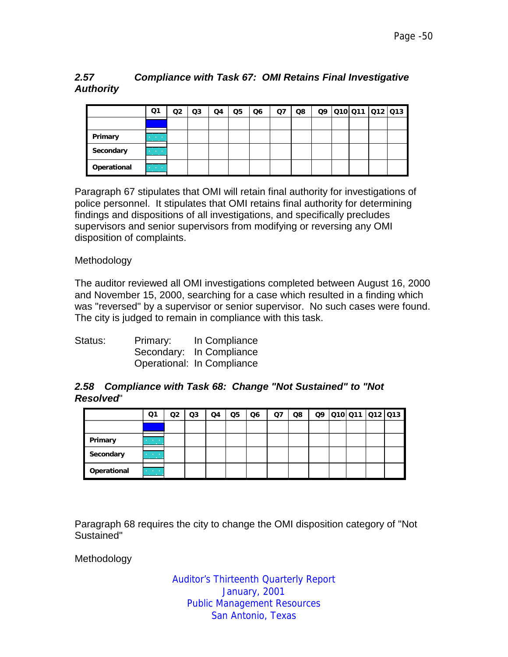# *2.57 Compliance with Task 67: OMI Retains Final Investigative Authority*

|             | Q1                                            | Q2 | Q3 | Q4 | Q5 | Q <sub>6</sub> | Q7 | Q8 | Q9 | 010 011 012 013 |  |
|-------------|-----------------------------------------------|----|----|----|----|----------------|----|----|----|-----------------|--|
|             |                                               |    |    |    |    |                |    |    |    |                 |  |
| Primary     | <b>Contract Contract</b><br><b>CONTRACTOR</b> |    |    |    |    |                |    |    |    |                 |  |
| Secondary   | <b>Contractor</b><br><b>CONTRACTOR</b>        |    |    |    |    |                |    |    |    |                 |  |
| Operational | and the company<br><b>CONTRACTOR</b>          |    |    |    |    |                |    |    |    |                 |  |

Paragraph 67 stipulates that OMI will retain final authority for investigations of police personnel. It stipulates that OMI retains final authority for determining findings and dispositions of all investigations, and specifically precludes supervisors and senior supervisors from modifying or reversing any OMI disposition of complaints.

#### **Methodology**

The auditor reviewed all OMI investigations completed between August 16, 2000 and November 15, 2000, searching for a case which resulted in a finding which was "reversed" by a supervisor or senior supervisor. No such cases were found. The city is judged to remain in compliance with this task.

| Status: | Primary: | In Compliance              |
|---------|----------|----------------------------|
|         |          | Secondary: In Compliance   |
|         |          | Operational: In Compliance |

#### *2.58 Compliance with Task 68: Change "Not Sustained" to "Not Resolved*"

|             | Q1                                            | Q2 | Q3 | Q4 | Q5 | Q <sub>6</sub> | Q7 | Q8 | Q9 | Q10 Q11 Q12 Q13 |  |
|-------------|-----------------------------------------------|----|----|----|----|----------------|----|----|----|-----------------|--|
|             |                                               |    |    |    |    |                |    |    |    |                 |  |
| Primary     | <b>Contract Contract</b><br><b>CONTRACTOR</b> |    |    |    |    |                |    |    |    |                 |  |
| Secondary   | <b>Contract Contract</b><br><u>en di</u>      |    |    |    |    |                |    |    |    |                 |  |
| Operational | $\mathcal{L}^{\text{max}}$                    |    |    |    |    |                |    |    |    |                 |  |

Paragraph 68 requires the city to change the OMI disposition category of "Not Sustained"

Methodology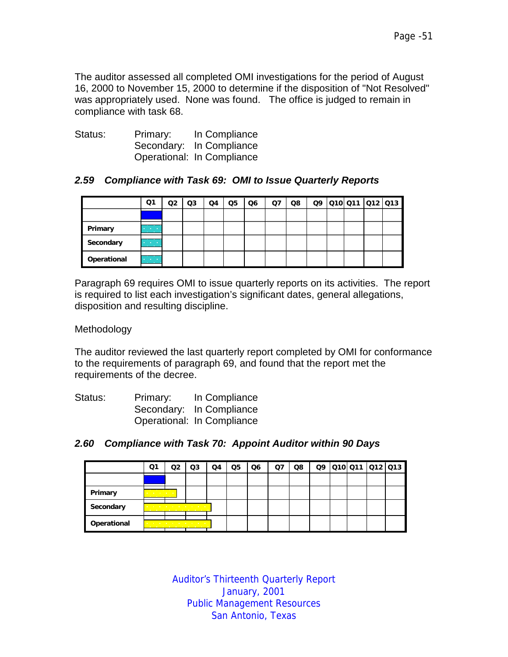The auditor assessed all completed OMI investigations for the period of August 16, 2000 to November 15, 2000 to determine if the disposition of "Not Resolved" was appropriately used. None was found. The office is judged to remain in compliance with task 68.

| Status: | Primary: | In Compliance              |
|---------|----------|----------------------------|
|         |          | Secondary: In Compliance   |
|         |          | Operational: In Compliance |

#### *2.59 Compliance with Task 69: OMI to Issue Quarterly Reports*

|             | Q1                                                   | Q2 | Q3 | Q4 | Q5 | Q6 | Q7 | Q8 | Q9 | 010 011  012  013 |  |
|-------------|------------------------------------------------------|----|----|----|----|----|----|----|----|-------------------|--|
|             |                                                      |    |    |    |    |    |    |    |    |                   |  |
| Primary     | <b>Contract Contract</b><br><b>Contract Contract</b> |    |    |    |    |    |    |    |    |                   |  |
| Secondary   | <b>Contractor</b><br><b>Contract Contract</b>        |    |    |    |    |    |    |    |    |                   |  |
| Operational | <b>Contract Contract</b><br><b>Contract Contract</b> |    |    |    |    |    |    |    |    |                   |  |

Paragraph 69 requires OMI to issue quarterly reports on its activities. The report is required to list each investigation's significant dates, general allegations, disposition and resulting discipline.

Methodology

The auditor reviewed the last quarterly report completed by OMI for conformance to the requirements of paragraph 69, and found that the report met the requirements of the decree.

| Status: | Primary: | In Compliance              |
|---------|----------|----------------------------|
|         |          | Secondary: In Compliance   |
|         |          | Operational: In Compliance |

|  | 2.60 Compliance with Task 70: Appoint Auditor within 90 Days |  |  |  |
|--|--------------------------------------------------------------|--|--|--|
|--|--------------------------------------------------------------|--|--|--|

|             | Q1                                                       | O2 | Q3                                                                                                                                                              | Q4 | Q5 | Q6 | Ω7 | Q8 |  | Q9 010 011 012 013 |  |
|-------------|----------------------------------------------------------|----|-----------------------------------------------------------------------------------------------------------------------------------------------------------------|----|----|----|----|----|--|--------------------|--|
|             |                                                          |    |                                                                                                                                                                 |    |    |    |    |    |  |                    |  |
| Primary     | <u> De Santa Carlos de</u><br>the company's provided and |    |                                                                                                                                                                 |    |    |    |    |    |  |                    |  |
| Secondary   |                                                          |    | the contract of the contract of the contract of the contract of the contract of the contract of the contract of<br>the company of the company of the company of |    |    |    |    |    |  |                    |  |
| Operational |                                                          |    | the contract of the contract of the contract of the contract of the contract of the contract of the contract of<br>.                                            |    |    |    |    |    |  |                    |  |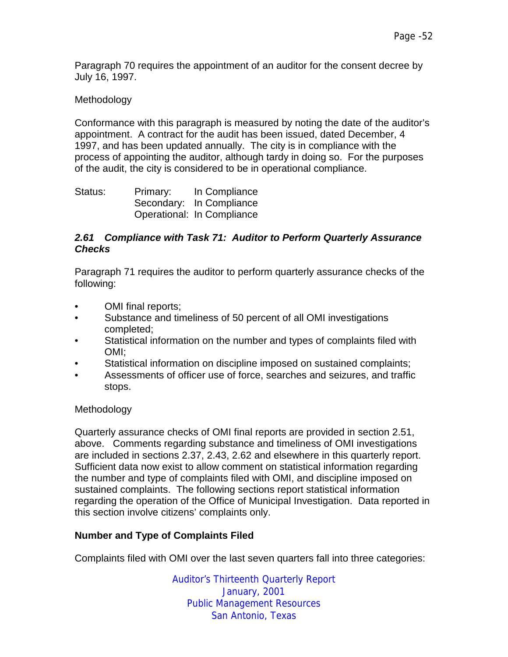Paragraph 70 requires the appointment of an auditor for the consent decree by July 16, 1997.

#### Methodology

Conformance with this paragraph is measured by noting the date of the auditor's appointment. A contract for the audit has been issued, dated December, 4 1997, and has been updated annually. The city is in compliance with the process of appointing the auditor, although tardy in doing so. For the purposes of the audit, the city is considered to be in operational compliance.

Status: Primary: In Compliance Secondary: In Compliance Operational: In Compliance

#### *2.61 Compliance with Task 71: Auditor to Perform Quarterly Assurance Checks*

Paragraph 71 requires the auditor to perform quarterly assurance checks of the following:

- OMI final reports:
- Substance and timeliness of 50 percent of all OMI investigations completed;
- Statistical information on the number and types of complaints filed with OMI;
- Statistical information on discipline imposed on sustained complaints;
- Assessments of officer use of force, searches and seizures, and traffic stops.

#### Methodology

Quarterly assurance checks of OMI final reports are provided in section 2.51, above. Comments regarding substance and timeliness of OMI investigations are included in sections 2.37, 2.43, 2.62 and elsewhere in this quarterly report. Sufficient data now exist to allow comment on statistical information regarding the number and type of complaints filed with OMI, and discipline imposed on sustained complaints. The following sections report statistical information regarding the operation of the Office of Municipal Investigation. Data reported in this section involve citizens' complaints only.

# **Number and Type of Complaints Filed**

Complaints filed with OMI over the last seven quarters fall into three categories: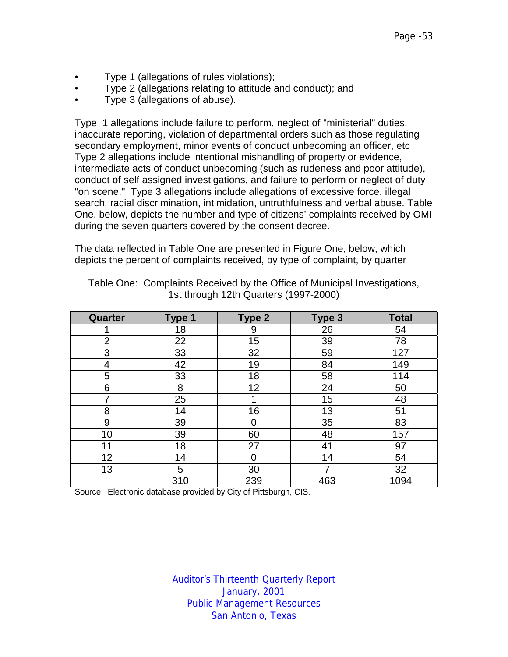- Type 1 (allegations of rules violations);
- Type 2 (allegations relating to attitude and conduct); and
- Type 3 (allegations of abuse).

Type 1 allegations include failure to perform, neglect of "ministerial" duties, inaccurate reporting, violation of departmental orders such as those regulating secondary employment, minor events of conduct unbecoming an officer, etc Type 2 allegations include intentional mishandling of property or evidence, intermediate acts of conduct unbecoming (such as rudeness and poor attitude), conduct of self assigned investigations, and failure to perform or neglect of duty "on scene." Type 3 allegations include allegations of excessive force, illegal search, racial discrimination, intimidation, untruthfulness and verbal abuse. Table One, below, depicts the number and type of citizens' complaints received by OMI during the seven quarters covered by the consent decree.

The data reflected in Table One are presented in Figure One, below, which depicts the percent of complaints received, by type of complaint, by quarter

| Quarter | Type 1 | Type 2 | Type 3 | <b>Total</b> |
|---------|--------|--------|--------|--------------|
|         | 18     | 9      | 26     | 54           |
| 2       | 22     | 15     | 39     | 78           |
| 3       | 33     | 32     | 59     | 127          |
| 4       | 42     | 19     | 84     | 149          |
| 5       | 33     | 18     | 58     | 114          |
| 6       | 8      | 12     | 24     | 50           |
| 7       | 25     |        | 15     | 48           |
| 8       | 14     | 16     | 13     | 51           |
| 9       | 39     |        | 35     | 83           |
| 10      | 39     | 60     | 48     | 157          |
| 11      | 18     | 27     | 41     | 97           |
| 12      | 14     |        | 14     | 54           |
| 13      | 5      | 30     |        | 32           |
|         | 310    | 239    | 463    | 1094         |

Table One: Complaints Received by the Office of Municipal Investigations, 1st through 12th Quarters (1997-2000)

Source: Electronic database provided by City of Pittsburgh, CIS.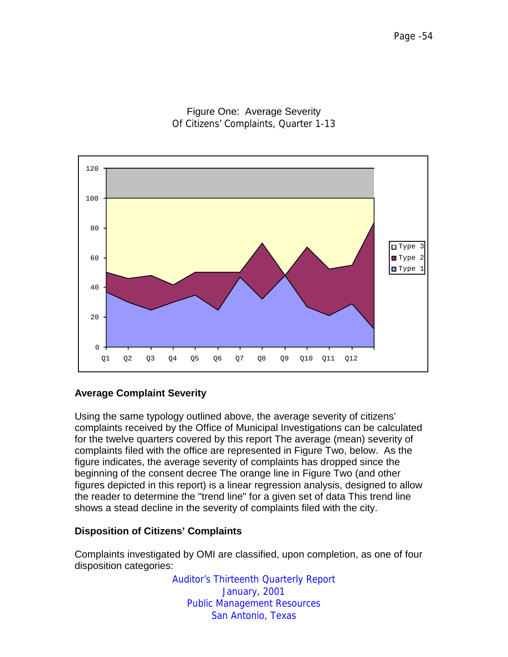Figure One: Average Severity Of Citizens' Complaints, Quarter 1-13



# **Average Complaint Severity**

Using the same typology outlined above, the average severity of citizens' complaints received by the Office of Municipal Investigations can be calculated for the twelve quarters covered by this report The average (mean) severity of complaints filed with the office are represented in Figure Two, below. As the figure indicates, the average severity of complaints has dropped since the beginning of the consent decree The orange line in Figure Two (and other figures depicted in this report) is a linear regression analysis, designed to allow the reader to determine the "trend line" for a given set of data This trend line shows a stead decline in the severity of complaints filed with the city.

#### **Disposition of Citizens' Complaints**

Complaints investigated by OMI are classified, upon completion, as one of four disposition categories: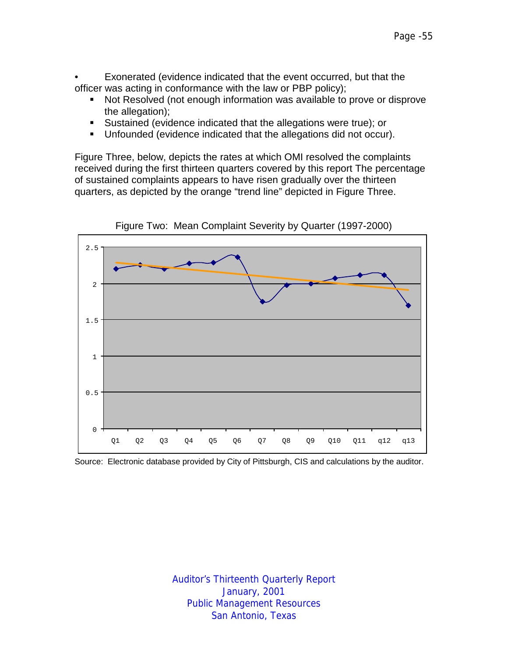• Exonerated (evidence indicated that the event occurred, but that the officer was acting in conformance with the law or PBP policy);

- **Not Resolved (not enough information was available to prove or disprove** the allegation);
- **EXEC** Sustained (evidence indicated that the allegations were true); or
- **Unfounded (evidence indicated that the allegations did not occur).**

Figure Three, below, depicts the rates at which OMI resolved the complaints received during the first thirteen quarters covered by this report The percentage of sustained complaints appears to have risen gradually over the thirteen quarters, as depicted by the orange "trend line" depicted in Figure Three.



Figure Two: Mean Complaint Severity by Quarter (1997-2000)

Source: Electronic database provided by City of Pittsburgh, CIS and calculations by the auditor.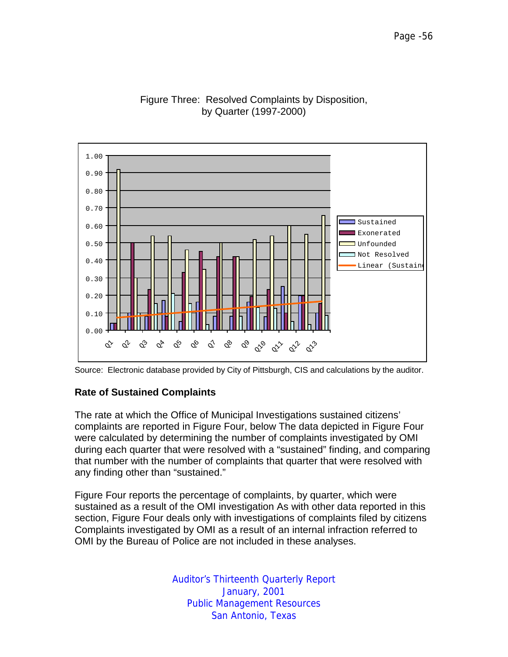

# Figure Three: Resolved Complaints by Disposition, by Quarter (1997-2000)



#### **Rate of Sustained Complaints**

The rate at which the Office of Municipal Investigations sustained citizens' complaints are reported in Figure Four, below The data depicted in Figure Four were calculated by determining the number of complaints investigated by OMI during each quarter that were resolved with a "sustained" finding, and comparing that number with the number of complaints that quarter that were resolved with any finding other than "sustained."

Figure Four reports the percentage of complaints, by quarter, which were sustained as a result of the OMI investigation As with other data reported in this section, Figure Four deals only with investigations of complaints filed by citizens Complaints investigated by OMI as a result of an internal infraction referred to OMI by the Bureau of Police are not included in these analyses.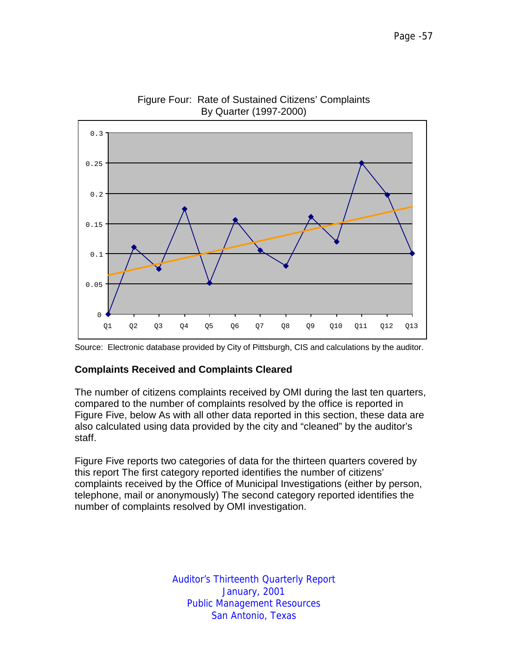

Figure Four: Rate of Sustained Citizens' Complaints By Quarter (1997-2000)

#### **Complaints Received and Complaints Cleared**

The number of citizens complaints received by OMI during the last ten quarters, compared to the number of complaints resolved by the office is reported in Figure Five, below As with all other data reported in this section, these data are also calculated using data provided by the city and "cleaned" by the auditor's staff.

Figure Five reports two categories of data for the thirteen quarters covered by this report The first category reported identifies the number of citizens' complaints received by the Office of Municipal Investigations (either by person, telephone, mail or anonymously) The second category reported identifies the number of complaints resolved by OMI investigation.

Source: Electronic database provided by City of Pittsburgh, CIS and calculations by the auditor.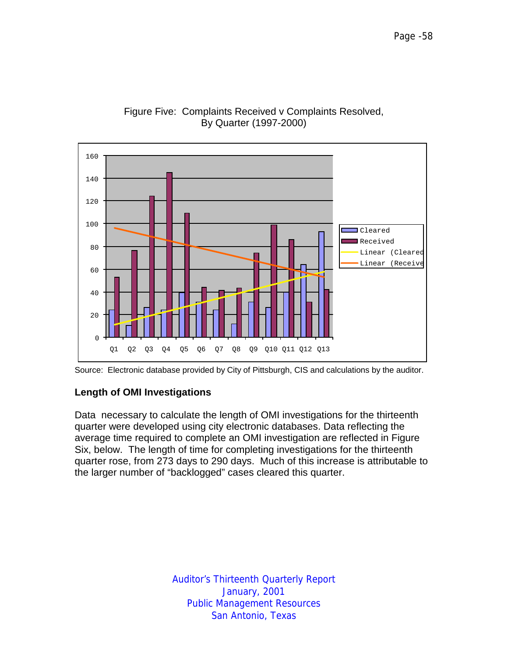

#### Figure Five: Complaints Received v Complaints Resolved, By Quarter (1997-2000)



# **Length of OMI Investigations**

Data necessary to calculate the length of OMI investigations for the thirteenth quarter were developed using city electronic databases. Data reflecting the average time required to complete an OMI investigation are reflected in Figure Six, below. The length of time for completing investigations for the thirteenth quarter rose, from 273 days to 290 days. Much of this increase is attributable to the larger number of "backlogged" cases cleared this quarter.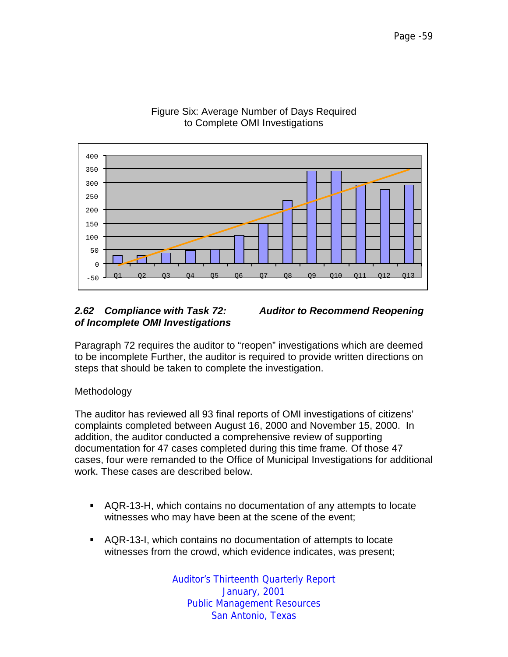

#### Figure Six: Average Number of Days Required to Complete OMI Investigations

# *of Incomplete OMI Investigations*



Paragraph 72 requires the auditor to "reopen" investigations which are deemed to be incomplete Further, the auditor is required to provide written directions on steps that should be taken to complete the investigation.

# Methodology

The auditor has reviewed all 93 final reports of OMI investigations of citizens' complaints completed between August 16, 2000 and November 15, 2000. In addition, the auditor conducted a comprehensive review of supporting documentation for 47 cases completed during this time frame. Of those 47 cases, four were remanded to the Office of Municipal Investigations for additional work. These cases are described below.

- !"AQR-13-H, which contains no documentation of any attempts to locate witnesses who may have been at the scene of the event;
- !"AQR-13-I, which contains no documentation of attempts to locate witnesses from the crowd, which evidence indicates, was present;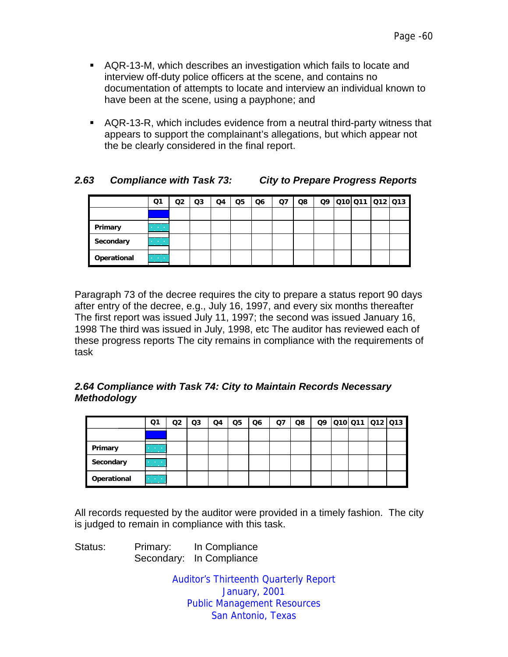- !"AQR-13-M, which describes an investigation which fails to locate and interview off-duty police officers at the scene, and contains no documentation of attempts to locate and interview an individual known to have been at the scene, using a payphone; and
- **EXTER**, which includes evidence from a neutral third-party witness that appears to support the complainant's allegations, but which appear not the be clearly considered in the final report.

# *2.63 Compliance with Task 73: City to Prepare Progress Reports*

|             | Q1                                          | Q2 | Q3 | Q4 | Q5 | Q <sub>6</sub> | Q7 | Q8 |  | Q9 010 011 012 013 |  |
|-------------|---------------------------------------------|----|----|----|----|----------------|----|----|--|--------------------|--|
|             |                                             |    |    |    |    |                |    |    |  |                    |  |
| Primary     | <b>All Controllers</b><br><b>CONTRACTOR</b> |    |    |    |    |                |    |    |  |                    |  |
| Secondary   | <b>Contractor</b><br><b>CONTRACTOR</b>      |    |    |    |    |                |    |    |  |                    |  |
| Operational | <b>Contract Contract</b>                    |    |    |    |    |                |    |    |  |                    |  |

Paragraph 73 of the decree requires the city to prepare a status report 90 days after entry of the decree, e.g., July 16, 1997, and every six months thereafter The first report was issued July 11, 1997; the second was issued January 16, 1998 The third was issued in July, 1998, etc The auditor has reviewed each of these progress reports The city remains in compliance with the requirements of task

# *2.64 Compliance with Task 74: City to Maintain Records Necessary Methodology*

|             | Q1                                            | O2 | Q3 | Q4 | Q5 | Q6 | Q7 | Q8 | Q9 |  | 010 011 012 013 |
|-------------|-----------------------------------------------|----|----|----|----|----|----|----|----|--|-----------------|
|             |                                               |    |    |    |    |    |    |    |    |  |                 |
| Primary     | <b>Contract Contract</b><br><b>CONTRACTOR</b> |    |    |    |    |    |    |    |    |  |                 |
| Secondary   | <b>Contractor</b><br><b>CONTRACTOR</b>        |    |    |    |    |    |    |    |    |  |                 |
| Operational | and the company<br><b>CONTRACTOR</b>          |    |    |    |    |    |    |    |    |  |                 |

All records requested by the auditor were provided in a timely fashion. The city is judged to remain in compliance with this task.

Status: Primary: In Compliance Secondary: In Compliance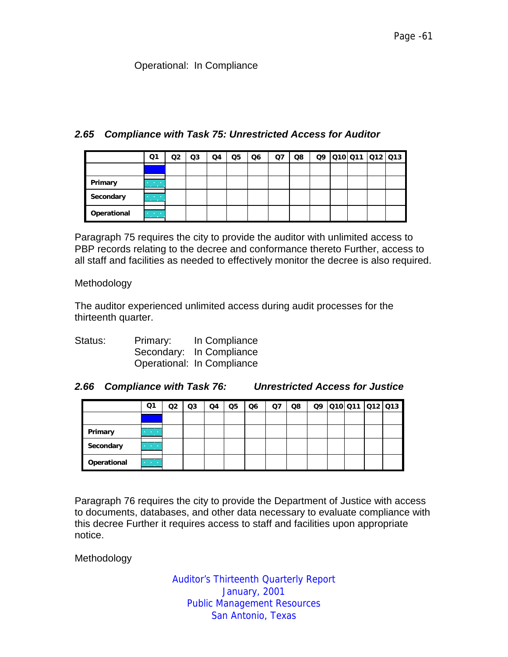#### Operational: In Compliance

#### *2.65 Compliance with Task 75: Unrestricted Access for Auditor*

|             | Q1                                                         | Q2 | Q3 | Q4 | Q5 | Q6 | Q7 | Q8 | Q9 |  | 010 011 012 013 |
|-------------|------------------------------------------------------------|----|----|----|----|----|----|----|----|--|-----------------|
|             |                                                            |    |    |    |    |    |    |    |    |  |                 |
| Primary     | <b>Contract Contract</b><br><b>CONTRACTOR</b>              |    |    |    |    |    |    |    |    |  |                 |
| Secondary   | and the company<br><b>CONTRACTOR</b>                       |    |    |    |    |    |    |    |    |  |                 |
| Operational | __<br><b>Contract Contract</b><br><b>Contract Contract</b> |    |    |    |    |    |    |    |    |  |                 |

Paragraph 75 requires the city to provide the auditor with unlimited access to PBP records relating to the decree and conformance thereto Further, access to all staff and facilities as needed to effectively monitor the decree is also required.

Methodology

The auditor experienced unlimited access during audit processes for the thirteenth quarter.

| Status: | Primary: | In Compliance              |
|---------|----------|----------------------------|
|         |          | Secondary: In Compliance   |
|         |          | Operational: In Compliance |

#### *2.66 Compliance with Task 76: Unrestricted Access for Justice*

|             | Q1                                        | O2 | Q3 | Q4 | Q5 | Q <sub>6</sub> | Q7 | Q8 | Q9 | 010 011  012  013 |  |
|-------------|-------------------------------------------|----|----|----|----|----------------|----|----|----|-------------------|--|
|             |                                           |    |    |    |    |                |    |    |    |                   |  |
| Primary     | <b>CONTRACTOR</b><br><b>CONTRACTOR</b>    |    |    |    |    |                |    |    |    |                   |  |
| Secondary   | <b>All Card Card</b><br><b>CONTRACTOR</b> |    |    |    |    |                |    |    |    |                   |  |
| Operational | All Carolina<br><b>CONTRACTOR</b>         |    |    |    |    |                |    |    |    |                   |  |

Paragraph 76 requires the city to provide the Department of Justice with access to documents, databases, and other data necessary to evaluate compliance with this decree Further it requires access to staff and facilities upon appropriate notice.

Methodology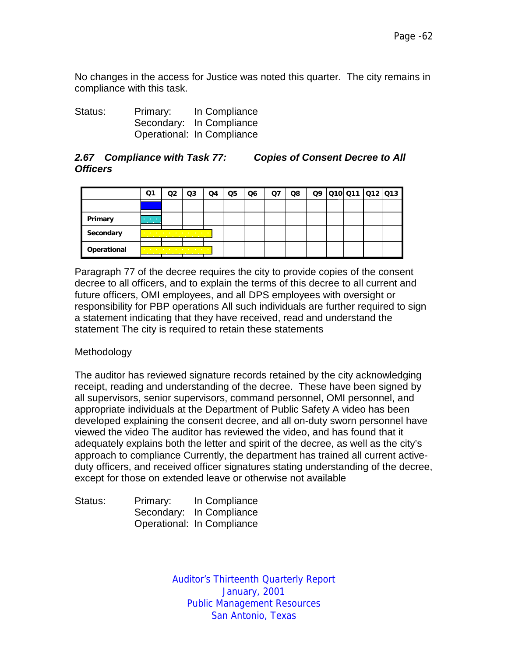No changes in the access for Justice was noted this quarter. The city remains in compliance with this task.

| Status: | Primary: | In Compliance              |
|---------|----------|----------------------------|
|         |          | Secondary: In Compliance   |
|         |          | Operational: In Compliance |

#### *2.67 Compliance with Task 77: Copies of Consent Decree to All Officers*

|             | Ο1                | Q3                                                                                                                    | Q4 | Q5 | Q6 | O7 | Q8 |  | Q9 010 011 012 013 |  |
|-------------|-------------------|-----------------------------------------------------------------------------------------------------------------------|----|----|----|----|----|--|--------------------|--|
|             |                   |                                                                                                                       |    |    |    |    |    |  |                    |  |
| Primary     | <b>CONTRACTOR</b> |                                                                                                                       |    |    |    |    |    |  |                    |  |
| Secondary   |                   | and the company of the company of the company of the company of the company of the company of the company of the<br>. |    |    |    |    |    |  |                    |  |
| Operational |                   | the contract of the contract of the contract of the con-<br>.                                                         |    |    |    |    |    |  |                    |  |

Paragraph 77 of the decree requires the city to provide copies of the consent decree to all officers, and to explain the terms of this decree to all current and future officers, OMI employees, and all DPS employees with oversight or responsibility for PBP operations All such individuals are further required to sign a statement indicating that they have received, read and understand the statement The city is required to retain these statements

# Methodology

The auditor has reviewed signature records retained by the city acknowledging receipt, reading and understanding of the decree. These have been signed by all supervisors, senior supervisors, command personnel, OMI personnel, and appropriate individuals at the Department of Public Safety A video has been developed explaining the consent decree, and all on-duty sworn personnel have viewed the video The auditor has reviewed the video, and has found that it adequately explains both the letter and spirit of the decree, as well as the city's approach to compliance Currently, the department has trained all current activeduty officers, and received officer signatures stating understanding of the decree, except for those on extended leave or otherwise not available

| Status: | Primary: | In Compliance              |
|---------|----------|----------------------------|
|         |          | Secondary: In Compliance   |
|         |          | Operational: In Compliance |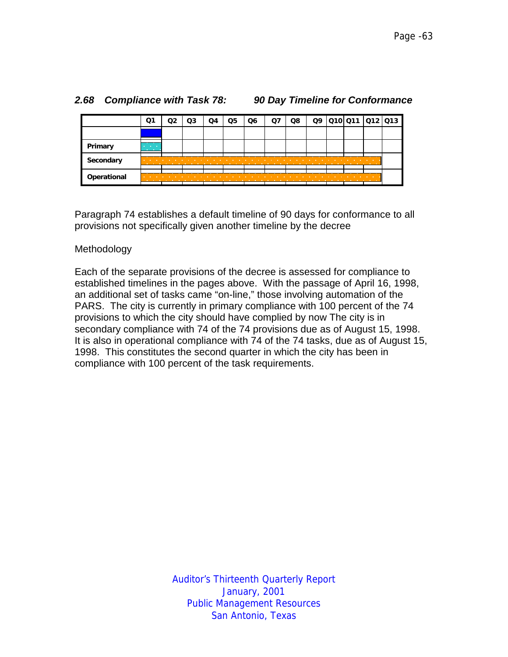|             | Q1                                                 |   | O3 | Q5 | Q6                                                                                                                | Q8 | Q9 | Q10 Q11 Q12 Q13 |  |
|-------------|----------------------------------------------------|---|----|----|-------------------------------------------------------------------------------------------------------------------|----|----|-----------------|--|
|             |                                                    |   |    |    |                                                                                                                   |    |    |                 |  |
| Primary     | <b>Service Control</b><br><b>Contract Contract</b> |   |    |    |                                                                                                                   |    |    |                 |  |
| Secondary   | <b>Contract Contract</b><br>.                      |   |    |    | the company's company's company's company's company's company's company's company's company's company's company's |    |    |                 |  |
| Operational | <b>Contract Contract</b>                           | . |    |    |                                                                                                                   |    |    |                 |  |

#### *2.68 Compliance with Task 78: 90 Day Timeline for Conformance*

Paragraph 74 establishes a default timeline of 90 days for conformance to all provisions not specifically given another timeline by the decree

#### Methodology

Each of the separate provisions of the decree is assessed for compliance to established timelines in the pages above. With the passage of April 16, 1998, an additional set of tasks came "on-line," those involving automation of the PARS. The city is currently in primary compliance with 100 percent of the 74 provisions to which the city should have complied by now The city is in secondary compliance with 74 of the 74 provisions due as of August 15, 1998. It is also in operational compliance with 74 of the 74 tasks, due as of August 15, 1998. This constitutes the second quarter in which the city has been in compliance with 100 percent of the task requirements.